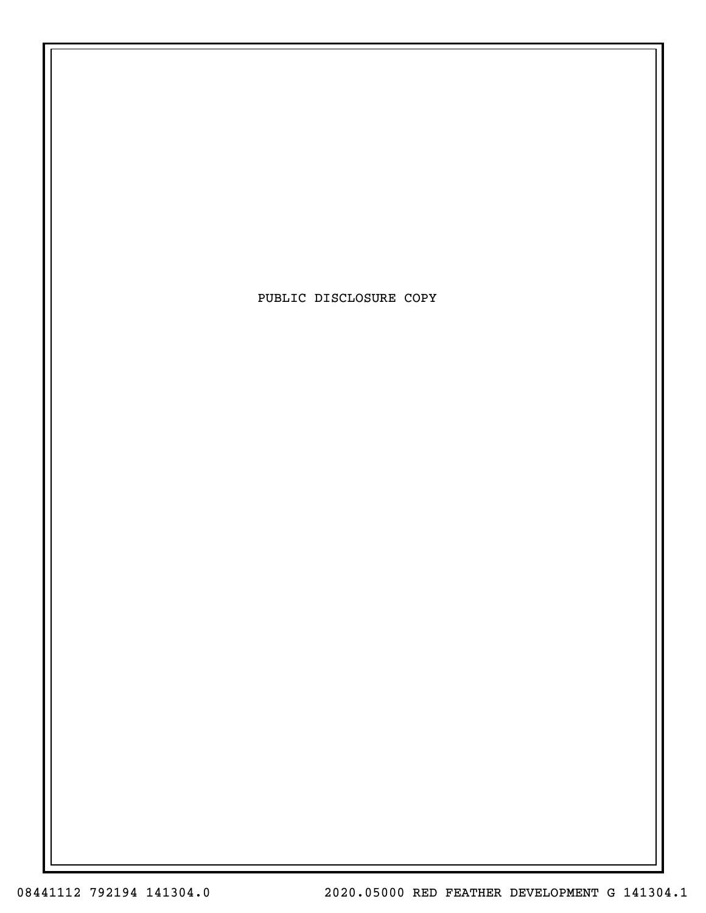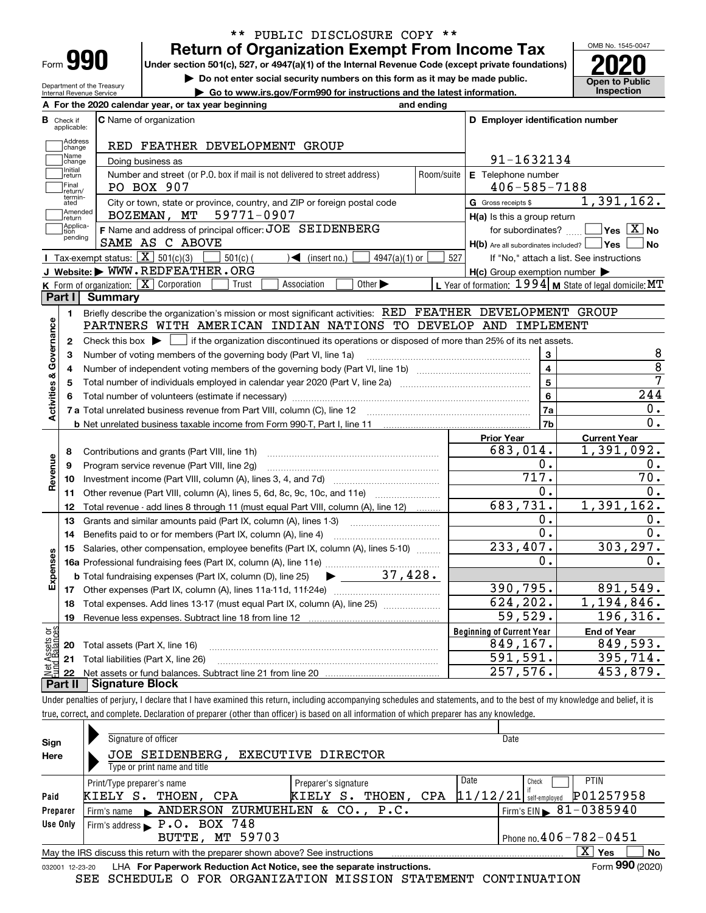| Form |  |
|------|--|

Department of the Treasury Internal Revenue Service

## **Return of Organization Exempt From Income Tax** \*\* PUBLIC DISCLOSURE COPY \*\*

**Under section 501(c), 527, or 4947(a)(1) of the Internal Revenue Code (except private foundations) 2020**

**| Do not enter social security numbers on this form as it may be made public.**

**| Go to www.irs.gov/Form990 for instructions and the latest information. Inspection**



|                         |                             | A For the 2020 calendar year, or tax year beginning                                                                                                                                                                                 | and ending |                                                                              |                                                           |
|-------------------------|-----------------------------|-------------------------------------------------------------------------------------------------------------------------------------------------------------------------------------------------------------------------------------|------------|------------------------------------------------------------------------------|-----------------------------------------------------------|
| В                       | Check if<br>applicable:     | C Name of organization                                                                                                                                                                                                              |            | D Employer identification number                                             |                                                           |
|                         | <b>Address</b><br>change    | RED FEATHER DEVELOPMENT GROUP                                                                                                                                                                                                       |            |                                                                              |                                                           |
|                         | Name<br>change              | 91-1632134                                                                                                                                                                                                                          |            |                                                                              |                                                           |
|                         | Initial<br>return           | E Telephone number                                                                                                                                                                                                                  |            |                                                                              |                                                           |
|                         | Final<br>return/            | $406 - 585 - 7188$                                                                                                                                                                                                                  |            |                                                                              |                                                           |
|                         | termin-<br>ated             | City or town, state or province, country, and ZIP or foreign postal code                                                                                                                                                            |            | G Gross receipts \$                                                          | 1,391,162.                                                |
|                         | Amended<br> return          | 59771-0907<br>BOZEMAN, MT                                                                                                                                                                                                           |            | $H(a)$ is this a group return                                                |                                                           |
|                         | Applica-<br>tion<br>pending | F Name and address of principal officer: JOE SEIDENBERG<br>SAME AS C ABOVE                                                                                                                                                          |            | for subordinates?<br>$H(b)$ Are all subordinates included? $\Box$ Yes $\Box$ | $\overline{\mathsf{Yes} \mathbb{X}}$ No<br><b>No</b>      |
|                         |                             | Tax-exempt status: $\boxed{\mathbf{X}}$ 501(c)(3)<br>$501(c)$ (<br>$\mathcal{A}$ (insert no.)<br>$4947(a)(1)$ or                                                                                                                    | 527        |                                                                              | If "No," attach a list. See instructions                  |
|                         |                             | J Website: WWW.REDFEATHER.ORG                                                                                                                                                                                                       |            | $H(c)$ Group exemption number $\blacktriangleright$                          |                                                           |
|                         |                             | <b>K</b> Form of organization: $\boxed{\mathbf{X}}$ Corporation<br>Association<br>Other $\blacktriangleright$<br>Trust                                                                                                              |            |                                                                              | L Year of formation: $1994$ M State of legal domicile: MT |
|                         | Part I                      | Summary                                                                                                                                                                                                                             |            |                                                                              |                                                           |
|                         | 1.                          | Briefly describe the organization's mission or most significant activities: RED FEATHER DEVELOPMENT GROUP                                                                                                                           |            |                                                                              |                                                           |
|                         |                             | PARTNERS WITH AMERICAN INDIAN NATIONS TO DEVELOP AND IMPLEMENT                                                                                                                                                                      |            |                                                                              |                                                           |
| Governance              | 2                           | Check this box $\blacktriangleright$ $\blacksquare$ if the organization discontinued its operations or disposed of more than 25% of its net assets.                                                                                 |            |                                                                              |                                                           |
|                         | 3                           | Number of voting members of the governing body (Part VI, line 1a)                                                                                                                                                                   |            | 3                                                                            | 8                                                         |
|                         | 4                           |                                                                                                                                                                                                                                     |            | $\overline{4}$                                                               | $\overline{8}$                                            |
| <b>Activities &amp;</b> | 5                           |                                                                                                                                                                                                                                     | 5          | 7                                                                            |                                                           |
|                         | 6                           |                                                                                                                                                                                                                                     | 6          | 244                                                                          |                                                           |
|                         |                             | 7 a Total unrelated business revenue from Part VIII, column (C), line 12                                                                                                                                                            |            | 7a                                                                           | 0.                                                        |
|                         |                             |                                                                                                                                                                                                                                     | 7b         | 0.                                                                           |                                                           |
|                         |                             |                                                                                                                                                                                                                                     |            | <b>Prior Year</b>                                                            | <b>Current Year</b>                                       |
|                         | 8                           | Contributions and grants (Part VIII, line 1h)                                                                                                                                                                                       |            | 683,014.                                                                     | 1,391,092.                                                |
|                         | 9                           | Program service revenue (Part VIII, line 2g)                                                                                                                                                                                        |            | Ο.                                                                           | 0.                                                        |
| Revenue                 | 10                          |                                                                                                                                                                                                                                     |            | 717.                                                                         | $\overline{70}$ .                                         |
|                         | 11                          | Other revenue (Part VIII, column (A), lines 5, 6d, 8c, 9c, 10c, and 11e)                                                                                                                                                            |            | 0.                                                                           | 0.                                                        |
|                         | 12                          | Total revenue - add lines 8 through 11 (must equal Part VIII, column (A), line 12)                                                                                                                                                  |            | 683,731.                                                                     | 1,391,162.                                                |
|                         | 13                          | Grants and similar amounts paid (Part IX, column (A), lines 1-3) <i>managerous</i> contained to the state of the state of the state of the state of the state of the state of the state of the state of the state of the state of t |            | 0.                                                                           | 0.                                                        |
|                         | 14                          | Benefits paid to or for members (Part IX, column (A), line 4)                                                                                                                                                                       |            | 0.                                                                           | 0.                                                        |
|                         | 15                          | Salaries, other compensation, employee benefits (Part IX, column (A), lines 5-10)                                                                                                                                                   |            | 233,407.                                                                     | 303, 297.                                                 |
|                         |                             |                                                                                                                                                                                                                                     |            | 0.                                                                           | 0.                                                        |
| Expenses                |                             | <b>b</b> Total fundraising expenses (Part IX, column (D), line 25)                                                                                                                                                                  |            |                                                                              |                                                           |
|                         |                             |                                                                                                                                                                                                                                     |            | 390, 795.<br>624, 202.                                                       | 891,549.<br>1,194,846.                                    |
|                         | 18                          | Total expenses. Add lines 13-17 (must equal Part IX, column (A), line 25)                                                                                                                                                           |            |                                                                              |                                                           |
|                         | 19                          |                                                                                                                                                                                                                                     |            | 59,529.                                                                      | 196,316.                                                  |
| Assets or<br>1 Balances |                             |                                                                                                                                                                                                                                     |            | <b>Beginning of Current Year</b>                                             | <b>End of Year</b>                                        |
|                         |                             | 20 Total assets (Part X, line 16)                                                                                                                                                                                                   |            | 849,167.                                                                     | 849,593.<br>395,714.                                      |
|                         |                             | 21 Total liabilities (Part X, line 26)                                                                                                                                                                                              |            | 591,591.                                                                     |                                                           |
|                         |                             |                                                                                                                                                                                                                                     |            | 257,576.                                                                     | 453,879.                                                  |

**Part II Signature Block**

Under penalties of perjury, I declare that I have examined this return, including accompanying schedules and statements, and to the best of my knowledge and belief, it is true, correct, and complete. Declaration of preparer (other than officer) is based on all information of which preparer has any knowledge.

| Sign     | Signature of officer                                                                                         |                      |                  | Date                                       |  |  |  |  |  |  |  |
|----------|--------------------------------------------------------------------------------------------------------------|----------------------|------------------|--------------------------------------------|--|--|--|--|--|--|--|
| Here     | JOE SEIDENBERG.<br>EXECUTIVE DIRECTOR                                                                        |                      |                  |                                            |  |  |  |  |  |  |  |
|          | Type or print name and title                                                                                 |                      |                  |                                            |  |  |  |  |  |  |  |
|          | Print/Type preparer's name                                                                                   | Preparer's signature | Date             | <b>PTIN</b><br>Check                       |  |  |  |  |  |  |  |
| Paid     | KIELY S.<br>THOEN, CPA                                                                                       | THOEN,<br>KIELY S.   | 11/12/21 <br>CPA | P01257958<br>self-emploved                 |  |  |  |  |  |  |  |
| Preparer | Firm's name MANDERSON ZURMUEHLEN & CO., P.C.                                                                 |                      |                  | $1$ Firm's EIN $\triangleright$ 81-0385940 |  |  |  |  |  |  |  |
| Use Only | Firm's address P.O. BOX 748                                                                                  |                      |                  |                                            |  |  |  |  |  |  |  |
|          | Phone no. $406 - 782 - 0451$<br><b>BUTTE, MT 59703</b>                                                       |                      |                  |                                            |  |  |  |  |  |  |  |
|          | May the IRS discuss this return with the preparer shown above? See instructions                              |                      |                  | $X \mid Y$ es<br>No                        |  |  |  |  |  |  |  |
|          | Form 990 (2020)<br>LHA For Paperwork Reduction Act Notice, see the separate instructions.<br>032001 12-23-20 |                      |                  |                                            |  |  |  |  |  |  |  |

SEE SCHEDULE O FOR ORGANIZATION MISSION STATEMENT CONTINUATION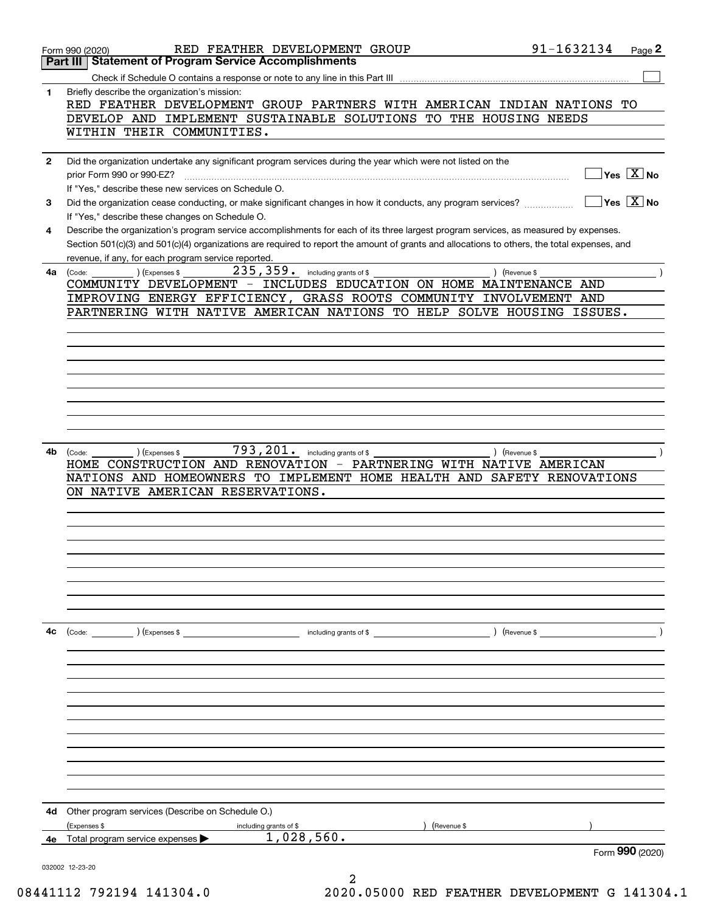|              | 91-1632134<br>RED FEATHER DEVELOPMENT GROUP<br>Page 2<br>Form 990 (2020)                                                                                                                |  |
|--------------|-----------------------------------------------------------------------------------------------------------------------------------------------------------------------------------------|--|
| Part III     | <b>Statement of Program Service Accomplishments</b>                                                                                                                                     |  |
|              |                                                                                                                                                                                         |  |
| 1            | Briefly describe the organization's mission:<br>RED FEATHER DEVELOPMENT GROUP PARTNERS WITH AMERICAN INDIAN NATIONS TO                                                                  |  |
|              | DEVELOP AND IMPLEMENT SUSTAINABLE SOLUTIONS TO THE HOUSING NEEDS                                                                                                                        |  |
|              | WITHIN THEIR COMMUNITIES.                                                                                                                                                               |  |
|              |                                                                                                                                                                                         |  |
| $\mathbf{2}$ | Did the organization undertake any significant program services during the year which were not listed on the                                                                            |  |
|              | $Yes \top X$ No<br>prior Form 990 or 990-EZ?                                                                                                                                            |  |
|              | If "Yes," describe these new services on Schedule O.                                                                                                                                    |  |
| 3            | ∣Yes │X │No<br>Did the organization cease conducting, or make significant changes in how it conducts, any program services?                                                             |  |
| 4            | If "Yes," describe these changes on Schedule O.<br>Describe the organization's program service accomplishments for each of its three largest program services, as measured by expenses. |  |
|              | Section 501(c)(3) and 501(c)(4) organizations are required to report the amount of grants and allocations to others, the total expenses, and                                            |  |
|              | revenue, if any, for each program service reported.                                                                                                                                     |  |
|              | $235,359$ . including grants of \$<br>(Expenses \$<br>) (Revenue \$<br>4a (Code:                                                                                                        |  |
|              | COMMUNITY DEVELOPMENT - INCLUDES EDUCATION ON HOME MAINTENANCE AND                                                                                                                      |  |
|              | IMPROVING ENERGY EFFICIENCY, GRASS ROOTS COMMUNITY INVOLVEMENT AND                                                                                                                      |  |
|              | PARTNERING WITH NATIVE AMERICAN NATIONS TO HELP SOLVE HOUSING<br>ISSUES.                                                                                                                |  |
|              |                                                                                                                                                                                         |  |
|              |                                                                                                                                                                                         |  |
|              |                                                                                                                                                                                         |  |
|              |                                                                                                                                                                                         |  |
|              |                                                                                                                                                                                         |  |
|              |                                                                                                                                                                                         |  |
|              |                                                                                                                                                                                         |  |
|              |                                                                                                                                                                                         |  |
| 4b           | 793, 201. including grants of \$<br>(Expenses \$<br>) (Revenue \$<br>(Code:                                                                                                             |  |
|              | HOME CONSTRUCTION AND RENOVATION - PARTNERING WITH NATIVE AMERICAN                                                                                                                      |  |
|              | NATIONS AND HOMEOWNERS TO IMPLEMENT HOME HEALTH AND SAFETY RENOVATIONS<br>ON NATIVE AMERICAN RESERVATIONS.                                                                              |  |
|              |                                                                                                                                                                                         |  |
|              |                                                                                                                                                                                         |  |
|              |                                                                                                                                                                                         |  |
|              |                                                                                                                                                                                         |  |
|              |                                                                                                                                                                                         |  |
|              |                                                                                                                                                                                         |  |
|              |                                                                                                                                                                                         |  |
|              |                                                                                                                                                                                         |  |
| 4с           | $($ Revenue \$                                                                                                                                                                          |  |
|              | $\text{(Code:} \qquad \qquad \text{)} \text{ (Express } $$<br>including grants of \$                                                                                                    |  |
|              |                                                                                                                                                                                         |  |
|              |                                                                                                                                                                                         |  |
|              |                                                                                                                                                                                         |  |
|              |                                                                                                                                                                                         |  |
|              |                                                                                                                                                                                         |  |
|              |                                                                                                                                                                                         |  |
|              |                                                                                                                                                                                         |  |
|              |                                                                                                                                                                                         |  |
|              |                                                                                                                                                                                         |  |
|              |                                                                                                                                                                                         |  |
| 4d           | Other program services (Describe on Schedule O.)                                                                                                                                        |  |
|              | (Expenses \$<br>(Revenue \$<br>including grants of \$                                                                                                                                   |  |
| 4е           | 1,028,560.<br>Total program service expenses                                                                                                                                            |  |
|              | Form 990 (2020)                                                                                                                                                                         |  |
|              | 032002 12-23-20                                                                                                                                                                         |  |

2 08441112 792194 141304.0 2020.05000 RED FEATHER DEVELOPMENT G 141304.1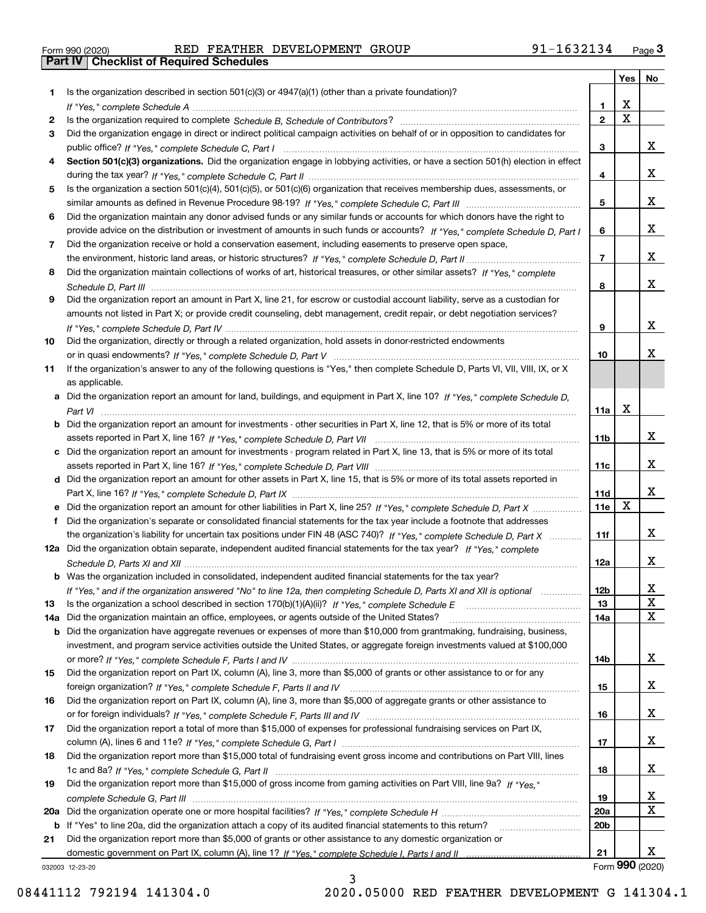|  | Form 990 (2020) |  |
|--|-----------------|--|

Form 990 (2020) RED FEATHER DEVELOPMENT GROUP 91-1632134 <sub>Page</sub> 3<br>**Part IV | Checklist of Required Schedules** 

|     |                                                                                                                                       |                 | Yes             | No |
|-----|---------------------------------------------------------------------------------------------------------------------------------------|-----------------|-----------------|----|
| 1.  | Is the organization described in section $501(c)(3)$ or $4947(a)(1)$ (other than a private foundation)?                               |                 |                 |    |
|     |                                                                                                                                       | 1               | X               |    |
| 2   |                                                                                                                                       | $\overline{2}$  | $\mathbf X$     |    |
| 3   | Did the organization engage in direct or indirect political campaign activities on behalf of or in opposition to candidates for       |                 |                 |    |
|     |                                                                                                                                       | 3               |                 | x  |
| 4   | Section 501(c)(3) organizations. Did the organization engage in lobbying activities, or have a section 501(h) election in effect      | 4               |                 | x  |
| 5   | Is the organization a section 501(c)(4), 501(c)(5), or 501(c)(6) organization that receives membership dues, assessments, or          |                 |                 |    |
|     |                                                                                                                                       | 5               |                 | x  |
| 6   | Did the organization maintain any donor advised funds or any similar funds or accounts for which donors have the right to             |                 |                 |    |
|     | provide advice on the distribution or investment of amounts in such funds or accounts? If "Yes," complete Schedule D, Part I          | 6               |                 | x  |
| 7   | Did the organization receive or hold a conservation easement, including easements to preserve open space,                             |                 |                 |    |
|     |                                                                                                                                       | $\overline{7}$  |                 | x  |
| 8   | Did the organization maintain collections of works of art, historical treasures, or other similar assets? If "Yes," complete          |                 |                 |    |
|     |                                                                                                                                       | 8               |                 | x  |
| 9   | Did the organization report an amount in Part X, line 21, for escrow or custodial account liability, serve as a custodian for         |                 |                 |    |
|     | amounts not listed in Part X; or provide credit counseling, debt management, credit repair, or debt negotiation services?             |                 |                 |    |
|     |                                                                                                                                       | 9               |                 | х  |
| 10  | Did the organization, directly or through a related organization, hold assets in donor-restricted endowments                          |                 |                 |    |
|     |                                                                                                                                       | 10              |                 | x  |
| 11  | If the organization's answer to any of the following questions is "Yes," then complete Schedule D, Parts VI, VII, VIII, IX, or X      |                 |                 |    |
|     | as applicable.                                                                                                                        |                 |                 |    |
|     | a Did the organization report an amount for land, buildings, and equipment in Part X, line 10? If "Yes," complete Schedule D,         |                 |                 |    |
|     |                                                                                                                                       | 11a             | X               |    |
|     | <b>b</b> Did the organization report an amount for investments - other securities in Part X, line 12, that is 5% or more of its total |                 |                 |    |
|     |                                                                                                                                       | 11 <sub>b</sub> |                 | x  |
|     | c Did the organization report an amount for investments - program related in Part X, line 13, that is 5% or more of its total         | 11c             |                 | x  |
|     | d Did the organization report an amount for other assets in Part X, line 15, that is 5% or more of its total assets reported in       |                 |                 |    |
|     |                                                                                                                                       | 11d             |                 | x  |
|     |                                                                                                                                       | 11e             | X               |    |
|     | Did the organization's separate or consolidated financial statements for the tax year include a footnote that addresses               |                 |                 |    |
|     | the organization's liability for uncertain tax positions under FIN 48 (ASC 740)? If "Yes," complete Schedule D, Part X                | 11f             |                 | x  |
|     | 12a Did the organization obtain separate, independent audited financial statements for the tax year? If "Yes," complete               |                 |                 |    |
|     |                                                                                                                                       | 12a             |                 | x  |
|     | <b>b</b> Was the organization included in consolidated, independent audited financial statements for the tax year?                    |                 |                 |    |
|     | If "Yes," and if the organization answered "No" to line 12a, then completing Schedule D, Parts XI and XII is optional                 | 12b             |                 | Χ  |
| 13  |                                                                                                                                       | 13              |                 | X  |
| 14a | Did the organization maintain an office, employees, or agents outside of the United States?                                           | 14a             |                 | X  |
| b   | Did the organization have aggregate revenues or expenses of more than \$10,000 from grantmaking, fundraising, business,               |                 |                 |    |
|     | investment, and program service activities outside the United States, or aggregate foreign investments valued at \$100,000            |                 |                 |    |
|     |                                                                                                                                       | 14b             |                 | x  |
| 15  | Did the organization report on Part IX, column (A), line 3, more than \$5,000 of grants or other assistance to or for any             |                 |                 | x  |
| 16  | Did the organization report on Part IX, column (A), line 3, more than \$5,000 of aggregate grants or other assistance to              | 15              |                 |    |
|     |                                                                                                                                       | 16              |                 | x  |
| 17  | Did the organization report a total of more than \$15,000 of expenses for professional fundraising services on Part IX,               |                 |                 |    |
|     |                                                                                                                                       | 17              |                 | x  |
| 18  | Did the organization report more than \$15,000 total of fundraising event gross income and contributions on Part VIII, lines          |                 |                 |    |
|     |                                                                                                                                       | 18              |                 | x  |
| 19  | Did the organization report more than \$15,000 of gross income from gaming activities on Part VIII, line 9a? If "Yes."                |                 |                 |    |
|     |                                                                                                                                       | 19              |                 | X  |
|     |                                                                                                                                       | 20a             |                 | x  |
|     | b If "Yes" to line 20a, did the organization attach a copy of its audited financial statements to this return?                        | 20 <sub>b</sub> |                 |    |
| 21  | Did the organization report more than \$5,000 of grants or other assistance to any domestic organization or                           |                 |                 |    |
|     |                                                                                                                                       | 21              |                 | x  |
|     | 032003 12-23-20                                                                                                                       |                 | Form 990 (2020) |    |

3

032003 12-23-20

08441112 792194 141304.0 2020.05000 RED FEATHER DEVELOPMENT G 141304.1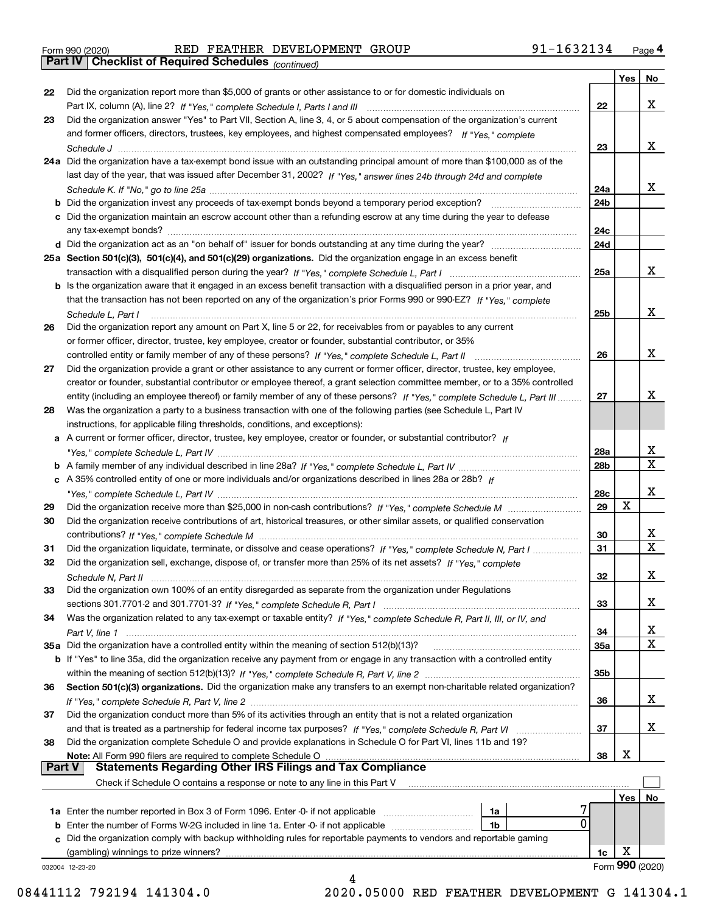Form 990 (2020) RED FEATHER DEVELOPMENT GROUP 91-1632134 <sub>Page</sub> 4<br>**Part IV | Checklist of Required Schedules** <sub>(continued)</sub>

*(continued)*

|          |                                                                                                                                       |                 | Yes | No              |
|----------|---------------------------------------------------------------------------------------------------------------------------------------|-----------------|-----|-----------------|
| 22       | Did the organization report more than \$5,000 of grants or other assistance to or for domestic individuals on                         |                 |     |                 |
|          |                                                                                                                                       | 22              |     | x               |
| 23       | Did the organization answer "Yes" to Part VII, Section A, line 3, 4, or 5 about compensation of the organization's current            |                 |     |                 |
|          | and former officers, directors, trustees, key employees, and highest compensated employees? If "Yes," complete                        |                 |     |                 |
|          |                                                                                                                                       | 23              |     | x               |
|          | 24a Did the organization have a tax-exempt bond issue with an outstanding principal amount of more than \$100,000 as of the           |                 |     |                 |
|          | last day of the year, that was issued after December 31, 2002? If "Yes," answer lines 24b through 24d and complete                    |                 |     |                 |
|          |                                                                                                                                       | 24a             |     | x               |
|          | b Did the organization invest any proceeds of tax-exempt bonds beyond a temporary period exception?                                   | 24b             |     |                 |
|          | c Did the organization maintain an escrow account other than a refunding escrow at any time during the year to defease                |                 |     |                 |
|          | any tax-exempt bonds?                                                                                                                 | 24c             |     |                 |
|          |                                                                                                                                       | 24d             |     |                 |
|          | 25a Section 501(c)(3), 501(c)(4), and 501(c)(29) organizations. Did the organization engage in an excess benefit                      |                 |     |                 |
|          |                                                                                                                                       | 25a             |     | x               |
|          | b Is the organization aware that it engaged in an excess benefit transaction with a disqualified person in a prior year, and          |                 |     |                 |
|          | that the transaction has not been reported on any of the organization's prior Forms 990 or 990-EZ? If "Yes," complete                 |                 |     |                 |
|          |                                                                                                                                       | 25b             |     | x               |
|          | Schedule L, Part I<br>Did the organization report any amount on Part X, line 5 or 22, for receivables from or payables to any current |                 |     |                 |
| 26       |                                                                                                                                       |                 |     |                 |
|          | or former officer, director, trustee, key employee, creator or founder, substantial contributor, or 35%                               |                 |     | x               |
|          |                                                                                                                                       | 26              |     |                 |
| 27       | Did the organization provide a grant or other assistance to any current or former officer, director, trustee, key employee,           |                 |     |                 |
|          | creator or founder, substantial contributor or employee thereof, a grant selection committee member, or to a 35% controlled           |                 |     |                 |
|          | entity (including an employee thereof) or family member of any of these persons? If "Yes," complete Schedule L, Part III              | 27              |     | x               |
| 28       | Was the organization a party to a business transaction with one of the following parties (see Schedule L, Part IV                     |                 |     |                 |
|          | instructions, for applicable filing thresholds, conditions, and exceptions):                                                          |                 |     |                 |
|          | a A current or former officer, director, trustee, key employee, creator or founder, or substantial contributor? If                    |                 |     |                 |
|          |                                                                                                                                       | 28a             |     | х               |
|          |                                                                                                                                       | 28 <sub>b</sub> |     | X               |
|          | c A 35% controlled entity of one or more individuals and/or organizations described in lines 28a or 28b? If                           |                 |     |                 |
|          |                                                                                                                                       | 28c             |     | х               |
| 29       |                                                                                                                                       | 29              | x   |                 |
| 30       | Did the organization receive contributions of art, historical treasures, or other similar assets, or qualified conservation           |                 |     |                 |
|          |                                                                                                                                       | 30              |     | x               |
| 31       | Did the organization liquidate, terminate, or dissolve and cease operations? If "Yes," complete Schedule N, Part I                    | 31              |     | $\mathbf x$     |
| 32       | Did the organization sell, exchange, dispose of, or transfer more than 25% of its net assets? If "Yes," complete                      |                 |     |                 |
|          |                                                                                                                                       | 32              |     | х               |
| 33       | Did the organization own 100% of an entity disregarded as separate from the organization under Regulations                            |                 |     |                 |
|          |                                                                                                                                       | 33              |     | х               |
| 34       | Was the organization related to any tax-exempt or taxable entity? If "Yes," complete Schedule R, Part II, III, or IV, and             |                 |     |                 |
|          |                                                                                                                                       | 34              |     | X               |
|          | 35a Did the organization have a controlled entity within the meaning of section 512(b)(13)?                                           | 35a             |     | х               |
|          | b If "Yes" to line 35a, did the organization receive any payment from or engage in any transaction with a controlled entity           |                 |     |                 |
|          |                                                                                                                                       | 35 <sub>b</sub> |     |                 |
| 36       | Section 501(c)(3) organizations. Did the organization make any transfers to an exempt non-charitable related organization?            |                 |     |                 |
|          |                                                                                                                                       | 36              |     | x               |
| 37       | Did the organization conduct more than 5% of its activities through an entity that is not a related organization                      |                 |     |                 |
|          | and that is treated as a partnership for federal income tax purposes? If "Yes," complete Schedule R, Part VI                          | 37              |     | x               |
| 38       | Did the organization complete Schedule O and provide explanations in Schedule O for Part VI, lines 11b and 19?                        |                 |     |                 |
|          | Note: All Form 990 filers are required to complete Schedule O                                                                         | 38              | X   |                 |
| ∣ Part V | <b>Statements Regarding Other IRS Filings and Tax Compliance</b>                                                                      |                 |     |                 |
|          | Check if Schedule O contains a response or note to any line in this Part V                                                            |                 |     |                 |
|          |                                                                                                                                       |                 | Yes | No              |
|          | 1a                                                                                                                                    |                 |     |                 |
|          | 0<br><b>b</b> Enter the number of Forms W-2G included in line 1a. Enter -0- if not applicable <i>manumeraness</i><br>1b               |                 |     |                 |
| c        | Did the organization comply with backup withholding rules for reportable payments to vendors and reportable gaming                    |                 |     |                 |
|          | (gambling) winnings to prize winners?                                                                                                 | 1c              | х   |                 |
|          | 032004 12-23-20                                                                                                                       |                 |     | Form 990 (2020) |
|          | 4                                                                                                                                     |                 |     |                 |

<sup>08441112 792194 141304.0 2020.05000</sup> RED FEATHER DEVELOPMENT G 141304.1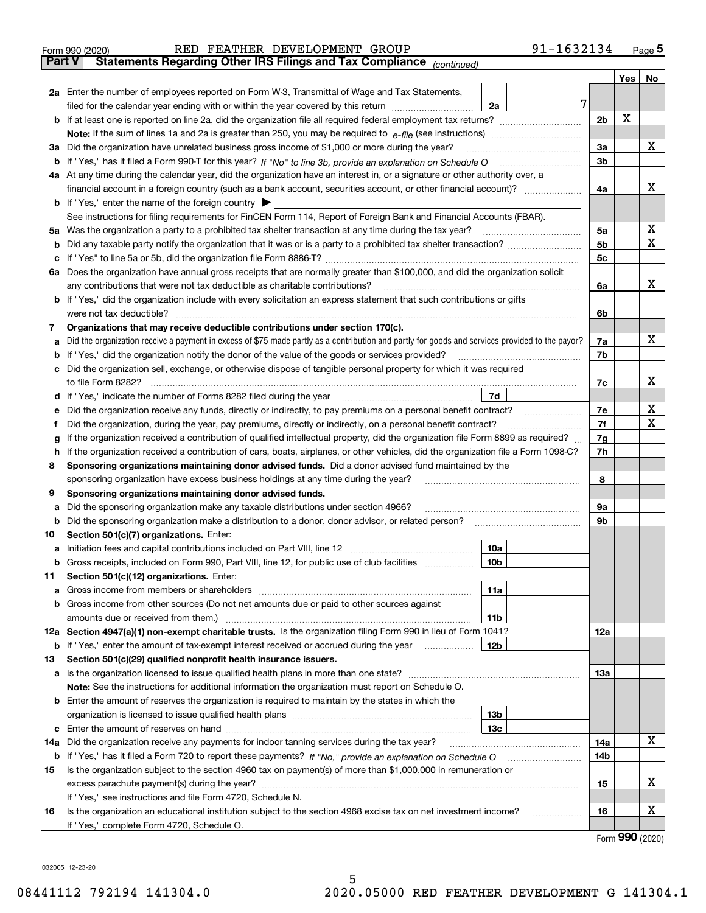|               | 91-1632134<br>RED FEATHER DEVELOPMENT GROUP<br>Form 990 (2020)                                                                                                                                                                       |   |                |     | $_{\text{Page}}$ 5          |
|---------------|--------------------------------------------------------------------------------------------------------------------------------------------------------------------------------------------------------------------------------------|---|----------------|-----|-----------------------------|
| <b>Part V</b> | Statements Regarding Other IRS Filings and Tax Compliance (continued)                                                                                                                                                                |   |                |     |                             |
|               |                                                                                                                                                                                                                                      |   |                | Yes | No                          |
|               | 2a Enter the number of employees reported on Form W-3, Transmittal of Wage and Tax Statements,                                                                                                                                       |   |                |     |                             |
|               | filed for the calendar year ending with or within the year covered by this return<br>2a                                                                                                                                              | 7 |                |     |                             |
|               |                                                                                                                                                                                                                                      |   | 2 <sub>b</sub> | X   |                             |
|               |                                                                                                                                                                                                                                      |   |                |     |                             |
| За            | Did the organization have unrelated business gross income of \$1,000 or more during the year?                                                                                                                                        |   | 3a             |     | x                           |
|               |                                                                                                                                                                                                                                      |   | 3 <sub>b</sub> |     |                             |
|               | 4a At any time during the calendar year, did the organization have an interest in, or a signature or other authority over, a                                                                                                         |   |                |     |                             |
|               |                                                                                                                                                                                                                                      |   | 4a             |     | х                           |
|               | <b>b</b> If "Yes," enter the name of the foreign country $\blacktriangleright$                                                                                                                                                       |   |                |     |                             |
|               | See instructions for filing requirements for FinCEN Form 114, Report of Foreign Bank and Financial Accounts (FBAR).                                                                                                                  |   |                |     |                             |
| 5a            | Was the organization a party to a prohibited tax shelter transaction at any time during the tax year?                                                                                                                                |   | 5а             |     | х                           |
| b             |                                                                                                                                                                                                                                      |   | 5 <sub>b</sub> |     | X                           |
| с             |                                                                                                                                                                                                                                      |   | 5c             |     |                             |
|               | 6a Does the organization have annual gross receipts that are normally greater than \$100,000, and did the organization solicit                                                                                                       |   |                |     |                             |
|               | any contributions that were not tax deductible as charitable contributions?                                                                                                                                                          |   |                |     | x                           |
|               |                                                                                                                                                                                                                                      |   | 6a             |     |                             |
|               | <b>b</b> If "Yes," did the organization include with every solicitation an express statement that such contributions or gifts                                                                                                        |   |                |     |                             |
|               | were not tax deductible?                                                                                                                                                                                                             |   | 6b             |     |                             |
| 7             | Organizations that may receive deductible contributions under section 170(c).                                                                                                                                                        |   |                |     | x                           |
| а             | Did the organization receive a payment in excess of \$75 made partly as a contribution and partly for goods and services provided to the payor?                                                                                      |   | 7a             |     |                             |
| b             | If "Yes," did the organization notify the donor of the value of the goods or services provided?                                                                                                                                      |   | 7b             |     |                             |
| с             | Did the organization sell, exchange, or otherwise dispose of tangible personal property for which it was required                                                                                                                    |   |                |     |                             |
|               |                                                                                                                                                                                                                                      |   | 7c             |     | х                           |
|               | 7d<br>d If "Yes," indicate the number of Forms 8282 filed during the year [11] [11] The System manuscription of Forms 8282 filed during the year [11] [11] The System manuscription of the Wales of the Wales of the Wales of the Wa |   |                |     |                             |
| е             |                                                                                                                                                                                                                                      |   | 7e             |     | х                           |
| f             | Did the organization, during the year, pay premiums, directly or indirectly, on a personal benefit contract?                                                                                                                         |   | 7f             |     | X                           |
| g             | If the organization received a contribution of qualified intellectual property, did the organization file Form 8899 as required?                                                                                                     |   | 7g             |     |                             |
| h             | If the organization received a contribution of cars, boats, airplanes, or other vehicles, did the organization file a Form 1098-C?                                                                                                   |   | 7h             |     |                             |
| 8             | Sponsoring organizations maintaining donor advised funds. Did a donor advised fund maintained by the                                                                                                                                 |   |                |     |                             |
|               | sponsoring organization have excess business holdings at any time during the year?                                                                                                                                                   |   | 8              |     |                             |
| 9             | Sponsoring organizations maintaining donor advised funds.                                                                                                                                                                            |   |                |     |                             |
| а             | Did the sponsoring organization make any taxable distributions under section 4966?                                                                                                                                                   |   | 9а             |     |                             |
| b             | Did the sponsoring organization make a distribution to a donor, donor advisor, or related person?                                                                                                                                    |   | 9b             |     |                             |
| 10            | Section 501(c)(7) organizations. Enter:                                                                                                                                                                                              |   |                |     |                             |
|               | 10a<br>a Initiation fees and capital contributions included on Part VIII, line 12 [111] [11] [11] Initiation fees and capital contributions included on Part VIII, line 12                                                           |   |                |     |                             |
|               | 10 <sub>b</sub><br>Gross receipts, included on Form 990, Part VIII, line 12, for public use of club facilities                                                                                                                       |   |                |     |                             |
| 11            | Section 501(c)(12) organizations. Enter:                                                                                                                                                                                             |   |                |     |                             |
| a             | Gross income from members or shareholders<br>11a                                                                                                                                                                                     |   |                |     |                             |
| b             | Gross income from other sources (Do not net amounts due or paid to other sources against                                                                                                                                             |   |                |     |                             |
|               | 11b                                                                                                                                                                                                                                  |   |                |     |                             |
|               | 12a Section 4947(a)(1) non-exempt charitable trusts. Is the organization filing Form 990 in lieu of Form 1041?                                                                                                                       |   | 12a            |     |                             |
|               | 12 <sub>b</sub><br><b>b</b> If "Yes," enter the amount of tax-exempt interest received or accrued during the year                                                                                                                    |   |                |     |                             |
| 13            | Section 501(c)(29) qualified nonprofit health insurance issuers.                                                                                                                                                                     |   |                |     |                             |
| a             | Is the organization licensed to issue qualified health plans in more than one state?                                                                                                                                                 |   | 13a            |     |                             |
|               | Note: See the instructions for additional information the organization must report on Schedule O.                                                                                                                                    |   |                |     |                             |
| b             | Enter the amount of reserves the organization is required to maintain by the states in which the                                                                                                                                     |   |                |     |                             |
|               | 13 <sub>b</sub>                                                                                                                                                                                                                      |   |                |     |                             |
|               | 13 <sub>c</sub>                                                                                                                                                                                                                      |   |                |     |                             |
| 14a           | Did the organization receive any payments for indoor tanning services during the tax year?                                                                                                                                           |   | 14a            |     | x                           |
|               | <b>b</b> If "Yes," has it filed a Form 720 to report these payments? If "No," provide an explanation on Schedule O                                                                                                                   |   | 14b            |     |                             |
| 15            | Is the organization subject to the section 4960 tax on payment(s) of more than \$1,000,000 in remuneration or                                                                                                                        |   |                |     |                             |
|               |                                                                                                                                                                                                                                      |   | 15             |     | х                           |
|               | If "Yes," see instructions and file Form 4720, Schedule N.                                                                                                                                                                           |   |                |     |                             |
| 16            | Is the organization an educational institution subject to the section 4968 excise tax on net investment income?                                                                                                                      |   | 16             |     | х                           |
|               | If "Yes," complete Form 4720, Schedule O.                                                                                                                                                                                            |   |                |     |                             |
|               |                                                                                                                                                                                                                                      |   |                |     | $F_{\text{OCD}}$ 990 (2020) |

Form (2020) **990**

032005 12-23-20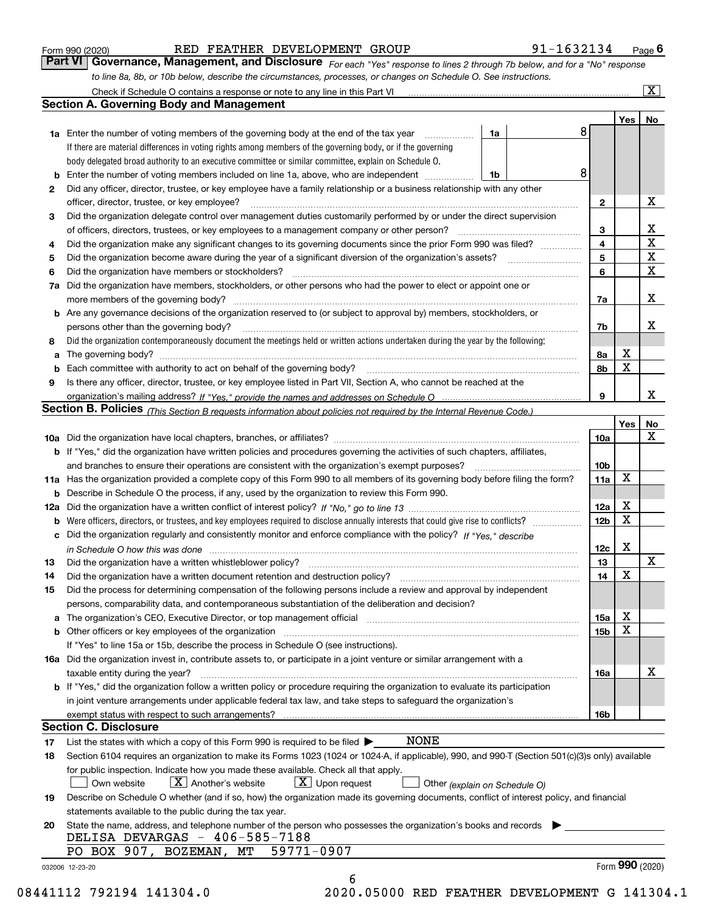|  | Form 990 (2020) |
|--|-----------------|
|  |                 |

| Form 990 (2020) |  | RED FEATHER DEVELOPMENT GROUP |                                                                                                                  | 91-1632134                                                                                                                    | Page $\boldsymbol{6}$ |
|-----------------|--|-------------------------------|------------------------------------------------------------------------------------------------------------------|-------------------------------------------------------------------------------------------------------------------------------|-----------------------|
|                 |  |                               |                                                                                                                  | Part VI   Governance, Management, and Disclosure For each "Yes" response to lines 2 through 7b below, and for a "No" response |                       |
|                 |  |                               | to line 8a, 8b, or 10b below, describe the circumstances, processes, or changes on Schedule O. See instructions. |                                                                                                                               |                       |

|     | Check if Schedule O contains a response or note to any line in this Part VI                                                                                                                                                   |    |  |                        |     | $\boxed{\text{X}}$ |  |  |  |  |
|-----|-------------------------------------------------------------------------------------------------------------------------------------------------------------------------------------------------------------------------------|----|--|------------------------|-----|--------------------|--|--|--|--|
|     | <b>Section A. Governing Body and Management</b>                                                                                                                                                                               |    |  |                        |     |                    |  |  |  |  |
|     |                                                                                                                                                                                                                               |    |  |                        | Yes | No                 |  |  |  |  |
|     | <b>1a</b> Enter the number of voting members of the governing body at the end of the tax year                                                                                                                                 | 1a |  | 8                      |     |                    |  |  |  |  |
|     | If there are material differences in voting rights among members of the governing body, or if the governing                                                                                                                   |    |  |                        |     |                    |  |  |  |  |
|     | body delegated broad authority to an executive committee or similar committee, explain on Schedule O.                                                                                                                         |    |  |                        |     |                    |  |  |  |  |
| b   | Enter the number of voting members included on line 1a, above, who are independent                                                                                                                                            | 1b |  | 8                      |     |                    |  |  |  |  |
| 2   | Did any officer, director, trustee, or key employee have a family relationship or a business relationship with any other                                                                                                      |    |  |                        |     |                    |  |  |  |  |
|     | officer, director, trustee, or key employee?                                                                                                                                                                                  |    |  | $\mathbf{2}$           |     | X                  |  |  |  |  |
| 3   | Did the organization delegate control over management duties customarily performed by or under the direct supervision                                                                                                         |    |  |                        |     |                    |  |  |  |  |
|     | of officers, directors, trustees, or key employees to a management company or other person?                                                                                                                                   |    |  | 3                      |     | X                  |  |  |  |  |
| 4   | Did the organization make any significant changes to its governing documents since the prior Form 990 was filed?                                                                                                              |    |  | 4                      |     | X                  |  |  |  |  |
| 5   |                                                                                                                                                                                                                               |    |  |                        |     |                    |  |  |  |  |
| 6   | Did the organization have members or stockholders?                                                                                                                                                                            |    |  | 5<br>6                 |     | X<br>X             |  |  |  |  |
| 7a  | Did the organization have members, stockholders, or other persons who had the power to elect or appoint one or                                                                                                                |    |  |                        |     |                    |  |  |  |  |
|     | more members of the governing body?                                                                                                                                                                                           |    |  | 7a                     |     | X                  |  |  |  |  |
|     | <b>b</b> Are any governance decisions of the organization reserved to (or subject to approval by) members, stockholders, or                                                                                                   |    |  |                        |     |                    |  |  |  |  |
|     | persons other than the governing body?                                                                                                                                                                                        |    |  | 7b                     |     | x                  |  |  |  |  |
| 8   | Did the organization contemporaneously document the meetings held or written actions undertaken during the year by the following:                                                                                             |    |  |                        |     |                    |  |  |  |  |
| a   |                                                                                                                                                                                                                               |    |  | 8a                     | X   |                    |  |  |  |  |
| b   |                                                                                                                                                                                                                               |    |  | 8b                     | x   |                    |  |  |  |  |
| 9   | Is there any officer, director, trustee, or key employee listed in Part VII, Section A, who cannot be reached at the                                                                                                          |    |  |                        |     |                    |  |  |  |  |
|     |                                                                                                                                                                                                                               |    |  | 9                      |     | x                  |  |  |  |  |
|     |                                                                                                                                                                                                                               |    |  |                        |     |                    |  |  |  |  |
|     | Section B. Policies <sub>(This Section B requests information about policies not required by the Internal Revenue Code.)</sub>                                                                                                |    |  |                        |     |                    |  |  |  |  |
|     |                                                                                                                                                                                                                               |    |  |                        | Yes | <u>No</u><br>X     |  |  |  |  |
|     |                                                                                                                                                                                                                               |    |  | <b>10a</b>             |     |                    |  |  |  |  |
|     | <b>b</b> If "Yes," did the organization have written policies and procedures governing the activities of such chapters, affiliates,                                                                                           |    |  |                        |     |                    |  |  |  |  |
|     | and branches to ensure their operations are consistent with the organization's exempt purposes?                                                                                                                               |    |  | 10 <sub>b</sub><br>11a | X   |                    |  |  |  |  |
|     | 11a Has the organization provided a complete copy of this Form 990 to all members of its governing body before filing the form?                                                                                               |    |  |                        |     |                    |  |  |  |  |
|     | <b>b</b> Describe in Schedule O the process, if any, used by the organization to review this Form 990.                                                                                                                        |    |  |                        |     |                    |  |  |  |  |
| 12a |                                                                                                                                                                                                                               |    |  |                        |     |                    |  |  |  |  |
| b   | Were officers, directors, or trustees, and key employees required to disclose annually interests that could give rise to conflicts?                                                                                           |    |  |                        |     |                    |  |  |  |  |
| c   | Did the organization regularly and consistently monitor and enforce compliance with the policy? If "Yes." describe                                                                                                            |    |  |                        |     |                    |  |  |  |  |
|     |                                                                                                                                                                                                                               |    |  | 12c                    | X   |                    |  |  |  |  |
| 13  | Did the organization have a written whistleblower policy?                                                                                                                                                                     |    |  | 13                     |     | X                  |  |  |  |  |
| 14  | Did the organization have a written document retention and destruction policy?                                                                                                                                                |    |  | 14                     | X   |                    |  |  |  |  |
| 15  | Did the process for determining compensation of the following persons include a review and approval by independent                                                                                                            |    |  |                        |     |                    |  |  |  |  |
|     | persons, comparability data, and contemporaneous substantiation of the deliberation and decision?                                                                                                                             |    |  |                        |     |                    |  |  |  |  |
|     | The organization's CEO, Executive Director, or top management official manufactured contains and contained a support of the Director, or top management official manufactured and contain a support of the state of the state |    |  | 15a                    | х   |                    |  |  |  |  |
|     | <b>b</b> Other officers or key employees of the organization                                                                                                                                                                  |    |  | 15b                    | X   |                    |  |  |  |  |
|     | If "Yes" to line 15a or 15b, describe the process in Schedule O (see instructions).                                                                                                                                           |    |  |                        |     |                    |  |  |  |  |
|     | 16a Did the organization invest in, contribute assets to, or participate in a joint venture or similar arrangement with a                                                                                                     |    |  |                        |     |                    |  |  |  |  |
|     | taxable entity during the year?                                                                                                                                                                                               |    |  | 16a                    |     | х                  |  |  |  |  |
|     | b If "Yes," did the organization follow a written policy or procedure requiring the organization to evaluate its participation                                                                                                |    |  |                        |     |                    |  |  |  |  |
|     | in joint venture arrangements under applicable federal tax law, and take steps to safeguard the organization's                                                                                                                |    |  |                        |     |                    |  |  |  |  |
|     | exempt status with respect to such arrangements?                                                                                                                                                                              |    |  | 16b                    |     |                    |  |  |  |  |
|     | <b>Section C. Disclosure</b>                                                                                                                                                                                                  |    |  |                        |     |                    |  |  |  |  |
| 17  | <b>NONE</b><br>List the states with which a copy of this Form 990 is required to be filed $\blacktriangleright$                                                                                                               |    |  |                        |     |                    |  |  |  |  |
| 18  | Section 6104 requires an organization to make its Forms 1023 (1024 or 1024-A, if applicable), 990, and 990-T (Section 501(c)(3)s only) available                                                                              |    |  |                        |     |                    |  |  |  |  |
|     | for public inspection. Indicate how you made these available. Check all that apply.                                                                                                                                           |    |  |                        |     |                    |  |  |  |  |
|     | $X$ Another's website<br>$X$ Upon request<br>Own website<br>Other (explain on Schedule O)                                                                                                                                     |    |  |                        |     |                    |  |  |  |  |
| 19  | Describe on Schedule O whether (and if so, how) the organization made its governing documents, conflict of interest policy, and financial                                                                                     |    |  |                        |     |                    |  |  |  |  |
|     | statements available to the public during the tax year.                                                                                                                                                                       |    |  |                        |     |                    |  |  |  |  |
| 20  | State the name, address, and telephone number of the person who possesses the organization's books and records                                                                                                                |    |  |                        |     |                    |  |  |  |  |
|     | DELISA DEVARGAS - 406-585-7188                                                                                                                                                                                                |    |  |                        |     |                    |  |  |  |  |
|     | PO BOX 907, BOZEMAN,<br>59771-0907<br>MТ                                                                                                                                                                                      |    |  |                        |     |                    |  |  |  |  |
|     |                                                                                                                                                                                                                               |    |  |                        |     | Form 990 (2020)    |  |  |  |  |
|     | 032006 12-23-20<br>6                                                                                                                                                                                                          |    |  |                        |     |                    |  |  |  |  |
|     |                                                                                                                                                                                                                               |    |  |                        |     |                    |  |  |  |  |

08441112 792194 141304.0 2020.05000 RED FEATHER DEVELOPMENT G 141304.1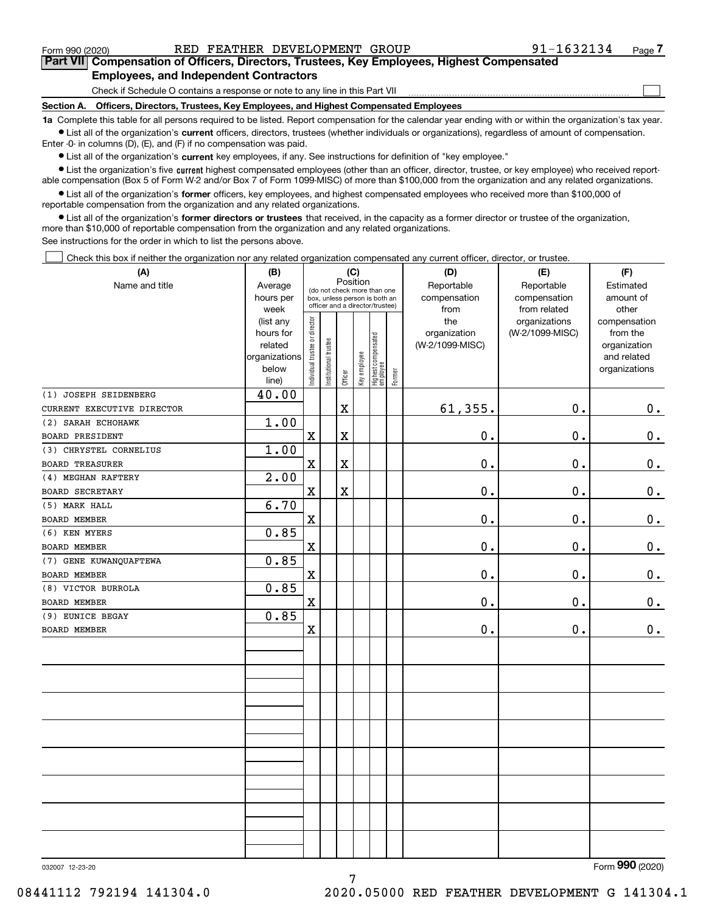$\mathcal{L}^{\text{max}}$ 

**7Part VII Compensation of Officers, Directors, Trustees, Key Employees, Highest Compensated Employees, and Independent Contractors**

Check if Schedule O contains a response or note to any line in this Part VII

**Section A. Officers, Directors, Trustees, Key Employees, and Highest Compensated Employees**

**1a**  Complete this table for all persons required to be listed. Report compensation for the calendar year ending with or within the organization's tax year. **•** List all of the organization's current officers, directors, trustees (whether individuals or organizations), regardless of amount of compensation.

Enter -0- in columns (D), (E), and (F) if no compensation was paid.

 $\bullet$  List all of the organization's  $\,$ current key employees, if any. See instructions for definition of "key employee."

**•** List the organization's five current highest compensated employees (other than an officer, director, trustee, or key employee) who received reportable compensation (Box 5 of Form W-2 and/or Box 7 of Form 1099-MISC) of more than \$100,000 from the organization and any related organizations.

**•** List all of the organization's former officers, key employees, and highest compensated employees who received more than \$100,000 of reportable compensation from the organization and any related organizations.

**former directors or trustees**  ¥ List all of the organization's that received, in the capacity as a former director or trustee of the organization, more than \$10,000 of reportable compensation from the organization and any related organizations.

See instructions for the order in which to list the persons above.

Check this box if neither the organization nor any related organization compensated any current officer, director, or trustee.  $\mathcal{L}^{\text{max}}$ 

| (A)                        | (B)               | (C)                           |                                                                  | Position    |              |                                  |        | (D)                  | (E)                          | (F)                |
|----------------------------|-------------------|-------------------------------|------------------------------------------------------------------|-------------|--------------|----------------------------------|--------|----------------------|------------------------------|--------------------|
| Name and title             | Average           |                               |                                                                  |             |              | (do not check more than one      |        | Reportable           | Reportable                   | Estimated          |
|                            | hours per<br>week |                               | box, unless person is both an<br>officer and a director/trustee) |             |              |                                  |        | compensation<br>from | compensation<br>from related | amount of<br>other |
|                            | (list any         |                               |                                                                  |             |              |                                  |        | the                  | organizations                | compensation       |
|                            | hours for         |                               |                                                                  |             |              |                                  |        | organization         | (W-2/1099-MISC)              | from the           |
|                            | related           |                               |                                                                  |             |              |                                  |        | (W-2/1099-MISC)      |                              | organization       |
|                            | organizations     |                               |                                                                  |             |              |                                  |        |                      |                              | and related        |
|                            | below<br>line)    | ndividual trustee or director | nstitutional trustee                                             | Officer     | Key employee | Highest compensated<br> employee | Former |                      |                              | organizations      |
| (1) JOSEPH SEIDENBERG      | 40.00             |                               |                                                                  |             |              |                                  |        |                      |                              |                    |
| CURRENT EXECUTIVE DIRECTOR |                   |                               |                                                                  | $\mathbf X$ |              |                                  |        | 61, 355.             | $\mathbf 0$ .                | $0_{.}$            |
| (2) SARAH ECHOHAWK         | 1.00              |                               |                                                                  |             |              |                                  |        |                      |                              |                    |
| <b>BOARD PRESIDENT</b>     |                   | X                             |                                                                  | $\mathbf X$ |              |                                  |        | $0$ .                | $\mathbf 0$ .                | $\mathbf 0$ .      |
| (3) CHRYSTEL CORNELIUS     | 1.00              |                               |                                                                  |             |              |                                  |        |                      |                              |                    |
| <b>BOARD TREASURER</b>     |                   | X                             |                                                                  | $\mathbf X$ |              |                                  |        | 0.                   | 0.                           | $\mathbf 0$ .      |
| (4) MEGHAN RAFTERY         | 2.00              |                               |                                                                  |             |              |                                  |        |                      |                              |                    |
| <b>BOARD SECRETARY</b>     |                   | X                             |                                                                  | $\mathbf X$ |              |                                  |        | 0.                   | $\mathbf 0$ .                | $\mathbf 0$ .      |
| (5) MARK HALL              | 6.70              |                               |                                                                  |             |              |                                  |        |                      |                              |                    |
| <b>BOARD MEMBER</b>        |                   | X                             |                                                                  |             |              |                                  |        | 0.                   | $\mathbf 0$ .                | $\mathbf 0$ .      |
| (6) KEN MYERS              | 0.85              |                               |                                                                  |             |              |                                  |        |                      |                              |                    |
| BOARD MEMBER               |                   | X                             |                                                                  |             |              |                                  |        | 0.                   | $\mathbf 0$ .                | $\mathbf 0$ .      |
| (7) GENE KUWANQUAFTEWA     | 0.85              |                               |                                                                  |             |              |                                  |        |                      |                              |                    |
| <b>BOARD MEMBER</b>        |                   | X                             |                                                                  |             |              |                                  |        | 0.                   | 0.                           | 0.                 |
| (8) VICTOR BURROLA         | 0.85              |                               |                                                                  |             |              |                                  |        |                      |                              |                    |
| <b>BOARD MEMBER</b>        |                   | X                             |                                                                  |             |              |                                  |        | 0.                   | $\mathbf 0$ .                | $\mathbf 0$ .      |
| (9) EUNICE BEGAY           | 0.85              |                               |                                                                  |             |              |                                  |        |                      |                              |                    |
| <b>BOARD MEMBER</b>        |                   | X                             |                                                                  |             |              |                                  |        | 0.                   | $\mathfrak o$ .              | $0_{.}$            |
|                            |                   |                               |                                                                  |             |              |                                  |        |                      |                              |                    |
|                            |                   |                               |                                                                  |             |              |                                  |        |                      |                              |                    |
|                            |                   |                               |                                                                  |             |              |                                  |        |                      |                              |                    |
|                            |                   |                               |                                                                  |             |              |                                  |        |                      |                              |                    |
|                            |                   |                               |                                                                  |             |              |                                  |        |                      |                              |                    |
|                            |                   |                               |                                                                  |             |              |                                  |        |                      |                              |                    |
|                            |                   |                               |                                                                  |             |              |                                  |        |                      |                              |                    |
|                            |                   |                               |                                                                  |             |              |                                  |        |                      |                              |                    |
|                            |                   |                               |                                                                  |             |              |                                  |        |                      |                              |                    |
|                            |                   |                               |                                                                  |             |              |                                  |        |                      |                              |                    |
|                            |                   |                               |                                                                  |             |              |                                  |        |                      |                              |                    |

7

032007 12-23-20

Form (2020) **990**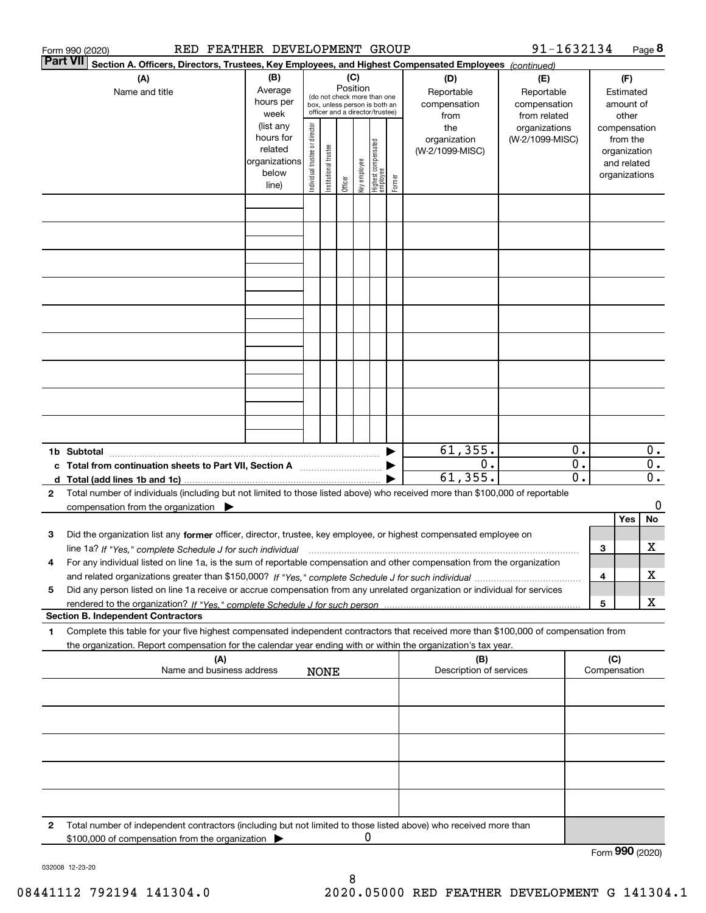| 91-1632134<br>RED FEATHER DEVELOPMENT GROUP<br>Form 990 (2020) |                                                                                                                                                                                                                                                        |                                                                                                                                                                                                                                                        |  |  |                 |   |                                                              |                                                |                                                  |                                   |                                               | Page 8                                                                            |                               |                  |
|----------------------------------------------------------------|--------------------------------------------------------------------------------------------------------------------------------------------------------------------------------------------------------------------------------------------------------|--------------------------------------------------------------------------------------------------------------------------------------------------------------------------------------------------------------------------------------------------------|--|--|-----------------|---|--------------------------------------------------------------|------------------------------------------------|--------------------------------------------------|-----------------------------------|-----------------------------------------------|-----------------------------------------------------------------------------------|-------------------------------|------------------|
|                                                                | <b>Part VII</b><br>Section A. Officers, Directors, Trustees, Key Employees, and Highest Compensated Employees (continued)                                                                                                                              |                                                                                                                                                                                                                                                        |  |  |                 |   |                                                              |                                                |                                                  |                                   |                                               |                                                                                   |                               |                  |
|                                                                | (A)<br>Name and title                                                                                                                                                                                                                                  | (B)<br>Average<br>hours per                                                                                                                                                                                                                            |  |  | (C)<br>Position |   | (do not check more than one<br>box, unless person is both an |                                                | (D)<br>Reportable<br>compensation                | (E)<br>Reportable<br>compensation |                                               |                                                                                   | (F)<br>Estimated<br>amount of |                  |
|                                                                |                                                                                                                                                                                                                                                        | officer and a director/trustee)<br>week<br>(list any<br>Individual trustee or director<br>hours for<br>  Highest compensated<br>  employee<br>Institutional trustee<br>related<br>organizations<br>key employee<br>below<br>Former<br>Officer<br>line) |  |  |                 |   |                                                              | from<br>the<br>organization<br>(W-2/1099-MISC) | from related<br>organizations<br>(W-2/1099-MISC) |                                   |                                               | other<br>compensation<br>from the<br>organization<br>and related<br>organizations |                               |                  |
|                                                                |                                                                                                                                                                                                                                                        |                                                                                                                                                                                                                                                        |  |  |                 |   |                                                              |                                                |                                                  |                                   |                                               |                                                                                   |                               |                  |
|                                                                |                                                                                                                                                                                                                                                        |                                                                                                                                                                                                                                                        |  |  |                 |   |                                                              |                                                |                                                  |                                   |                                               |                                                                                   |                               |                  |
|                                                                |                                                                                                                                                                                                                                                        |                                                                                                                                                                                                                                                        |  |  |                 |   |                                                              |                                                |                                                  |                                   |                                               |                                                                                   |                               |                  |
|                                                                |                                                                                                                                                                                                                                                        |                                                                                                                                                                                                                                                        |  |  |                 |   |                                                              |                                                |                                                  |                                   |                                               |                                                                                   |                               |                  |
|                                                                |                                                                                                                                                                                                                                                        |                                                                                                                                                                                                                                                        |  |  |                 |   |                                                              |                                                |                                                  |                                   |                                               |                                                                                   |                               |                  |
|                                                                |                                                                                                                                                                                                                                                        |                                                                                                                                                                                                                                                        |  |  |                 |   |                                                              |                                                |                                                  |                                   |                                               |                                                                                   |                               |                  |
|                                                                |                                                                                                                                                                                                                                                        |                                                                                                                                                                                                                                                        |  |  |                 |   |                                                              |                                                |                                                  |                                   |                                               |                                                                                   |                               |                  |
|                                                                |                                                                                                                                                                                                                                                        |                                                                                                                                                                                                                                                        |  |  |                 |   |                                                              |                                                |                                                  |                                   |                                               |                                                                                   |                               |                  |
|                                                                | 1b Subtotal                                                                                                                                                                                                                                            |                                                                                                                                                                                                                                                        |  |  |                 |   |                                                              |                                                | 61, 355.                                         |                                   | 0.                                            |                                                                                   |                               | $0$ .            |
|                                                                | c Total from continuation sheets to Part VII, Section A                                                                                                                                                                                                |                                                                                                                                                                                                                                                        |  |  |                 |   |                                                              |                                                | 0.<br>61, 355.                                   |                                   | $\overline{\mathbf{0}}$ .<br>$\overline{0}$ . | $\overline{\mathbf{0}}$ .                                                         |                               | $\overline{0}$ . |
| $\mathbf{2}$                                                   | Total number of individuals (including but not limited to those listed above) who received more than \$100,000 of reportable<br>compensation from the organization $\blacktriangleright$                                                               |                                                                                                                                                                                                                                                        |  |  |                 |   |                                                              |                                                |                                                  |                                   |                                               |                                                                                   |                               | 0                |
| з                                                              | Did the organization list any former officer, director, trustee, key employee, or highest compensated employee on                                                                                                                                      |                                                                                                                                                                                                                                                        |  |  |                 |   |                                                              |                                                |                                                  |                                   |                                               |                                                                                   | Yes                           | No               |
|                                                                | line 1a? If "Yes," complete Schedule J for such individual manufactured contained and the Yes," complete Schedule J for such individual                                                                                                                |                                                                                                                                                                                                                                                        |  |  |                 |   |                                                              |                                                |                                                  |                                   |                                               | 3                                                                                 |                               | х                |
| 4                                                              | For any individual listed on line 1a, is the sum of reportable compensation and other compensation from the organization                                                                                                                               |                                                                                                                                                                                                                                                        |  |  |                 |   |                                                              |                                                |                                                  |                                   |                                               | 4                                                                                 |                               | х                |
| 5                                                              | Did any person listed on line 1a receive or accrue compensation from any unrelated organization or individual for services                                                                                                                             |                                                                                                                                                                                                                                                        |  |  |                 |   |                                                              |                                                |                                                  |                                   |                                               | 5                                                                                 |                               | X                |
|                                                                | <b>Section B. Independent Contractors</b>                                                                                                                                                                                                              |                                                                                                                                                                                                                                                        |  |  |                 |   |                                                              |                                                |                                                  |                                   |                                               |                                                                                   |                               |                  |
| 1                                                              | Complete this table for your five highest compensated independent contractors that received more than \$100,000 of compensation from<br>the organization. Report compensation for the calendar year ending with or within the organization's tax year. |                                                                                                                                                                                                                                                        |  |  |                 |   |                                                              |                                                |                                                  |                                   |                                               |                                                                                   |                               |                  |
|                                                                | (A)<br>(B)<br>Name and business address<br>Description of services<br><b>NONE</b>                                                                                                                                                                      |                                                                                                                                                                                                                                                        |  |  |                 |   |                                                              |                                                |                                                  | (C)                               | Compensation                                  |                                                                                   |                               |                  |
|                                                                |                                                                                                                                                                                                                                                        |                                                                                                                                                                                                                                                        |  |  |                 |   |                                                              |                                                |                                                  |                                   |                                               |                                                                                   |                               |                  |
|                                                                |                                                                                                                                                                                                                                                        |                                                                                                                                                                                                                                                        |  |  |                 |   |                                                              |                                                |                                                  |                                   |                                               |                                                                                   |                               |                  |
|                                                                |                                                                                                                                                                                                                                                        |                                                                                                                                                                                                                                                        |  |  |                 |   |                                                              |                                                |                                                  |                                   |                                               |                                                                                   |                               |                  |
|                                                                |                                                                                                                                                                                                                                                        |                                                                                                                                                                                                                                                        |  |  |                 |   |                                                              |                                                |                                                  |                                   |                                               |                                                                                   |                               |                  |
| 2                                                              | Total number of independent contractors (including but not limited to those listed above) who received more than                                                                                                                                       |                                                                                                                                                                                                                                                        |  |  |                 | 0 |                                                              |                                                |                                                  |                                   |                                               |                                                                                   |                               |                  |
|                                                                | \$100,000 of compensation from the organization                                                                                                                                                                                                        |                                                                                                                                                                                                                                                        |  |  |                 |   |                                                              |                                                |                                                  |                                   |                                               |                                                                                   | Form 990 (2020)               |                  |

032008 12-23-20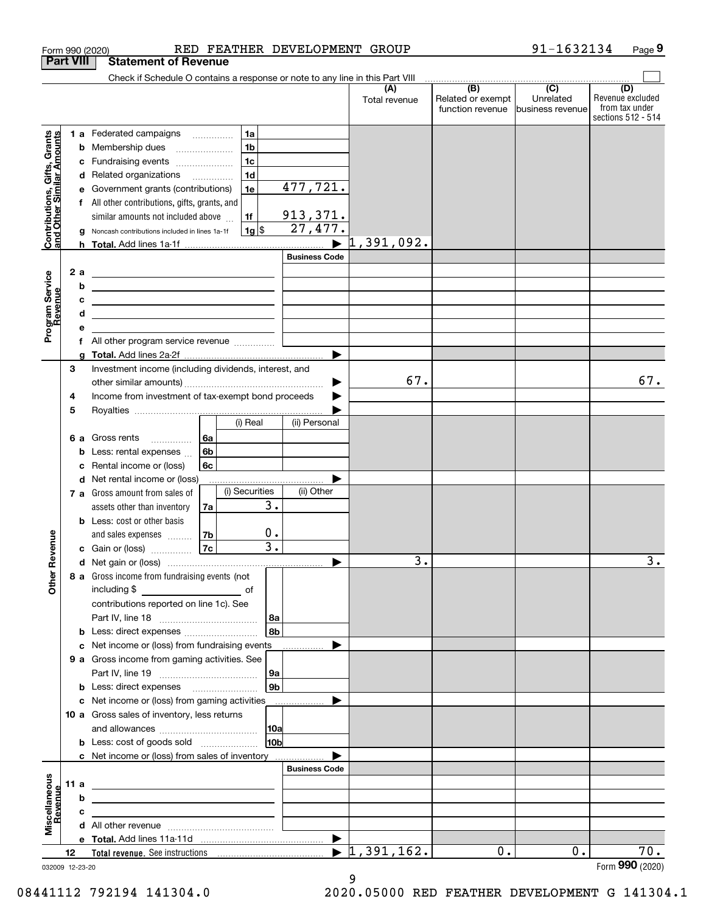|                                                           |                  | RED FEATHER DEVELOPMENT GROUP<br>Form 990 (2020)                                                                                                                          |                           |                                  |                                              | 91-1632134                                        | Page 9                                                          |
|-----------------------------------------------------------|------------------|---------------------------------------------------------------------------------------------------------------------------------------------------------------------------|---------------------------|----------------------------------|----------------------------------------------|---------------------------------------------------|-----------------------------------------------------------------|
|                                                           | <b>Part VIII</b> | <b>Statement of Revenue</b>                                                                                                                                               |                           |                                  |                                              |                                                   |                                                                 |
|                                                           |                  | Check if Schedule O contains a response or note to any line in this Part VIII                                                                                             |                           |                                  |                                              |                                                   |                                                                 |
|                                                           |                  |                                                                                                                                                                           |                           | (A)<br>Total revenue             | (B)<br>Related or exempt<br>function revenue | $\overline{(C)}$<br>Unrelated<br>business revenue | (D)<br>Revenue excluded<br>from tax under<br>sections 512 - 514 |
|                                                           |                  | 1a<br><b>1 a</b> Federated campaigns                                                                                                                                      |                           |                                  |                                              |                                                   |                                                                 |
| Contributions, Gifts, Grants<br>and Other Similar Amounts |                  | 1 <sub>b</sub><br><b>b</b> Membership dues<br>$\ldots \ldots \ldots \ldots \ldots$                                                                                        |                           |                                  |                                              |                                                   |                                                                 |
|                                                           |                  | 1 <sub>c</sub><br>c Fundraising events                                                                                                                                    |                           |                                  |                                              |                                                   |                                                                 |
|                                                           |                  | 1 <sub>d</sub><br>d Related organizations                                                                                                                                 |                           |                                  |                                              |                                                   |                                                                 |
|                                                           | е                | 1e<br>Government grants (contributions)                                                                                                                                   | 477,721.                  |                                  |                                              |                                                   |                                                                 |
|                                                           |                  | f All other contributions, gifts, grants, and                                                                                                                             |                           |                                  |                                              |                                                   |                                                                 |
|                                                           |                  | 1f<br>similar amounts not included above                                                                                                                                  | 913, 371.                 |                                  |                                              |                                                   |                                                                 |
|                                                           | g                | 1g <br>Noncash contributions included in lines 1a-1f                                                                                                                      | $\overline{27, 477}$ .    | 1,391,092.                       |                                              |                                                   |                                                                 |
|                                                           |                  |                                                                                                                                                                           | ▶<br><b>Business Code</b> |                                  |                                              |                                                   |                                                                 |
|                                                           | 2 a              |                                                                                                                                                                           |                           |                                  |                                              |                                                   |                                                                 |
|                                                           | b                | <u> 2002 - John Stone, Amerikaans en Stone (</u><br><u> 1989 - Andrea Barbara, amerikan personal di personal dengan personal di personal dengan personal di personal </u> |                           |                                  |                                              |                                                   |                                                                 |
|                                                           | c                | <u> 2000 - Andrea Andrew Maria (h. 1878).</u>                                                                                                                             |                           |                                  |                                              |                                                   |                                                                 |
|                                                           | d                | <u> 1989 - Johann Barn, mars ann an t-Amhain an t-Amhain an t-Amhain an t-Amhain an t-Amhain an t-Amhain an t-Amh</u>                                                     |                           |                                  |                                              |                                                   |                                                                 |
| Program Service<br>Revenue                                | е                |                                                                                                                                                                           |                           |                                  |                                              |                                                   |                                                                 |
|                                                           |                  | f All other program service revenue                                                                                                                                       |                           |                                  |                                              |                                                   |                                                                 |
|                                                           |                  |                                                                                                                                                                           | ▶                         |                                  |                                              |                                                   |                                                                 |
|                                                           | 3                | Investment income (including dividends, interest, and                                                                                                                     |                           | 67.                              |                                              |                                                   |                                                                 |
|                                                           |                  |                                                                                                                                                                           | ▶                         |                                  |                                              |                                                   | 67.                                                             |
|                                                           | 4<br>5           | Income from investment of tax-exempt bond proceeds                                                                                                                        |                           |                                  |                                              |                                                   |                                                                 |
|                                                           |                  | (i) Real                                                                                                                                                                  | (ii) Personal             |                                  |                                              |                                                   |                                                                 |
|                                                           |                  | 6a<br>6 a Gross rents                                                                                                                                                     |                           |                                  |                                              |                                                   |                                                                 |
|                                                           |                  | 6b<br><b>b</b> Less: rental expenses                                                                                                                                      |                           |                                  |                                              |                                                   |                                                                 |
|                                                           | c                | 6c<br>Rental income or (loss)                                                                                                                                             |                           |                                  |                                              |                                                   |                                                                 |
|                                                           |                  | d Net rental income or (loss)                                                                                                                                             |                           |                                  |                                              |                                                   |                                                                 |
|                                                           |                  | (i) Securities<br>7 a Gross amount from sales of                                                                                                                          | (ii) Other                |                                  |                                              |                                                   |                                                                 |
|                                                           |                  | assets other than inventory<br>7a                                                                                                                                         | $\overline{3}$ .          |                                  |                                              |                                                   |                                                                 |
|                                                           |                  | <b>b</b> Less: cost or other basis                                                                                                                                        |                           |                                  |                                              |                                                   |                                                                 |
|                                                           |                  | 7b<br>and sales expenses                                                                                                                                                  | $0$ .                     |                                  |                                              |                                                   |                                                                 |
| evenue                                                    |                  | 7c<br>c Gain or (loss)                                                                                                                                                    | $\overline{3}$ .          | $\overline{\mathbf{3}}$ .        |                                              |                                                   | ٦                                                               |
| Other R                                                   |                  |                                                                                                                                                                           |                           |                                  |                                              |                                                   |                                                                 |
|                                                           |                  | 8 a Gross income from fundraising events (not                                                                                                                             |                           |                                  |                                              |                                                   |                                                                 |
|                                                           |                  | contributions reported on line 1c). See                                                                                                                                   |                           |                                  |                                              |                                                   |                                                                 |
|                                                           |                  |                                                                                                                                                                           | 8a                        |                                  |                                              |                                                   |                                                                 |
|                                                           |                  | <b>b</b> Less: direct expenses <b>constants b</b>                                                                                                                         | 8 <sub>b</sub>            |                                  |                                              |                                                   |                                                                 |
|                                                           |                  | c Net income or (loss) from fundraising events                                                                                                                            |                           |                                  |                                              |                                                   |                                                                 |
|                                                           |                  | 9 a Gross income from gaming activities. See                                                                                                                              |                           |                                  |                                              |                                                   |                                                                 |
|                                                           |                  |                                                                                                                                                                           | 9a                        |                                  |                                              |                                                   |                                                                 |
|                                                           |                  | <b>b</b> Less: direct expenses <b>manually</b>                                                                                                                            | 9 <sub>b</sub>            |                                  |                                              |                                                   |                                                                 |
|                                                           |                  | c Net income or (loss) from gaming activities _______________                                                                                                             |                           |                                  |                                              |                                                   |                                                                 |
|                                                           |                  | 10 a Gross sales of inventory, less returns                                                                                                                               |                           |                                  |                                              |                                                   |                                                                 |
|                                                           |                  |                                                                                                                                                                           | 10a                       |                                  |                                              |                                                   |                                                                 |
|                                                           |                  |                                                                                                                                                                           | 10 <sub>b</sub>           |                                  |                                              |                                                   |                                                                 |
|                                                           |                  | c Net income or (loss) from sales of inventory                                                                                                                            | <b>Business Code</b>      |                                  |                                              |                                                   |                                                                 |
|                                                           | 11 a             | <u> 2008 - John Stone, Amerikaans en Stone († 18</u>                                                                                                                      |                           |                                  |                                              |                                                   |                                                                 |
| evenue                                                    | b                | <u> 2008 - John Stein, Amerikaansk politiker (* 1858)</u>                                                                                                                 |                           |                                  |                                              |                                                   |                                                                 |
|                                                           | c                | the contract of the contract of the contract of the contract of the contract of                                                                                           |                           |                                  |                                              |                                                   |                                                                 |
|                                                           |                  |                                                                                                                                                                           |                           |                                  |                                              |                                                   |                                                                 |
| Miscellaneous                                             |                  |                                                                                                                                                                           |                           |                                  |                                              |                                                   |                                                                 |
|                                                           | 12               |                                                                                                                                                                           |                           | $\blacktriangleright$ 1,391,162. | 0.                                           | 0.                                                | 70.                                                             |
|                                                           | 032009 12-23-20  |                                                                                                                                                                           |                           |                                  |                                              |                                                   | Form 990 (2020)                                                 |

032009 12-23-20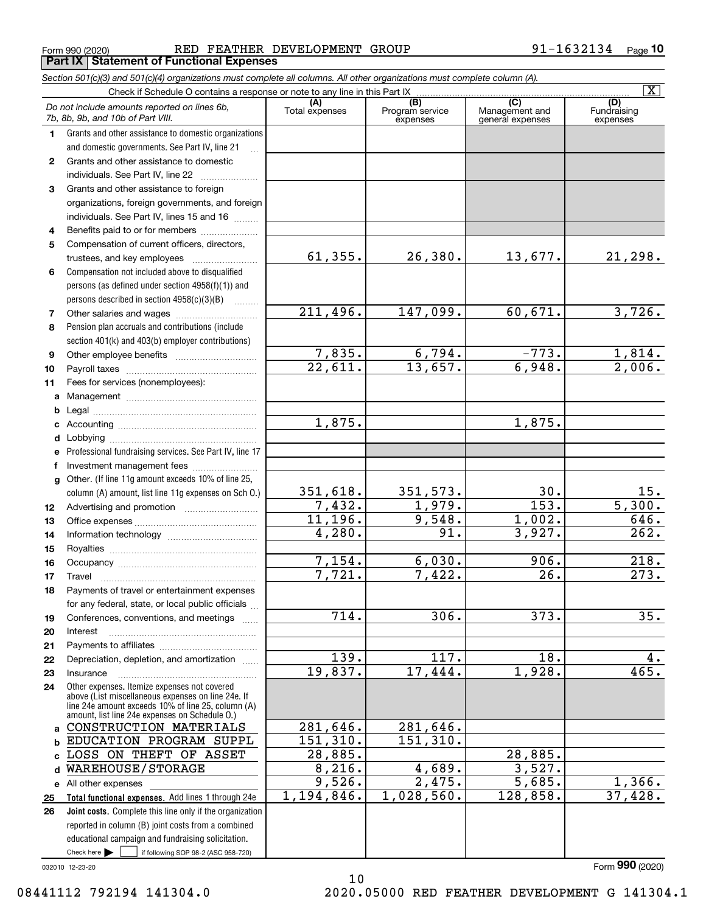Form 990 (2020) RED FEATHER DEVELOPMENT GROUP 9 $1\text{--}16\,3\,2\,1\,3\,4$   $_\text{Page}$ **Part IX Statement of Functional Expenses**

|              | Section 501(c)(3) and 501(c)(4) organizations must complete all columns. All other organizations must complete column (A).                                                                                 |                                 |                                    |                                           |                                |
|--------------|------------------------------------------------------------------------------------------------------------------------------------------------------------------------------------------------------------|---------------------------------|------------------------------------|-------------------------------------------|--------------------------------|
|              | Check if Schedule O contains a response or note to any line in this Part IX                                                                                                                                |                                 |                                    |                                           | $\overline{\mathbf{X}}$        |
|              | Do not include amounts reported on lines 6b,<br>7b, 8b, 9b, and 10b of Part VIII.                                                                                                                          | (A)<br>Total expenses           | (B)<br>Program service<br>expenses | (C)<br>Management and<br>general expenses | (D)<br>Fundraising<br>expenses |
| 1.           | Grants and other assistance to domestic organizations                                                                                                                                                      |                                 |                                    |                                           |                                |
|              | and domestic governments. See Part IV, line 21                                                                                                                                                             |                                 |                                    |                                           |                                |
| 2            | Grants and other assistance to domestic                                                                                                                                                                    |                                 |                                    |                                           |                                |
|              | individuals. See Part IV, line 22                                                                                                                                                                          |                                 |                                    |                                           |                                |
| 3            | Grants and other assistance to foreign                                                                                                                                                                     |                                 |                                    |                                           |                                |
|              | organizations, foreign governments, and foreign                                                                                                                                                            |                                 |                                    |                                           |                                |
|              | individuals. See Part IV, lines 15 and 16                                                                                                                                                                  |                                 |                                    |                                           |                                |
| 4            | Benefits paid to or for members                                                                                                                                                                            |                                 |                                    |                                           |                                |
| 5            | Compensation of current officers, directors,                                                                                                                                                               |                                 |                                    |                                           |                                |
|              | trustees, and key employees                                                                                                                                                                                | 61, 355.                        | 26,380.                            | 13,677.                                   | 21,298.                        |
| 6            | Compensation not included above to disqualified                                                                                                                                                            |                                 |                                    |                                           |                                |
|              | persons (as defined under section 4958(f)(1)) and                                                                                                                                                          |                                 |                                    |                                           |                                |
|              | persons described in section 4958(c)(3)(B)                                                                                                                                                                 |                                 |                                    |                                           |                                |
| 7            |                                                                                                                                                                                                            | 211,496.                        | 147,099.                           | 60,671.                                   | 3,726.                         |
| 8            | Pension plan accruals and contributions (include                                                                                                                                                           |                                 |                                    |                                           |                                |
|              | section 401(k) and 403(b) employer contributions)                                                                                                                                                          |                                 |                                    | $-773.$                                   |                                |
| 9            |                                                                                                                                                                                                            | 7,835.<br>$\overline{22,611}$ . | 6,794.<br>13,657.                  | 6,948.                                    | $\frac{1,814}{2,006}$          |
| 10           |                                                                                                                                                                                                            |                                 |                                    |                                           |                                |
| 11           | Fees for services (nonemployees):                                                                                                                                                                          |                                 |                                    |                                           |                                |
| a            |                                                                                                                                                                                                            |                                 |                                    |                                           |                                |
| b            |                                                                                                                                                                                                            | 1,875.                          |                                    | 1,875.                                    |                                |
| c            |                                                                                                                                                                                                            |                                 |                                    |                                           |                                |
| d            |                                                                                                                                                                                                            |                                 |                                    |                                           |                                |
| е<br>f       | Professional fundraising services. See Part IV, line 17<br>Investment management fees                                                                                                                      |                                 |                                    |                                           |                                |
| $\mathbf{q}$ | Other. (If line 11g amount exceeds 10% of line 25,                                                                                                                                                         |                                 |                                    |                                           |                                |
|              | column (A) amount, list line 11g expenses on Sch O.)                                                                                                                                                       | 351,618.                        | 351, 573.                          | 30.                                       | <u> 15.</u>                    |
| 12           |                                                                                                                                                                                                            | 7,432.                          | 1,979.                             | $\overline{153}$ .                        | 5,300.                         |
| 13           |                                                                                                                                                                                                            | 11,196.                         | 9,548.                             | 1,002.                                    | 646.                           |
| 14           |                                                                                                                                                                                                            | 4,280.                          | 91.                                | 3,927.                                    | $\overline{262.}$              |
| 15           |                                                                                                                                                                                                            |                                 |                                    |                                           |                                |
| 16           |                                                                                                                                                                                                            | 7,154.                          | 6,030.                             | 906.                                      | 218.                           |
| 17           |                                                                                                                                                                                                            | 7,721.                          | 7,422.                             | 26.                                       | 273.                           |
| 18           | Payments of travel or entertainment expenses                                                                                                                                                               |                                 |                                    |                                           |                                |
|              | for any federal, state, or local public officials                                                                                                                                                          |                                 |                                    |                                           |                                |
| 19           | Conferences, conventions, and meetings                                                                                                                                                                     | 714.                            | 306.                               | 373.                                      | 35.                            |
| 20           | Interest                                                                                                                                                                                                   |                                 |                                    |                                           |                                |
| 21           |                                                                                                                                                                                                            |                                 |                                    |                                           |                                |
| 22           | Depreciation, depletion, and amortization                                                                                                                                                                  | 139.                            | 117.                               | 18.                                       | 4.                             |
| 23           | Insurance                                                                                                                                                                                                  | 19,837.                         | 17,444.                            | 1,928.                                    | 465.                           |
| 24           | Other expenses. Itemize expenses not covered<br>above (List miscellaneous expenses on line 24e. If<br>line 24e amount exceeds 10% of line 25, column (A)<br>amount, list line 24e expenses on Schedule 0.) |                                 |                                    |                                           |                                |
| a            | CONSTRUCTION MATERIALS                                                                                                                                                                                     | 281,646.                        | 281,646.                           |                                           |                                |
| b            | EDUCATION PROGRAM SUPPL                                                                                                                                                                                    | 151,310.                        | 151,310.                           |                                           |                                |
| C            | LOSS ON THEFT OF ASSET                                                                                                                                                                                     | 28,885.                         |                                    | 28,885.                                   |                                |
| d            | WAREHOUSE/STORAGE                                                                                                                                                                                          | 8,216.                          | 4,689.                             | 3,527.                                    |                                |
| е            | All other expenses                                                                                                                                                                                         | 9,526.                          | 2,475.                             | $\overline{5,685}$ .                      | 1,366.                         |
| 25           | Total functional expenses. Add lines 1 through 24e                                                                                                                                                         | 1,194,846.                      | 1,028,560.                         | 128,858.                                  | 37,428.                        |
| 26           | <b>Joint costs.</b> Complete this line only if the organization                                                                                                                                            |                                 |                                    |                                           |                                |
|              | reported in column (B) joint costs from a combined                                                                                                                                                         |                                 |                                    |                                           |                                |
|              | educational campaign and fundraising solicitation.                                                                                                                                                         |                                 |                                    |                                           |                                |
|              | Check here $\blacktriangleright$<br>if following SOP 98-2 (ASC 958-720)                                                                                                                                    |                                 |                                    |                                           |                                |

10

032010 12-23-20

### 08441112 792194 141304.0 2020.05000 RED FEATHER DEVELOPMENT G 141304.1

Form (2020) **990**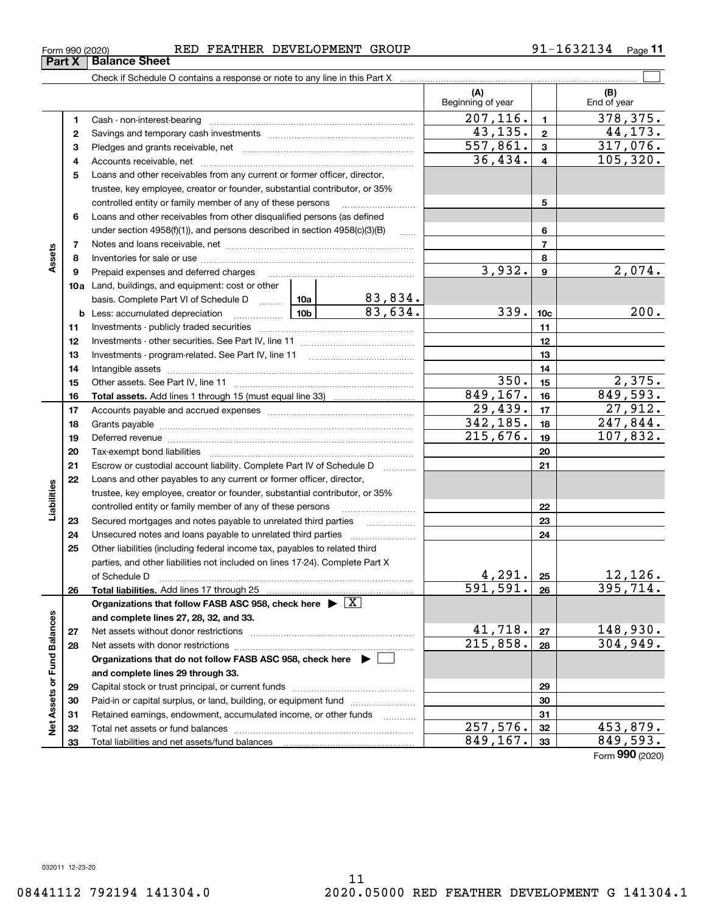**33**

Form (2020) **990**

| Form 990 (2020) | RED | <b>FEATHER</b> | DEVELOPMENT GROUP |  | 1632134<br>$\overline{\phantom{0}}$ | Page |
|-----------------|-----|----------------|-------------------|--|-------------------------------------|------|
|-----------------|-----|----------------|-------------------|--|-------------------------------------|------|

|                             |              |                                                                                                                                                                                                                                |                                                                 |                        | (A)<br>Beginning of year |                | (B)<br>End of year |
|-----------------------------|--------------|--------------------------------------------------------------------------------------------------------------------------------------------------------------------------------------------------------------------------------|-----------------------------------------------------------------|------------------------|--------------------------|----------------|--------------------|
|                             | 1            |                                                                                                                                                                                                                                |                                                                 |                        | 207, 116.                | $\blacksquare$ | 378,375.           |
|                             | $\mathbf{2}$ |                                                                                                                                                                                                                                |                                                                 |                        | 43,135.                  | $\mathbf{2}$   | 44, 173.           |
|                             | 3            |                                                                                                                                                                                                                                |                                                                 |                        | $\overline{557,861}$ .   | $\mathbf{3}$   | 317,076.           |
|                             | 4            |                                                                                                                                                                                                                                |                                                                 | 36,434.                | $\overline{\mathbf{4}}$  | 105, 320.      |                    |
|                             | 5            | Loans and other receivables from any current or former officer, director,                                                                                                                                                      |                                                                 |                        |                          |                |                    |
|                             |              | trustee, key employee, creator or founder, substantial contributor, or 35%                                                                                                                                                     |                                                                 |                        |                          |                |                    |
|                             |              | controlled entity or family member of any of these persons                                                                                                                                                                     |                                                                 |                        |                          | 5              |                    |
|                             | 6            | Loans and other receivables from other disqualified persons (as defined                                                                                                                                                        |                                                                 |                        |                          |                |                    |
|                             |              | under section $4958(f)(1)$ , and persons described in section $4958(c)(3)(B)$                                                                                                                                                  |                                                                 | $\sim$                 |                          | 6              |                    |
|                             | 7            |                                                                                                                                                                                                                                |                                                                 |                        | $\overline{7}$           |                |                    |
| Assets                      | 8            |                                                                                                                                                                                                                                |                                                                 |                        |                          | 8              |                    |
|                             | 9            | Prepaid expenses and deferred charges [11] matter contracts and the ferred charges [11] matter contracts and the Prepaid expenses and deferred charges [11] matter contracts and the Prepaid experiment of Prepaid experiment  |                                                                 |                        | 3,932.                   | 9              | 2,074.             |
|                             |              | 10a Land, buildings, and equipment: cost or other                                                                                                                                                                              |                                                                 |                        |                          |                |                    |
|                             |              |                                                                                                                                                                                                                                | basis. Complete Part VI of Schedule D  10a   83,834.<br>83,634. |                        |                          |                |                    |
|                             |              |                                                                                                                                                                                                                                | 339.                                                            | 10 <sub>c</sub>        | 200.                     |                |                    |
|                             | 11           |                                                                                                                                                                                                                                |                                                                 | 11                     |                          |                |                    |
|                             | 12           |                                                                                                                                                                                                                                |                                                                 | 12                     |                          |                |                    |
|                             | 13           |                                                                                                                                                                                                                                |                                                                 | 13                     |                          |                |                    |
|                             | 14           |                                                                                                                                                                                                                                |                                                                 |                        | 14                       |                |                    |
|                             | 15           |                                                                                                                                                                                                                                |                                                                 |                        | 350.<br>849, 167.        | 15             | 2,375.<br>849,593. |
|                             | 16           |                                                                                                                                                                                                                                |                                                                 |                        | 29,439.                  | 16<br>17       | 27,912.            |
|                             | 17           |                                                                                                                                                                                                                                |                                                                 | 342, 185.              |                          | 247,844.       |                    |
|                             | 18<br>19     |                                                                                                                                                                                                                                | 215,676.                                                        | 18<br>19               | 107,832.                 |                |                    |
|                             | 20           | Deferred revenue manual contracts and contracts are contracted and contract and contract are contracted and contract are contracted and contract are contracted and contract are contracted and contract are contracted and co |                                                                 |                        | 20                       |                |                    |
|                             | 21           | Escrow or custodial account liability. Complete Part IV of Schedule D                                                                                                                                                          |                                                                 |                        | 21                       |                |                    |
|                             | 22           | Loans and other payables to any current or former officer, director,                                                                                                                                                           |                                                                 |                        |                          |                |                    |
| Liabilities                 |              | trustee, key employee, creator or founder, substantial contributor, or 35%                                                                                                                                                     |                                                                 |                        |                          |                |                    |
|                             |              | controlled entity or family member of any of these persons                                                                                                                                                                     |                                                                 |                        |                          | 22             |                    |
|                             | 23           |                                                                                                                                                                                                                                |                                                                 |                        |                          | 23             |                    |
|                             | 24           |                                                                                                                                                                                                                                |                                                                 |                        |                          | 24             |                    |
|                             | 25           | Other liabilities (including federal income tax, payables to related third                                                                                                                                                     |                                                                 |                        |                          |                |                    |
|                             |              | parties, and other liabilities not included on lines 17-24). Complete Part X                                                                                                                                                   |                                                                 |                        |                          |                |                    |
|                             |              | of Schedule D <b>www.arenamin.communities</b> and a set of Schedule D                                                                                                                                                          |                                                                 |                        | 4,291.                   | 25             | 12, 126.           |
|                             | 26           | Total liabilities. Add lines 17 through 25                                                                                                                                                                                     |                                                                 |                        | $\overline{591,591.}$    | 26             | 395,714.           |
|                             |              | Organizations that follow FASB ASC 958, check here $\triangleright \lfloor X \rfloor$                                                                                                                                          |                                                                 |                        |                          |                |                    |
|                             |              | and complete lines 27, 28, 32, and 33.                                                                                                                                                                                         |                                                                 |                        |                          |                |                    |
|                             | 27           |                                                                                                                                                                                                                                |                                                                 |                        | 41,718.                  | 27             | 148,930.           |
|                             | 28           |                                                                                                                                                                                                                                |                                                                 | $\overline{215,858}$ . | 28                       | 304,949.       |                    |
|                             |              | Organizations that do not follow FASB ASC 958, check here ▶ □                                                                                                                                                                  |                                                                 |                        |                          |                |                    |
| Net Assets or Fund Balances |              | and complete lines 29 through 33.                                                                                                                                                                                              |                                                                 |                        |                          |                |                    |
|                             | 29           |                                                                                                                                                                                                                                |                                                                 |                        | 29                       |                |                    |
|                             | 30           | Paid-in or capital surplus, or land, building, or equipment fund                                                                                                                                                               |                                                                 |                        |                          | 30             |                    |
|                             | 31           | Retained earnings, endowment, accumulated income, or other funds                                                                                                                                                               |                                                                 |                        |                          | 31             |                    |
|                             | 32           |                                                                                                                                                                                                                                |                                                                 |                        | $\overline{257,576}$ .   | 32             | 453,879.           |
|                             | 33           | Total liabilities and net assets/fund balances                                                                                                                                                                                 | 849,167.                                                        | 33                     | 849,593.                 |                |                    |

**Part X Balance Sheet**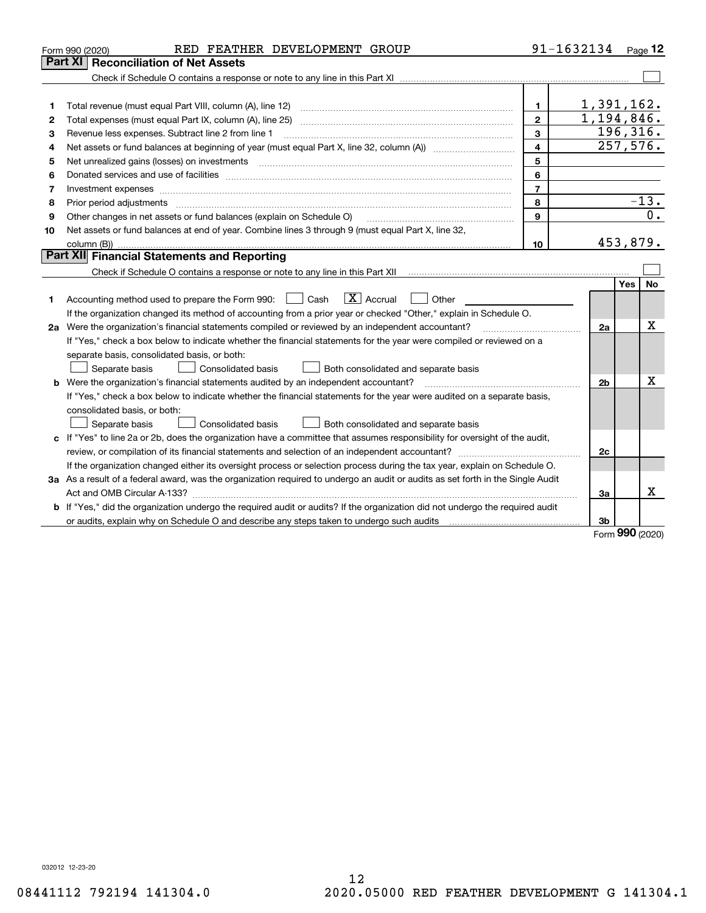| Part XI<br>1,391,162.<br>$\mathbf{1}$<br>1<br>1,194,846.<br>$\overline{2}$<br>Total expenses (must equal Part IX, column (A), line 25) [11] manufactured expenses (must equal Part IX, column (A), line 25)<br>2<br>196, 316.<br>3<br>Revenue less expenses. Subtract line 2 from line 1<br>3<br>257,576.<br>$\overline{4}$<br>4<br>5<br>5<br>6<br>6<br>$\overline{7}$<br>7<br>$-13.$<br>8<br>8<br>Prior period adjustments www.communication.communication.com/news/communication.com/news/communication.com/new<br>$\overline{0}$ .<br>9<br>Other changes in net assets or fund balances (explain on Schedule O)<br>9<br>Net assets or fund balances at end of year. Combine lines 3 through 9 (must equal Part X, line 32,<br>10<br>453,879.<br>column (B))<br>10<br>Part XII Financial Statements and Reporting<br><b>No</b><br>Yes<br>$\boxed{\mathbf{X}}$ Accrual<br>Accounting method used to prepare the Form 990: [130] Cash<br>Other<br>$\perp$<br>1<br>If the organization changed its method of accounting from a prior year or checked "Other," explain in Schedule O.<br>x<br>2a Were the organization's financial statements compiled or reviewed by an independent accountant?<br>2a<br>If "Yes," check a box below to indicate whether the financial statements for the year were compiled or reviewed on a<br>separate basis, consolidated basis, or both:<br>Both consolidated and separate basis<br>Separate basis<br>Consolidated basis<br>Χ<br><b>b</b> Were the organization's financial statements audited by an independent accountant?<br>2 <sub>b</sub><br>If "Yes," check a box below to indicate whether the financial statements for the year were audited on a separate basis,<br>consolidated basis, or both:<br>Consolidated basis<br>Separate basis<br>Both consolidated and separate basis<br>c If "Yes" to line 2a or 2b, does the organization have a committee that assumes responsibility for oversight of the audit,<br>2c | RED FEATHER DEVELOPMENT GROUP<br>Form 990 (2020)                                                                          |  | 91-1632134 |  | Page $12$ |
|--------------------------------------------------------------------------------------------------------------------------------------------------------------------------------------------------------------------------------------------------------------------------------------------------------------------------------------------------------------------------------------------------------------------------------------------------------------------------------------------------------------------------------------------------------------------------------------------------------------------------------------------------------------------------------------------------------------------------------------------------------------------------------------------------------------------------------------------------------------------------------------------------------------------------------------------------------------------------------------------------------------------------------------------------------------------------------------------------------------------------------------------------------------------------------------------------------------------------------------------------------------------------------------------------------------------------------------------------------------------------------------------------------------------------------------------------------------------------------------------------------------------------------------------------------------------------------------------------------------------------------------------------------------------------------------------------------------------------------------------------------------------------------------------------------------------------------------------------------------------------------------------------------------------------------------------------------------------|---------------------------------------------------------------------------------------------------------------------------|--|------------|--|-----------|
|                                                                                                                                                                                                                                                                                                                                                                                                                                                                                                                                                                                                                                                                                                                                                                                                                                                                                                                                                                                                                                                                                                                                                                                                                                                                                                                                                                                                                                                                                                                                                                                                                                                                                                                                                                                                                                                                                                                                                                    | <b>Reconciliation of Net Assets</b>                                                                                       |  |            |  |           |
|                                                                                                                                                                                                                                                                                                                                                                                                                                                                                                                                                                                                                                                                                                                                                                                                                                                                                                                                                                                                                                                                                                                                                                                                                                                                                                                                                                                                                                                                                                                                                                                                                                                                                                                                                                                                                                                                                                                                                                    |                                                                                                                           |  |            |  |           |
|                                                                                                                                                                                                                                                                                                                                                                                                                                                                                                                                                                                                                                                                                                                                                                                                                                                                                                                                                                                                                                                                                                                                                                                                                                                                                                                                                                                                                                                                                                                                                                                                                                                                                                                                                                                                                                                                                                                                                                    |                                                                                                                           |  |            |  |           |
|                                                                                                                                                                                                                                                                                                                                                                                                                                                                                                                                                                                                                                                                                                                                                                                                                                                                                                                                                                                                                                                                                                                                                                                                                                                                                                                                                                                                                                                                                                                                                                                                                                                                                                                                                                                                                                                                                                                                                                    |                                                                                                                           |  |            |  |           |
|                                                                                                                                                                                                                                                                                                                                                                                                                                                                                                                                                                                                                                                                                                                                                                                                                                                                                                                                                                                                                                                                                                                                                                                                                                                                                                                                                                                                                                                                                                                                                                                                                                                                                                                                                                                                                                                                                                                                                                    |                                                                                                                           |  |            |  |           |
|                                                                                                                                                                                                                                                                                                                                                                                                                                                                                                                                                                                                                                                                                                                                                                                                                                                                                                                                                                                                                                                                                                                                                                                                                                                                                                                                                                                                                                                                                                                                                                                                                                                                                                                                                                                                                                                                                                                                                                    |                                                                                                                           |  |            |  |           |
|                                                                                                                                                                                                                                                                                                                                                                                                                                                                                                                                                                                                                                                                                                                                                                                                                                                                                                                                                                                                                                                                                                                                                                                                                                                                                                                                                                                                                                                                                                                                                                                                                                                                                                                                                                                                                                                                                                                                                                    |                                                                                                                           |  |            |  |           |
|                                                                                                                                                                                                                                                                                                                                                                                                                                                                                                                                                                                                                                                                                                                                                                                                                                                                                                                                                                                                                                                                                                                                                                                                                                                                                                                                                                                                                                                                                                                                                                                                                                                                                                                                                                                                                                                                                                                                                                    |                                                                                                                           |  |            |  |           |
|                                                                                                                                                                                                                                                                                                                                                                                                                                                                                                                                                                                                                                                                                                                                                                                                                                                                                                                                                                                                                                                                                                                                                                                                                                                                                                                                                                                                                                                                                                                                                                                                                                                                                                                                                                                                                                                                                                                                                                    |                                                                                                                           |  |            |  |           |
|                                                                                                                                                                                                                                                                                                                                                                                                                                                                                                                                                                                                                                                                                                                                                                                                                                                                                                                                                                                                                                                                                                                                                                                                                                                                                                                                                                                                                                                                                                                                                                                                                                                                                                                                                                                                                                                                                                                                                                    |                                                                                                                           |  |            |  |           |
|                                                                                                                                                                                                                                                                                                                                                                                                                                                                                                                                                                                                                                                                                                                                                                                                                                                                                                                                                                                                                                                                                                                                                                                                                                                                                                                                                                                                                                                                                                                                                                                                                                                                                                                                                                                                                                                                                                                                                                    |                                                                                                                           |  |            |  |           |
|                                                                                                                                                                                                                                                                                                                                                                                                                                                                                                                                                                                                                                                                                                                                                                                                                                                                                                                                                                                                                                                                                                                                                                                                                                                                                                                                                                                                                                                                                                                                                                                                                                                                                                                                                                                                                                                                                                                                                                    |                                                                                                                           |  |            |  |           |
|                                                                                                                                                                                                                                                                                                                                                                                                                                                                                                                                                                                                                                                                                                                                                                                                                                                                                                                                                                                                                                                                                                                                                                                                                                                                                                                                                                                                                                                                                                                                                                                                                                                                                                                                                                                                                                                                                                                                                                    |                                                                                                                           |  |            |  |           |
|                                                                                                                                                                                                                                                                                                                                                                                                                                                                                                                                                                                                                                                                                                                                                                                                                                                                                                                                                                                                                                                                                                                                                                                                                                                                                                                                                                                                                                                                                                                                                                                                                                                                                                                                                                                                                                                                                                                                                                    |                                                                                                                           |  |            |  |           |
|                                                                                                                                                                                                                                                                                                                                                                                                                                                                                                                                                                                                                                                                                                                                                                                                                                                                                                                                                                                                                                                                                                                                                                                                                                                                                                                                                                                                                                                                                                                                                                                                                                                                                                                                                                                                                                                                                                                                                                    |                                                                                                                           |  |            |  |           |
|                                                                                                                                                                                                                                                                                                                                                                                                                                                                                                                                                                                                                                                                                                                                                                                                                                                                                                                                                                                                                                                                                                                                                                                                                                                                                                                                                                                                                                                                                                                                                                                                                                                                                                                                                                                                                                                                                                                                                                    |                                                                                                                           |  |            |  |           |
|                                                                                                                                                                                                                                                                                                                                                                                                                                                                                                                                                                                                                                                                                                                                                                                                                                                                                                                                                                                                                                                                                                                                                                                                                                                                                                                                                                                                                                                                                                                                                                                                                                                                                                                                                                                                                                                                                                                                                                    |                                                                                                                           |  |            |  |           |
|                                                                                                                                                                                                                                                                                                                                                                                                                                                                                                                                                                                                                                                                                                                                                                                                                                                                                                                                                                                                                                                                                                                                                                                                                                                                                                                                                                                                                                                                                                                                                                                                                                                                                                                                                                                                                                                                                                                                                                    |                                                                                                                           |  |            |  |           |
|                                                                                                                                                                                                                                                                                                                                                                                                                                                                                                                                                                                                                                                                                                                                                                                                                                                                                                                                                                                                                                                                                                                                                                                                                                                                                                                                                                                                                                                                                                                                                                                                                                                                                                                                                                                                                                                                                                                                                                    |                                                                                                                           |  |            |  |           |
|                                                                                                                                                                                                                                                                                                                                                                                                                                                                                                                                                                                                                                                                                                                                                                                                                                                                                                                                                                                                                                                                                                                                                                                                                                                                                                                                                                                                                                                                                                                                                                                                                                                                                                                                                                                                                                                                                                                                                                    |                                                                                                                           |  |            |  |           |
|                                                                                                                                                                                                                                                                                                                                                                                                                                                                                                                                                                                                                                                                                                                                                                                                                                                                                                                                                                                                                                                                                                                                                                                                                                                                                                                                                                                                                                                                                                                                                                                                                                                                                                                                                                                                                                                                                                                                                                    |                                                                                                                           |  |            |  |           |
|                                                                                                                                                                                                                                                                                                                                                                                                                                                                                                                                                                                                                                                                                                                                                                                                                                                                                                                                                                                                                                                                                                                                                                                                                                                                                                                                                                                                                                                                                                                                                                                                                                                                                                                                                                                                                                                                                                                                                                    |                                                                                                                           |  |            |  |           |
|                                                                                                                                                                                                                                                                                                                                                                                                                                                                                                                                                                                                                                                                                                                                                                                                                                                                                                                                                                                                                                                                                                                                                                                                                                                                                                                                                                                                                                                                                                                                                                                                                                                                                                                                                                                                                                                                                                                                                                    |                                                                                                                           |  |            |  |           |
|                                                                                                                                                                                                                                                                                                                                                                                                                                                                                                                                                                                                                                                                                                                                                                                                                                                                                                                                                                                                                                                                                                                                                                                                                                                                                                                                                                                                                                                                                                                                                                                                                                                                                                                                                                                                                                                                                                                                                                    |                                                                                                                           |  |            |  |           |
|                                                                                                                                                                                                                                                                                                                                                                                                                                                                                                                                                                                                                                                                                                                                                                                                                                                                                                                                                                                                                                                                                                                                                                                                                                                                                                                                                                                                                                                                                                                                                                                                                                                                                                                                                                                                                                                                                                                                                                    |                                                                                                                           |  |            |  |           |
|                                                                                                                                                                                                                                                                                                                                                                                                                                                                                                                                                                                                                                                                                                                                                                                                                                                                                                                                                                                                                                                                                                                                                                                                                                                                                                                                                                                                                                                                                                                                                                                                                                                                                                                                                                                                                                                                                                                                                                    |                                                                                                                           |  |            |  |           |
|                                                                                                                                                                                                                                                                                                                                                                                                                                                                                                                                                                                                                                                                                                                                                                                                                                                                                                                                                                                                                                                                                                                                                                                                                                                                                                                                                                                                                                                                                                                                                                                                                                                                                                                                                                                                                                                                                                                                                                    |                                                                                                                           |  |            |  |           |
|                                                                                                                                                                                                                                                                                                                                                                                                                                                                                                                                                                                                                                                                                                                                                                                                                                                                                                                                                                                                                                                                                                                                                                                                                                                                                                                                                                                                                                                                                                                                                                                                                                                                                                                                                                                                                                                                                                                                                                    |                                                                                                                           |  |            |  |           |
|                                                                                                                                                                                                                                                                                                                                                                                                                                                                                                                                                                                                                                                                                                                                                                                                                                                                                                                                                                                                                                                                                                                                                                                                                                                                                                                                                                                                                                                                                                                                                                                                                                                                                                                                                                                                                                                                                                                                                                    |                                                                                                                           |  |            |  |           |
|                                                                                                                                                                                                                                                                                                                                                                                                                                                                                                                                                                                                                                                                                                                                                                                                                                                                                                                                                                                                                                                                                                                                                                                                                                                                                                                                                                                                                                                                                                                                                                                                                                                                                                                                                                                                                                                                                                                                                                    | If the organization changed either its oversight process or selection process during the tax year, explain on Schedule O. |  |            |  |           |
| 3a As a result of a federal award, was the organization required to undergo an audit or audits as set forth in the Single Audit                                                                                                                                                                                                                                                                                                                                                                                                                                                                                                                                                                                                                                                                                                                                                                                                                                                                                                                                                                                                                                                                                                                                                                                                                                                                                                                                                                                                                                                                                                                                                                                                                                                                                                                                                                                                                                    |                                                                                                                           |  |            |  |           |
| x<br>3a                                                                                                                                                                                                                                                                                                                                                                                                                                                                                                                                                                                                                                                                                                                                                                                                                                                                                                                                                                                                                                                                                                                                                                                                                                                                                                                                                                                                                                                                                                                                                                                                                                                                                                                                                                                                                                                                                                                                                            |                                                                                                                           |  |            |  |           |
| b If "Yes," did the organization undergo the required audit or audits? If the organization did not undergo the required audit                                                                                                                                                                                                                                                                                                                                                                                                                                                                                                                                                                                                                                                                                                                                                                                                                                                                                                                                                                                                                                                                                                                                                                                                                                                                                                                                                                                                                                                                                                                                                                                                                                                                                                                                                                                                                                      |                                                                                                                           |  |            |  |           |
| 3b<br>nnn                                                                                                                                                                                                                                                                                                                                                                                                                                                                                                                                                                                                                                                                                                                                                                                                                                                                                                                                                                                                                                                                                                                                                                                                                                                                                                                                                                                                                                                                                                                                                                                                                                                                                                                                                                                                                                                                                                                                                          |                                                                                                                           |  |            |  |           |

Form (2020) **990**

032012 12-23-20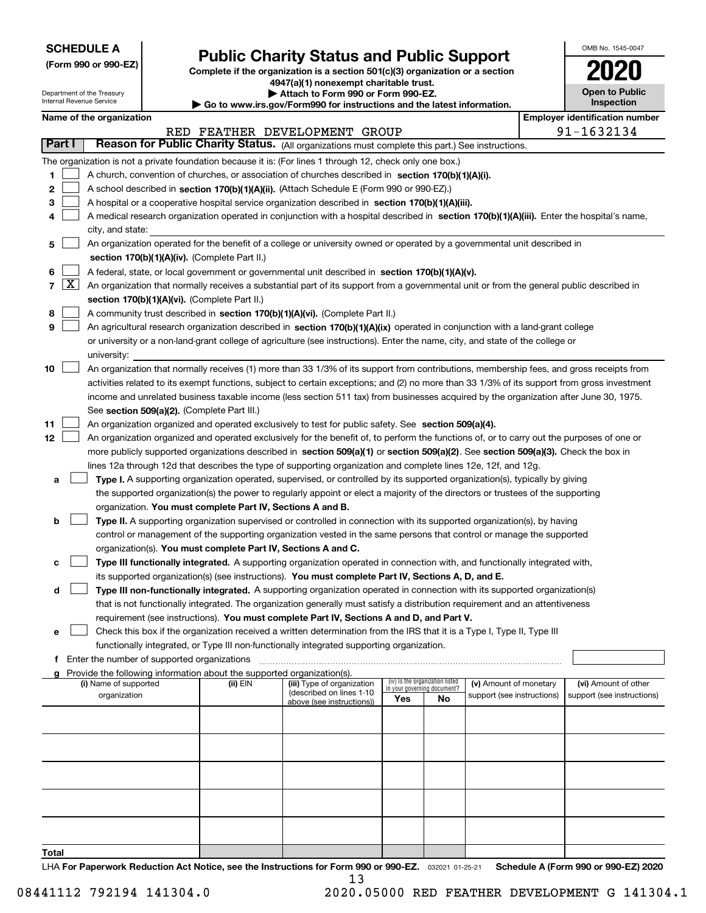| <b>SCHEDULE A</b> |
|-------------------|
|-------------------|

Department of the Treasury Internal Revenue Service

**(Form 990 or 990-EZ)**

# **Public Charity Status and Public Support**

**Complete if the organization is a section 501(c)(3) organization or a section 4947(a)(1) nonexempt charitable trust. | Attach to Form 990 or Form 990-EZ.** 

**| Go to www.irs.gov/Form990 for instructions and the latest information.**

| 021                                 |
|-------------------------------------|
| <b>Open to Public</b><br>Inspection |

OMB No. 1545-0047

|  | Name of the organization |
|--|--------------------------|
|--|--------------------------|

|                                                                        | Name of the organization<br><b>Employer identification number</b>                                                                                                                                                                     |                                                                                                                                              |  |                               |  |  |  |  |                                                    |  |
|------------------------------------------------------------------------|---------------------------------------------------------------------------------------------------------------------------------------------------------------------------------------------------------------------------------------|----------------------------------------------------------------------------------------------------------------------------------------------|--|-------------------------------|--|--|--|--|----------------------------------------------------|--|
|                                                                        |                                                                                                                                                                                                                                       |                                                                                                                                              |  | RED FEATHER DEVELOPMENT GROUP |  |  |  |  | 91-1632134                                         |  |
|                                                                        | Part I                                                                                                                                                                                                                                | Reason for Public Charity Status. (All organizations must complete this part.) See instructions.                                             |  |                               |  |  |  |  |                                                    |  |
|                                                                        |                                                                                                                                                                                                                                       | The organization is not a private foundation because it is: (For lines 1 through 12, check only one box.)                                    |  |                               |  |  |  |  |                                                    |  |
| 1.                                                                     |                                                                                                                                                                                                                                       | A church, convention of churches, or association of churches described in section 170(b)(1)(A)(i).                                           |  |                               |  |  |  |  |                                                    |  |
| 2                                                                      |                                                                                                                                                                                                                                       | A school described in section 170(b)(1)(A)(ii). (Attach Schedule E (Form 990 or 990-EZ).)                                                    |  |                               |  |  |  |  |                                                    |  |
| 3                                                                      |                                                                                                                                                                                                                                       | A hospital or a cooperative hospital service organization described in section 170(b)(1)(A)(iii).                                            |  |                               |  |  |  |  |                                                    |  |
|                                                                        |                                                                                                                                                                                                                                       | A medical research organization operated in conjunction with a hospital described in section 170(b)(1)(A)(iii). Enter the hospital's name,   |  |                               |  |  |  |  |                                                    |  |
|                                                                        |                                                                                                                                                                                                                                       | city, and state:                                                                                                                             |  |                               |  |  |  |  |                                                    |  |
| 5                                                                      |                                                                                                                                                                                                                                       | An organization operated for the benefit of a college or university owned or operated by a governmental unit described in                    |  |                               |  |  |  |  |                                                    |  |
|                                                                        |                                                                                                                                                                                                                                       | section 170(b)(1)(A)(iv). (Complete Part II.)                                                                                                |  |                               |  |  |  |  |                                                    |  |
| 6                                                                      |                                                                                                                                                                                                                                       | A federal, state, or local government or governmental unit described in section 170(b)(1)(A)(v).                                             |  |                               |  |  |  |  |                                                    |  |
| 7                                                                      | $\lfloor x \rfloor$                                                                                                                                                                                                                   | An organization that normally receives a substantial part of its support from a governmental unit or from the general public described in    |  |                               |  |  |  |  |                                                    |  |
|                                                                        |                                                                                                                                                                                                                                       | section 170(b)(1)(A)(vi). (Complete Part II.)                                                                                                |  |                               |  |  |  |  |                                                    |  |
| 8                                                                      |                                                                                                                                                                                                                                       | A community trust described in section 170(b)(1)(A)(vi). (Complete Part II.)                                                                 |  |                               |  |  |  |  |                                                    |  |
| 9                                                                      |                                                                                                                                                                                                                                       | An agricultural research organization described in section 170(b)(1)(A)(ix) operated in conjunction with a land-grant college                |  |                               |  |  |  |  |                                                    |  |
|                                                                        |                                                                                                                                                                                                                                       | or university or a non-land-grant college of agriculture (see instructions). Enter the name, city, and state of the college or               |  |                               |  |  |  |  |                                                    |  |
|                                                                        |                                                                                                                                                                                                                                       |                                                                                                                                              |  |                               |  |  |  |  |                                                    |  |
|                                                                        |                                                                                                                                                                                                                                       | university:                                                                                                                                  |  |                               |  |  |  |  |                                                    |  |
| 10                                                                     |                                                                                                                                                                                                                                       | An organization that normally receives (1) more than 33 1/3% of its support from contributions, membership fees, and gross receipts from     |  |                               |  |  |  |  |                                                    |  |
|                                                                        |                                                                                                                                                                                                                                       | activities related to its exempt functions, subject to certain exceptions; and (2) no more than 33 1/3% of its support from gross investment |  |                               |  |  |  |  |                                                    |  |
|                                                                        |                                                                                                                                                                                                                                       | income and unrelated business taxable income (less section 511 tax) from businesses acquired by the organization after June 30, 1975.        |  |                               |  |  |  |  |                                                    |  |
|                                                                        |                                                                                                                                                                                                                                       | See section 509(a)(2). (Complete Part III.)                                                                                                  |  |                               |  |  |  |  |                                                    |  |
| 11                                                                     |                                                                                                                                                                                                                                       | An organization organized and operated exclusively to test for public safety. See section 509(a)(4).                                         |  |                               |  |  |  |  |                                                    |  |
| 12                                                                     |                                                                                                                                                                                                                                       | An organization organized and operated exclusively for the benefit of, to perform the functions of, or to carry out the purposes of one or   |  |                               |  |  |  |  |                                                    |  |
|                                                                        |                                                                                                                                                                                                                                       | more publicly supported organizations described in section 509(a)(1) or section 509(a)(2). See section 509(a)(3). Check the box in           |  |                               |  |  |  |  |                                                    |  |
|                                                                        |                                                                                                                                                                                                                                       | lines 12a through 12d that describes the type of supporting organization and complete lines 12e, 12f, and 12g.                               |  |                               |  |  |  |  |                                                    |  |
| а                                                                      |                                                                                                                                                                                                                                       | Type I. A supporting organization operated, supervised, or controlled by its supported organization(s), typically by giving                  |  |                               |  |  |  |  |                                                    |  |
|                                                                        |                                                                                                                                                                                                                                       | the supported organization(s) the power to regularly appoint or elect a majority of the directors or trustees of the supporting              |  |                               |  |  |  |  |                                                    |  |
|                                                                        |                                                                                                                                                                                                                                       | organization. You must complete Part IV, Sections A and B.                                                                                   |  |                               |  |  |  |  |                                                    |  |
| b                                                                      |                                                                                                                                                                                                                                       | Type II. A supporting organization supervised or controlled in connection with its supported organization(s), by having                      |  |                               |  |  |  |  |                                                    |  |
|                                                                        |                                                                                                                                                                                                                                       | control or management of the supporting organization vested in the same persons that control or manage the supported                         |  |                               |  |  |  |  |                                                    |  |
|                                                                        |                                                                                                                                                                                                                                       | organization(s). You must complete Part IV, Sections A and C.                                                                                |  |                               |  |  |  |  |                                                    |  |
| c                                                                      |                                                                                                                                                                                                                                       | Type III functionally integrated. A supporting organization operated in connection with, and functionally integrated with,                   |  |                               |  |  |  |  |                                                    |  |
|                                                                        |                                                                                                                                                                                                                                       | its supported organization(s) (see instructions). You must complete Part IV, Sections A, D, and E.                                           |  |                               |  |  |  |  |                                                    |  |
| d                                                                      |                                                                                                                                                                                                                                       | Type III non-functionally integrated. A supporting organization operated in connection with its supported organization(s)                    |  |                               |  |  |  |  |                                                    |  |
|                                                                        |                                                                                                                                                                                                                                       | that is not functionally integrated. The organization generally must satisfy a distribution requirement and an attentiveness                 |  |                               |  |  |  |  |                                                    |  |
|                                                                        |                                                                                                                                                                                                                                       | requirement (see instructions). You must complete Part IV, Sections A and D, and Part V.                                                     |  |                               |  |  |  |  |                                                    |  |
|                                                                        |                                                                                                                                                                                                                                       | Check this box if the organization received a written determination from the IRS that it is a Type I, Type II, Type III                      |  |                               |  |  |  |  |                                                    |  |
|                                                                        |                                                                                                                                                                                                                                       | functionally integrated, or Type III non-functionally integrated supporting organization.                                                    |  |                               |  |  |  |  |                                                    |  |
|                                                                        | f Enter the number of supported organizations                                                                                                                                                                                         |                                                                                                                                              |  |                               |  |  |  |  |                                                    |  |
| Provide the following information about the supported organization(s). |                                                                                                                                                                                                                                       |                                                                                                                                              |  |                               |  |  |  |  |                                                    |  |
|                                                                        | (iv) Is the organization listed<br>(i) Name of supported<br>(ii) EIN<br>(iii) Type of organization<br>(v) Amount of monetary<br>in your governing document?<br>(described on lines 1-10<br>organization<br>support (see instructions) |                                                                                                                                              |  |                               |  |  |  |  | (vi) Amount of other<br>support (see instructions) |  |
| Yes<br>No<br>above (see instructions))                                 |                                                                                                                                                                                                                                       |                                                                                                                                              |  |                               |  |  |  |  |                                                    |  |
|                                                                        |                                                                                                                                                                                                                                       |                                                                                                                                              |  |                               |  |  |  |  |                                                    |  |
|                                                                        |                                                                                                                                                                                                                                       |                                                                                                                                              |  |                               |  |  |  |  |                                                    |  |
|                                                                        |                                                                                                                                                                                                                                       |                                                                                                                                              |  |                               |  |  |  |  |                                                    |  |
|                                                                        |                                                                                                                                                                                                                                       |                                                                                                                                              |  |                               |  |  |  |  |                                                    |  |
|                                                                        |                                                                                                                                                                                                                                       |                                                                                                                                              |  |                               |  |  |  |  |                                                    |  |
|                                                                        |                                                                                                                                                                                                                                       |                                                                                                                                              |  |                               |  |  |  |  |                                                    |  |
|                                                                        |                                                                                                                                                                                                                                       |                                                                                                                                              |  |                               |  |  |  |  |                                                    |  |
|                                                                        |                                                                                                                                                                                                                                       |                                                                                                                                              |  |                               |  |  |  |  |                                                    |  |
|                                                                        |                                                                                                                                                                                                                                       |                                                                                                                                              |  |                               |  |  |  |  |                                                    |  |
|                                                                        |                                                                                                                                                                                                                                       |                                                                                                                                              |  |                               |  |  |  |  |                                                    |  |
| <b>Total</b>                                                           |                                                                                                                                                                                                                                       |                                                                                                                                              |  |                               |  |  |  |  |                                                    |  |

LHA For Paperwork Reduction Act Notice, see the Instructions for Form 990 or 990-EZ. <sub>032021</sub> o1-25-21 Schedule A (Form 990 or 990-EZ) 2020 13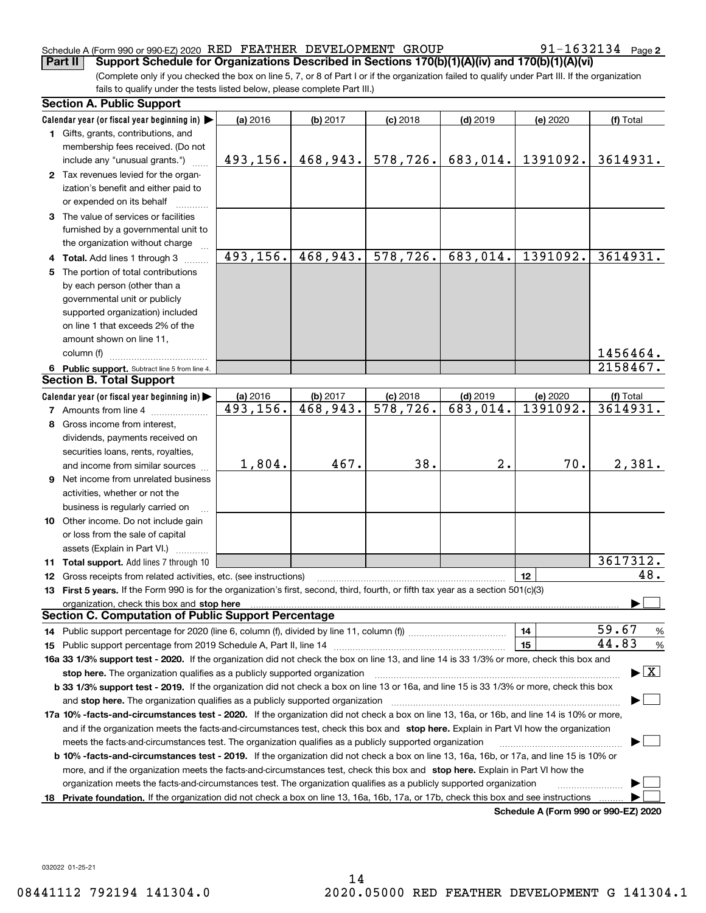#### Schedule A (Form 990 or 990-EZ) 2020  $\,$  RED  $\,$  FEATHER  $\,$  DEVELOPMENT  $\,$  GROUP  $\,$   $\,$  91  $-1632134$   $\,$  Page **Part II Support Schedule for Organizations Described in Sections 170(b)(1)(A)(iv) and 170(b)(1)(A)(vi)**

91-1632134 Page 2

(Complete only if you checked the box on line 5, 7, or 8 of Part I or if the organization failed to qualify under Part III. If the organization fails to qualify under the tests listed below, please complete Part III.)

| <b>Section A. Public Support</b>                                                                                                               |           |          |                         |            |                                      |                                         |  |  |
|------------------------------------------------------------------------------------------------------------------------------------------------|-----------|----------|-------------------------|------------|--------------------------------------|-----------------------------------------|--|--|
| Calendar year (or fiscal year beginning in)                                                                                                    | (a) 2016  | (b) 2017 | $(c)$ 2018              | $(d)$ 2019 | (e) 2020                             | (f) Total                               |  |  |
| 1 Gifts, grants, contributions, and                                                                                                            |           |          |                         |            |                                      |                                         |  |  |
| membership fees received. (Do not                                                                                                              |           |          |                         |            |                                      |                                         |  |  |
| include any "unusual grants.")                                                                                                                 | 493, 156. | 468,943. | 578,726.                | 683,014.   | 1391092.                             | 3614931.                                |  |  |
| 2 Tax revenues levied for the organ-                                                                                                           |           |          |                         |            |                                      |                                         |  |  |
| ization's benefit and either paid to                                                                                                           |           |          |                         |            |                                      |                                         |  |  |
| or expended on its behalf                                                                                                                      |           |          |                         |            |                                      |                                         |  |  |
| 3 The value of services or facilities                                                                                                          |           |          |                         |            |                                      |                                         |  |  |
| furnished by a governmental unit to                                                                                                            |           |          |                         |            |                                      |                                         |  |  |
| the organization without charge                                                                                                                |           |          |                         |            |                                      |                                         |  |  |
| 4 Total. Add lines 1 through 3                                                                                                                 | 493,156.  | 468,943. | 578,726.                | 683,014.   | 1391092.                             | 3614931.                                |  |  |
| 5 The portion of total contributions                                                                                                           |           |          |                         |            |                                      |                                         |  |  |
| by each person (other than a                                                                                                                   |           |          |                         |            |                                      |                                         |  |  |
| governmental unit or publicly                                                                                                                  |           |          |                         |            |                                      |                                         |  |  |
| supported organization) included                                                                                                               |           |          |                         |            |                                      |                                         |  |  |
| on line 1 that exceeds 2% of the                                                                                                               |           |          |                         |            |                                      |                                         |  |  |
| amount shown on line 11,                                                                                                                       |           |          |                         |            |                                      |                                         |  |  |
| column (f)                                                                                                                                     |           |          |                         |            |                                      | 1456464.                                |  |  |
| 6 Public support. Subtract line 5 from line 4.                                                                                                 |           |          |                         |            |                                      | 2158467.                                |  |  |
| <b>Section B. Total Support</b>                                                                                                                |           |          |                         |            |                                      |                                         |  |  |
| Calendar year (or fiscal year beginning in)                                                                                                    | (a) 2016  | (b) 2017 | $(c)$ 2018              | $(d)$ 2019 | (e) 2020                             | (f) Total                               |  |  |
| <b>7</b> Amounts from line 4                                                                                                                   | 493,156.  | 468,943. | $\overline{578, 726}$ . | 683,014.   | 1391092.                             | 3614931.                                |  |  |
| 8 Gross income from interest,                                                                                                                  |           |          |                         |            |                                      |                                         |  |  |
| dividends, payments received on                                                                                                                |           |          |                         |            |                                      |                                         |  |  |
| securities loans, rents, royalties,                                                                                                            |           |          |                         |            |                                      |                                         |  |  |
| and income from similar sources                                                                                                                | 1,804.    | 467.     | 38.                     | 2.         | 70.                                  | 2,381.                                  |  |  |
| <b>9</b> Net income from unrelated business                                                                                                    |           |          |                         |            |                                      |                                         |  |  |
| activities, whether or not the                                                                                                                 |           |          |                         |            |                                      |                                         |  |  |
| business is regularly carried on                                                                                                               |           |          |                         |            |                                      |                                         |  |  |
| 10 Other income. Do not include gain                                                                                                           |           |          |                         |            |                                      |                                         |  |  |
| or loss from the sale of capital                                                                                                               |           |          |                         |            |                                      |                                         |  |  |
| assets (Explain in Part VI.)                                                                                                                   |           |          |                         |            |                                      |                                         |  |  |
| 11 Total support. Add lines 7 through 10                                                                                                       |           |          |                         |            |                                      | 3617312.                                |  |  |
| 12 Gross receipts from related activities, etc. (see instructions)                                                                             |           |          |                         |            | 12                                   | 48.                                     |  |  |
| 13 First 5 years. If the Form 990 is for the organization's first, second, third, fourth, or fifth tax year as a section 501(c)(3)             |           |          |                         |            |                                      |                                         |  |  |
| organization, check this box and stop here                                                                                                     |           |          |                         |            |                                      |                                         |  |  |
| <b>Section C. Computation of Public Support Percentage</b>                                                                                     |           |          |                         |            |                                      |                                         |  |  |
|                                                                                                                                                |           |          |                         |            | 14                                   | 59.67<br>$\frac{9}{6}$                  |  |  |
|                                                                                                                                                |           |          |                         |            | 15                                   | 44.83<br>%                              |  |  |
| 16a 33 1/3% support test - 2020. If the organization did not check the box on line 13, and line 14 is 33 1/3% or more, check this box and      |           |          |                         |            |                                      |                                         |  |  |
| stop here. The organization qualifies as a publicly supported organization                                                                     |           |          |                         |            |                                      | $\blacktriangleright$ $\vert$ X $\vert$ |  |  |
| b 33 1/3% support test - 2019. If the organization did not check a box on line 13 or 16a, and line 15 is 33 1/3% or more, check this box       |           |          |                         |            |                                      |                                         |  |  |
| and stop here. The organization qualifies as a publicly supported organization                                                                 |           |          |                         |            |                                      |                                         |  |  |
| 17a 10% -facts-and-circumstances test - 2020. If the organization did not check a box on line 13, 16a, or 16b, and line 14 is 10% or more,     |           |          |                         |            |                                      |                                         |  |  |
| and if the organization meets the facts-and-circumstances test, check this box and stop here. Explain in Part VI how the organization          |           |          |                         |            |                                      |                                         |  |  |
| meets the facts-and-circumstances test. The organization qualifies as a publicly supported organization                                        |           |          |                         |            |                                      |                                         |  |  |
| <b>b 10% -facts-and-circumstances test - 2019.</b> If the organization did not check a box on line 13, 16a, 16b, or 17a, and line 15 is 10% or |           |          |                         |            |                                      |                                         |  |  |
| more, and if the organization meets the facts-and-circumstances test, check this box and stop here. Explain in Part VI how the                 |           |          |                         |            |                                      |                                         |  |  |
| organization meets the facts-and-circumstances test. The organization qualifies as a publicly supported organization                           |           |          |                         |            |                                      |                                         |  |  |
| 18 Private foundation. If the organization did not check a box on line 13, 16a, 16b, 17a, or 17b, check this box and see instructions          |           |          |                         |            |                                      |                                         |  |  |
|                                                                                                                                                |           |          |                         |            | Schedule A (Form 990 or 990-EZ) 2020 |                                         |  |  |

**Schedule A (Form 990 or 990-EZ) 2020**

032022 01-25-21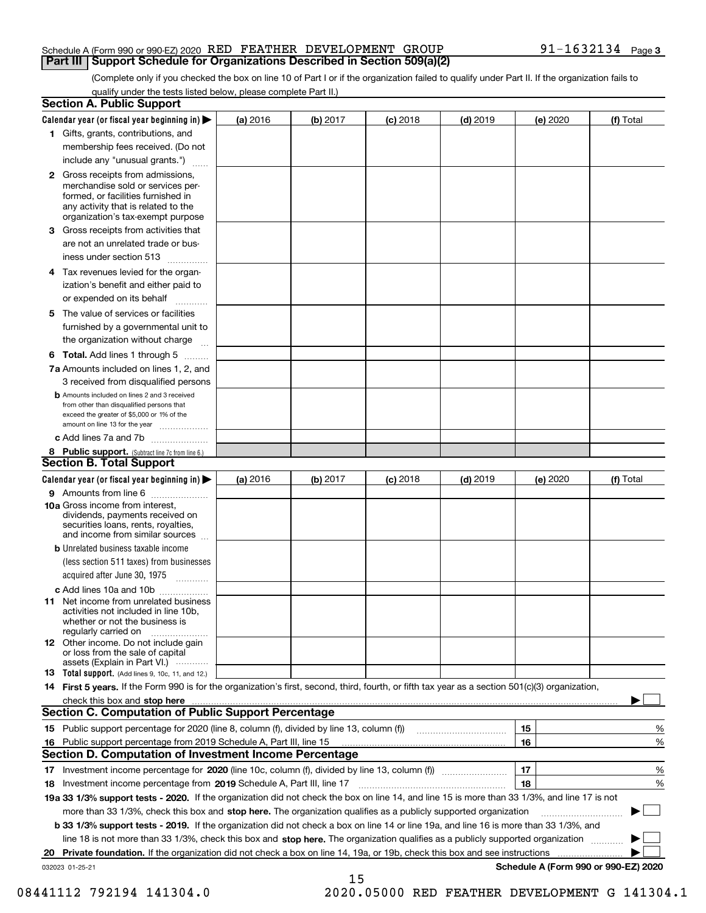#### Schedule A (Form 990 or 990-EZ) 2020  $\,$  RED  $\,$  FEATHER  $\,$  DEVELOPMENT  $\,$  GROUP  $\,$   $\,$  91  $-1632134$   $\,$  Page **Part III Support Schedule for Organizations Described in Section 509(a)(2)**

(Complete only if you checked the box on line 10 of Part I or if the organization failed to qualify under Part II. If the organization fails to qualify under the tests listed below, please complete Part II.)

|    | <b>Section A. Public Support</b>                                                                                                                                                         |          |          |            |            |          |                                      |
|----|------------------------------------------------------------------------------------------------------------------------------------------------------------------------------------------|----------|----------|------------|------------|----------|--------------------------------------|
|    | Calendar year (or fiscal year beginning in) $\blacktriangleright$                                                                                                                        | (a) 2016 | (b) 2017 | $(c)$ 2018 | $(d)$ 2019 | (e) 2020 | (f) Total                            |
|    | 1 Gifts, grants, contributions, and                                                                                                                                                      |          |          |            |            |          |                                      |
|    | membership fees received. (Do not                                                                                                                                                        |          |          |            |            |          |                                      |
|    | include any "unusual grants.")                                                                                                                                                           |          |          |            |            |          |                                      |
|    | 2 Gross receipts from admissions,<br>merchandise sold or services per-<br>formed, or facilities furnished in<br>any activity that is related to the<br>organization's tax-exempt purpose |          |          |            |            |          |                                      |
|    | 3 Gross receipts from activities that<br>are not an unrelated trade or bus-                                                                                                              |          |          |            |            |          |                                      |
|    | iness under section 513                                                                                                                                                                  |          |          |            |            |          |                                      |
|    | 4 Tax revenues levied for the organ-                                                                                                                                                     |          |          |            |            |          |                                      |
|    | ization's benefit and either paid to<br>or expended on its behalf<br>.                                                                                                                   |          |          |            |            |          |                                      |
|    | 5 The value of services or facilities                                                                                                                                                    |          |          |            |            |          |                                      |
|    | furnished by a governmental unit to                                                                                                                                                      |          |          |            |            |          |                                      |
|    | the organization without charge                                                                                                                                                          |          |          |            |            |          |                                      |
|    | <b>6 Total.</b> Add lines 1 through 5                                                                                                                                                    |          |          |            |            |          |                                      |
|    | 7a Amounts included on lines 1, 2, and<br>3 received from disqualified persons                                                                                                           |          |          |            |            |          |                                      |
|    | <b>b</b> Amounts included on lines 2 and 3 received<br>from other than disqualified persons that<br>exceed the greater of \$5,000 or 1% of the<br>amount on line 13 for the year         |          |          |            |            |          |                                      |
|    | c Add lines 7a and 7b                                                                                                                                                                    |          |          |            |            |          |                                      |
|    | 8 Public support. (Subtract line 7c from line 6.)                                                                                                                                        |          |          |            |            |          |                                      |
|    | <b>Section B. Total Support</b>                                                                                                                                                          |          |          |            |            |          |                                      |
|    | Calendar year (or fiscal year beginning in) $\blacktriangleright$                                                                                                                        | (a) 2016 | (b) 2017 | $(c)$ 2018 | $(d)$ 2019 | (e) 2020 | (f) Total                            |
|    | 9 Amounts from line 6                                                                                                                                                                    |          |          |            |            |          |                                      |
|    | 10a Gross income from interest,<br>dividends, payments received on<br>securities loans, rents, royalties,<br>and income from similar sources                                             |          |          |            |            |          |                                      |
|    | <b>b</b> Unrelated business taxable income<br>(less section 511 taxes) from businesses                                                                                                   |          |          |            |            |          |                                      |
|    | acquired after June 30, 1975                                                                                                                                                             |          |          |            |            |          |                                      |
|    | c Add lines 10a and 10b<br>11 Net income from unrelated business<br>activities not included in line 10b,<br>whether or not the business is<br>regularly carried on                       |          |          |            |            |          |                                      |
|    | 12 Other income. Do not include gain<br>or loss from the sale of capital<br>assets (Explain in Part VI.)                                                                                 |          |          |            |            |          |                                      |
|    | <b>13</b> Total support. (Add lines 9, 10c, 11, and 12.)                                                                                                                                 |          |          |            |            |          |                                      |
|    | 14 First 5 years. If the Form 990 is for the organization's first, second, third, fourth, or fifth tax year as a section 501(c)(3) organization,                                         |          |          |            |            |          |                                      |
|    | check this box and stop here measurements are constructed as the state of the state of the state of the state o                                                                          |          |          |            |            |          |                                      |
|    | <b>Section C. Computation of Public Support Percentage</b>                                                                                                                               |          |          |            |            |          |                                      |
|    | 15 Public support percentage for 2020 (line 8, column (f), divided by line 13, column (f))                                                                                               |          |          |            |            | 15       | %                                    |
|    | 16 Public support percentage from 2019 Schedule A, Part III, line 15                                                                                                                     |          |          |            |            | 16       | %                                    |
|    | <b>Section D. Computation of Investment Income Percentage</b>                                                                                                                            |          |          |            |            |          |                                      |
|    | 17 Investment income percentage for 2020 (line 10c, column (f), divided by line 13, column (f))                                                                                          |          |          |            |            | 17       | %                                    |
|    | <b>18</b> Investment income percentage from <b>2019</b> Schedule A, Part III, line 17                                                                                                    |          |          |            |            | 18       | %                                    |
|    | 19a 33 1/3% support tests - 2020. If the organization did not check the box on line 14, and line 15 is more than 33 1/3%, and line 17 is not                                             |          |          |            |            |          |                                      |
|    | more than 33 1/3%, check this box and stop here. The organization qualifies as a publicly supported organization                                                                         |          |          |            |            |          | ▶                                    |
|    | b 33 1/3% support tests - 2019. If the organization did not check a box on line 14 or line 19a, and line 16 is more than 33 1/3%, and                                                    |          |          |            |            |          |                                      |
|    | line 18 is not more than 33 1/3%, check this box and stop here. The organization qualifies as a publicly supported organization                                                          |          |          |            |            |          |                                      |
| 20 | <b>Private foundation.</b> If the organization did not check a box on line 14, 19a, or 19b, check this box and see instructions                                                          |          |          |            |            |          |                                      |
|    | 032023 01-25-21                                                                                                                                                                          |          | 15       |            |            |          | Schedule A (Form 990 or 990-EZ) 2020 |

08441112 792194 141304.0 2020.05000 RED FEATHER DEVELOPMENT G 141304.1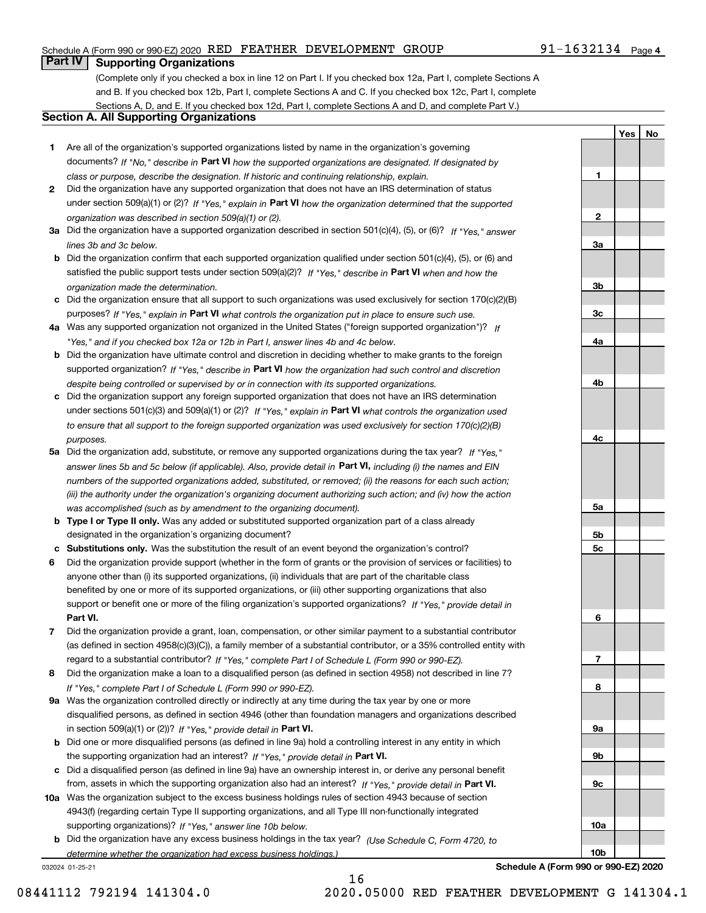#### Schedule A (Form 990 or 990-EZ) 2020  $\,$  RED  $\,$  FEATHER  $\,$  DEVELOPMENT  $\,$  GROUP  $\,$   $\,$  91  $-1632134$   $\,$  Page

# **Part IV Supporting Organizations**

(Complete only if you checked a box in line 12 on Part I. If you checked box 12a, Part I, complete Sections A and B. If you checked box 12b, Part I, complete Sections A and C. If you checked box 12c, Part I, complete Sections A, D, and E. If you checked box 12d, Part I, complete Sections A and D, and complete Part V.)

### **Section A. All Supporting Organizations**

- **1** Are all of the organization's supported organizations listed by name in the organization's governing documents? If "No," describe in **Part VI** how the supported organizations are designated. If designated by *class or purpose, describe the designation. If historic and continuing relationship, explain.*
- **2** Did the organization have any supported organization that does not have an IRS determination of status under section 509(a)(1) or (2)? If "Yes," explain in Part VI how the organization determined that the supported *organization was described in section 509(a)(1) or (2).*
- **3a** Did the organization have a supported organization described in section 501(c)(4), (5), or (6)? If "Yes," answer *lines 3b and 3c below.*
- **b** Did the organization confirm that each supported organization qualified under section 501(c)(4), (5), or (6) and satisfied the public support tests under section 509(a)(2)? If "Yes," describe in **Part VI** when and how the *organization made the determination.*
- **c**Did the organization ensure that all support to such organizations was used exclusively for section 170(c)(2)(B) purposes? If "Yes," explain in **Part VI** what controls the organization put in place to ensure such use.
- **4a***If* Was any supported organization not organized in the United States ("foreign supported organization")? *"Yes," and if you checked box 12a or 12b in Part I, answer lines 4b and 4c below.*
- **b** Did the organization have ultimate control and discretion in deciding whether to make grants to the foreign supported organization? If "Yes," describe in **Part VI** how the organization had such control and discretion *despite being controlled or supervised by or in connection with its supported organizations.*
- **c** Did the organization support any foreign supported organization that does not have an IRS determination under sections 501(c)(3) and 509(a)(1) or (2)? If "Yes," explain in **Part VI** what controls the organization used *to ensure that all support to the foreign supported organization was used exclusively for section 170(c)(2)(B) purposes.*
- **5a** Did the organization add, substitute, or remove any supported organizations during the tax year? If "Yes," answer lines 5b and 5c below (if applicable). Also, provide detail in **Part VI,** including (i) the names and EIN *numbers of the supported organizations added, substituted, or removed; (ii) the reasons for each such action; (iii) the authority under the organization's organizing document authorizing such action; and (iv) how the action was accomplished (such as by amendment to the organizing document).*
- **b** Type I or Type II only. Was any added or substituted supported organization part of a class already designated in the organization's organizing document?
- **cSubstitutions only.**  Was the substitution the result of an event beyond the organization's control?
- **6** Did the organization provide support (whether in the form of grants or the provision of services or facilities) to **Part VI.** *If "Yes," provide detail in* support or benefit one or more of the filing organization's supported organizations? anyone other than (i) its supported organizations, (ii) individuals that are part of the charitable class benefited by one or more of its supported organizations, or (iii) other supporting organizations that also
- **7**Did the organization provide a grant, loan, compensation, or other similar payment to a substantial contributor *If "Yes," complete Part I of Schedule L (Form 990 or 990-EZ).* regard to a substantial contributor? (as defined in section 4958(c)(3)(C)), a family member of a substantial contributor, or a 35% controlled entity with
- **8** Did the organization make a loan to a disqualified person (as defined in section 4958) not described in line 7? *If "Yes," complete Part I of Schedule L (Form 990 or 990-EZ).*
- **9a** Was the organization controlled directly or indirectly at any time during the tax year by one or more in section 509(a)(1) or (2))? If "Yes," *provide detail in* <code>Part VI.</code> disqualified persons, as defined in section 4946 (other than foundation managers and organizations described
- **b** Did one or more disqualified persons (as defined in line 9a) hold a controlling interest in any entity in which the supporting organization had an interest? If "Yes," provide detail in P**art VI**.
- **c**Did a disqualified person (as defined in line 9a) have an ownership interest in, or derive any personal benefit from, assets in which the supporting organization also had an interest? If "Yes," provide detail in P**art VI.**
- **10a** Was the organization subject to the excess business holdings rules of section 4943 because of section supporting organizations)? If "Yes," answer line 10b below. 4943(f) (regarding certain Type II supporting organizations, and all Type III non-functionally integrated
- **b** Did the organization have any excess business holdings in the tax year? (Use Schedule C, Form 4720, to *determine whether the organization had excess business holdings.)*

032024 01-25-21

**Schedule A (Form 990 or 990-EZ) 2020**

**1**

**2**

**3a**

**3b**

**3c**

**4a**

**4b**

**4c**

**5a**

**5b5c**

**6**

**7**

**8**

**9a**

**9b**

**9c**

**10a**

**10b**

**YesNo**

08441112 792194 141304.0 2020.05000 RED FEATHER DEVELOPMENT G 141304.1

16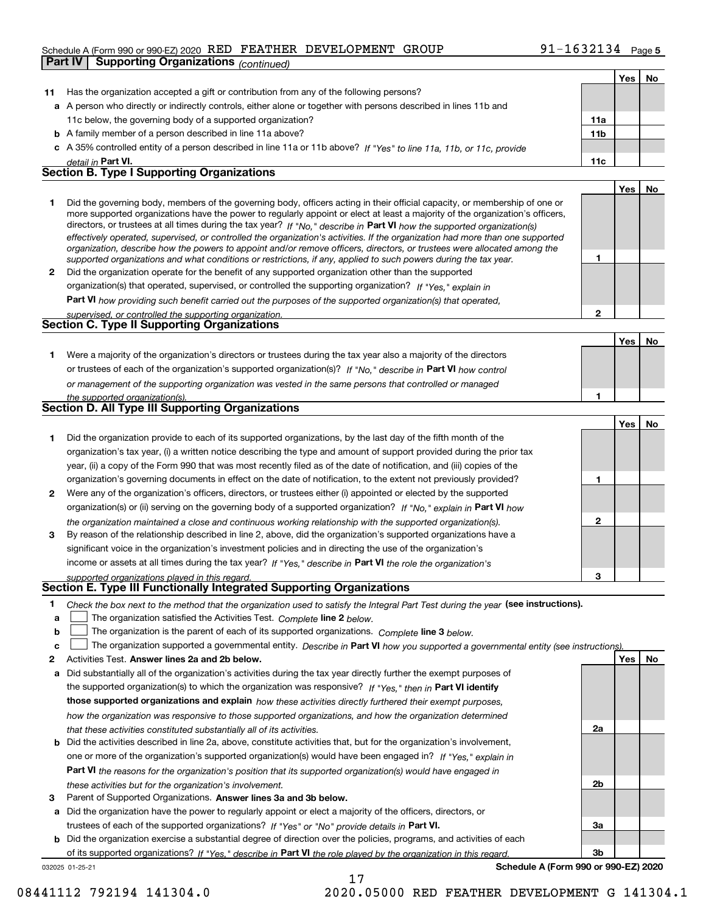#### Schedule A (Form 990 or 990-EZ) 2020  $\,$  RED  $\,$  FEATHER  $\,$  DEVELOPMENT  $\,$  GROUP  $\,$   $\,$  91  $-1632134$   $\,$  Page

| Part IV | <b>Supporting Organizations (continued)</b>                                                                                                                                                                                                                                                                                                                                                                                                                                                                                                                                                                                                          |                 |     |           |
|---------|------------------------------------------------------------------------------------------------------------------------------------------------------------------------------------------------------------------------------------------------------------------------------------------------------------------------------------------------------------------------------------------------------------------------------------------------------------------------------------------------------------------------------------------------------------------------------------------------------------------------------------------------------|-----------------|-----|-----------|
|         |                                                                                                                                                                                                                                                                                                                                                                                                                                                                                                                                                                                                                                                      |                 | Yes | No        |
| 11      | Has the organization accepted a gift or contribution from any of the following persons?                                                                                                                                                                                                                                                                                                                                                                                                                                                                                                                                                              |                 |     |           |
|         | a A person who directly or indirectly controls, either alone or together with persons described in lines 11b and                                                                                                                                                                                                                                                                                                                                                                                                                                                                                                                                     |                 |     |           |
|         | 11c below, the governing body of a supported organization?                                                                                                                                                                                                                                                                                                                                                                                                                                                                                                                                                                                           | 11a             |     |           |
|         | <b>b</b> A family member of a person described in line 11a above?                                                                                                                                                                                                                                                                                                                                                                                                                                                                                                                                                                                    | 11 <sub>b</sub> |     |           |
|         | c A 35% controlled entity of a person described in line 11a or 11b above? If "Yes" to line 11a, 11b, or 11c, provide                                                                                                                                                                                                                                                                                                                                                                                                                                                                                                                                 |                 |     |           |
|         | detail in Part VI.                                                                                                                                                                                                                                                                                                                                                                                                                                                                                                                                                                                                                                   | 11c             |     |           |
|         | <b>Section B. Type I Supporting Organizations</b>                                                                                                                                                                                                                                                                                                                                                                                                                                                                                                                                                                                                    |                 |     |           |
|         |                                                                                                                                                                                                                                                                                                                                                                                                                                                                                                                                                                                                                                                      |                 | Yes | No        |
| 1       | Did the governing body, members of the governing body, officers acting in their official capacity, or membership of one or<br>more supported organizations have the power to regularly appoint or elect at least a majority of the organization's officers,<br>directors, or trustees at all times during the tax year? If "No," describe in Part VI how the supported organization(s)<br>effectively operated, supervised, or controlled the organization's activities. If the organization had more than one supported<br>organization, describe how the powers to appoint and/or remove officers, directors, or trustees were allocated among the |                 |     |           |
|         | supported organizations and what conditions or restrictions, if any, applied to such powers during the tax year.                                                                                                                                                                                                                                                                                                                                                                                                                                                                                                                                     | 1               |     |           |
| 2       | Did the organization operate for the benefit of any supported organization other than the supported                                                                                                                                                                                                                                                                                                                                                                                                                                                                                                                                                  |                 |     |           |
|         | organization(s) that operated, supervised, or controlled the supporting organization? If "Yes," explain in                                                                                                                                                                                                                                                                                                                                                                                                                                                                                                                                           |                 |     |           |
|         | Part VI how providing such benefit carried out the purposes of the supported organization(s) that operated,                                                                                                                                                                                                                                                                                                                                                                                                                                                                                                                                          |                 |     |           |
|         | supervised, or controlled the supporting organization.                                                                                                                                                                                                                                                                                                                                                                                                                                                                                                                                                                                               | $\overline{2}$  |     |           |
|         | <b>Section C. Type II Supporting Organizations</b>                                                                                                                                                                                                                                                                                                                                                                                                                                                                                                                                                                                                   |                 |     |           |
|         |                                                                                                                                                                                                                                                                                                                                                                                                                                                                                                                                                                                                                                                      |                 | Yes | No        |
| 1       | Were a majority of the organization's directors or trustees during the tax year also a majority of the directors                                                                                                                                                                                                                                                                                                                                                                                                                                                                                                                                     |                 |     |           |
|         | or trustees of each of the organization's supported organization(s)? If "No," describe in Part VI how control                                                                                                                                                                                                                                                                                                                                                                                                                                                                                                                                        |                 |     |           |
|         | or management of the supporting organization was vested in the same persons that controlled or managed                                                                                                                                                                                                                                                                                                                                                                                                                                                                                                                                               |                 |     |           |
|         | the supported organization(s).                                                                                                                                                                                                                                                                                                                                                                                                                                                                                                                                                                                                                       | 1               |     |           |
|         | <b>Section D. All Type III Supporting Organizations</b>                                                                                                                                                                                                                                                                                                                                                                                                                                                                                                                                                                                              |                 |     |           |
|         |                                                                                                                                                                                                                                                                                                                                                                                                                                                                                                                                                                                                                                                      |                 | Yes | No        |
| 1       | Did the organization provide to each of its supported organizations, by the last day of the fifth month of the                                                                                                                                                                                                                                                                                                                                                                                                                                                                                                                                       |                 |     |           |
|         | organization's tax year, (i) a written notice describing the type and amount of support provided during the prior tax                                                                                                                                                                                                                                                                                                                                                                                                                                                                                                                                |                 |     |           |
|         | year, (ii) a copy of the Form 990 that was most recently filed as of the date of notification, and (iii) copies of the                                                                                                                                                                                                                                                                                                                                                                                                                                                                                                                               |                 |     |           |
|         | organization's governing documents in effect on the date of notification, to the extent not previously provided?                                                                                                                                                                                                                                                                                                                                                                                                                                                                                                                                     | 1               |     |           |
| 2       | Were any of the organization's officers, directors, or trustees either (i) appointed or elected by the supported                                                                                                                                                                                                                                                                                                                                                                                                                                                                                                                                     |                 |     |           |
|         | organization(s) or (ii) serving on the governing body of a supported organization? If "No." explain in Part VI how                                                                                                                                                                                                                                                                                                                                                                                                                                                                                                                                   |                 |     |           |
|         | the organization maintained a close and continuous working relationship with the supported organization(s).                                                                                                                                                                                                                                                                                                                                                                                                                                                                                                                                          | $\mathbf 2$     |     |           |
| 3       | By reason of the relationship described in line 2, above, did the organization's supported organizations have a                                                                                                                                                                                                                                                                                                                                                                                                                                                                                                                                      |                 |     |           |
|         | significant voice in the organization's investment policies and in directing the use of the organization's                                                                                                                                                                                                                                                                                                                                                                                                                                                                                                                                           |                 |     |           |
|         | income or assets at all times during the tax year? If "Yes," describe in Part VI the role the organization's                                                                                                                                                                                                                                                                                                                                                                                                                                                                                                                                         |                 |     |           |
|         | supported organizations played in this regard.<br>Section E. Type III Functionally Integrated Supporting Organizations                                                                                                                                                                                                                                                                                                                                                                                                                                                                                                                               |                 |     |           |
|         |                                                                                                                                                                                                                                                                                                                                                                                                                                                                                                                                                                                                                                                      |                 |     |           |
| 1<br>а  | Check the box next to the method that the organization used to satisfy the Integral Part Test during the year (see instructions).<br>The organization satisfied the Activities Test. Complete line 2 below.                                                                                                                                                                                                                                                                                                                                                                                                                                          |                 |     |           |
| b       | The organization is the parent of each of its supported organizations. Complete line 3 below.                                                                                                                                                                                                                                                                                                                                                                                                                                                                                                                                                        |                 |     |           |
| c       | The organization supported a governmental entity. Describe in Part VI how you supported a governmental entity (see instructions).                                                                                                                                                                                                                                                                                                                                                                                                                                                                                                                    |                 |     |           |
| 2       | Activities Test. Answer lines 2a and 2b below.                                                                                                                                                                                                                                                                                                                                                                                                                                                                                                                                                                                                       |                 | Yes | <u>No</u> |
| а       | Did substantially all of the organization's activities during the tax year directly further the exempt purposes of                                                                                                                                                                                                                                                                                                                                                                                                                                                                                                                                   |                 |     |           |
|         | the supported organization(s) to which the organization was responsive? If "Yes," then in Part VI identify                                                                                                                                                                                                                                                                                                                                                                                                                                                                                                                                           |                 |     |           |
|         | those supported organizations and explain how these activities directly furthered their exempt purposes,                                                                                                                                                                                                                                                                                                                                                                                                                                                                                                                                             |                 |     |           |
|         | how the organization was responsive to those supported organizations, and how the organization determined                                                                                                                                                                                                                                                                                                                                                                                                                                                                                                                                            |                 |     |           |
|         | that these activities constituted substantially all of its activities.                                                                                                                                                                                                                                                                                                                                                                                                                                                                                                                                                                               | 2a              |     |           |
| b       | Did the activities described in line 2a, above, constitute activities that, but for the organization's involvement,                                                                                                                                                                                                                                                                                                                                                                                                                                                                                                                                  |                 |     |           |
|         | one or more of the organization's supported organization(s) would have been engaged in? If "Yes." explain in                                                                                                                                                                                                                                                                                                                                                                                                                                                                                                                                         |                 |     |           |

**3** Parent of Supported Organizations. Answer lines 3a and 3b below. *these activities but for the organization's involvement.*

**a** Did the organization have the power to regularly appoint or elect a majority of the officers, directors, or trustees of each of the supported organizations? If "Yes" or "No" provide details in P**art VI.** 

**Part VI**  *the reasons for the organization's position that its supported organization(s) would have engaged in*

**b** Did the organization exercise a substantial degree of direction over the policies, programs, and activities of each of its supported organizations? If "Yes," describe in Part VI the role played by the organization in this regard.

17

032025 01-25-21

**Schedule A (Form 990 or 990-EZ) 2020**

**2b**

**3a**

**3b**

08441112 792194 141304.0 2020.05000 RED FEATHER DEVELOPMENT G 141304.1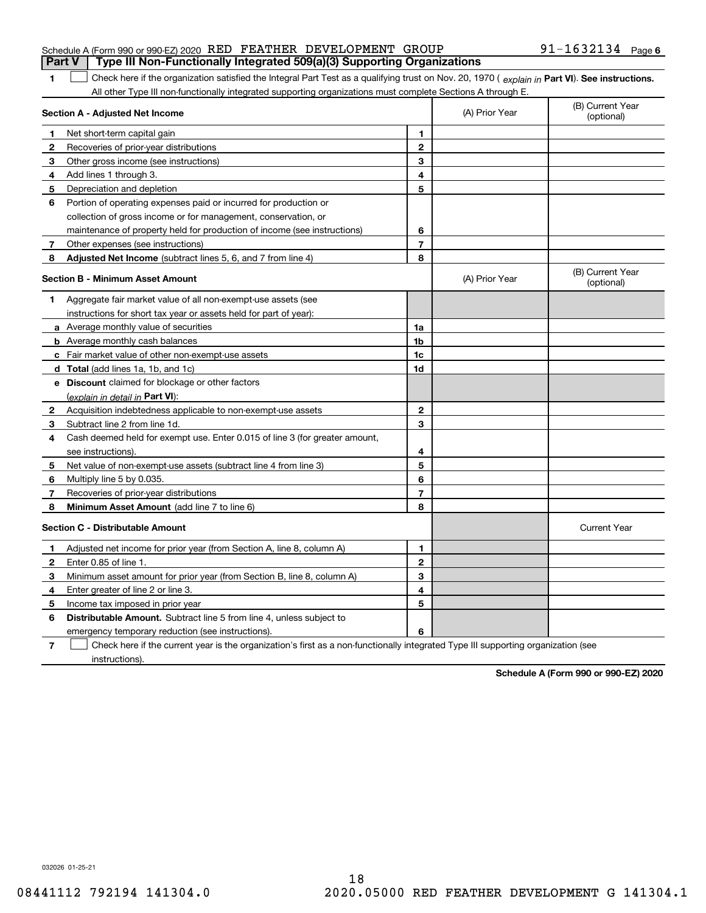|  | Schedule A (Form 990 or 990-EZ) 2020 RED FEATHER DEVELOPMENT GROUP                    |  |  | $91 - 1632134$ Page 6 |  |
|--|---------------------------------------------------------------------------------------|--|--|-----------------------|--|
|  | <b>Part V</b> Type III Non-Functionally Integrated 509(a)(3) Supporting Organizations |  |  |                       |  |

### 1 Check here if the organization satisfied the Integral Part Test as a qualifying trust on Nov. 20, 1970 (explain in Part VI). See instructions. All other Type III non-functionally integrated supporting organizations must complete Sections A through E.

|              | Section A - Adjusted Net Income                                                                                                   | (A) Prior Year | (B) Current Year<br>(optional) |                                |
|--------------|-----------------------------------------------------------------------------------------------------------------------------------|----------------|--------------------------------|--------------------------------|
| 1            | Net short-term capital gain                                                                                                       | 1              |                                |                                |
| $\mathbf{2}$ | Recoveries of prior-year distributions                                                                                            | $\mathbf{2}$   |                                |                                |
| 3            | Other gross income (see instructions)                                                                                             | 3              |                                |                                |
| 4            | Add lines 1 through 3.                                                                                                            | 4              |                                |                                |
| 5            | Depreciation and depletion                                                                                                        | 5              |                                |                                |
| 6            | Portion of operating expenses paid or incurred for production or                                                                  |                |                                |                                |
|              | collection of gross income or for management, conservation, or                                                                    |                |                                |                                |
|              | maintenance of property held for production of income (see instructions)                                                          | 6              |                                |                                |
| 7            | Other expenses (see instructions)                                                                                                 | $\overline{7}$ |                                |                                |
| 8            | Adjusted Net Income (subtract lines 5, 6, and 7 from line 4)                                                                      | 8              |                                |                                |
|              | <b>Section B - Minimum Asset Amount</b>                                                                                           |                | (A) Prior Year                 | (B) Current Year<br>(optional) |
| 1            | Aggregate fair market value of all non-exempt-use assets (see                                                                     |                |                                |                                |
|              | instructions for short tax year or assets held for part of year):                                                                 |                |                                |                                |
|              | a Average monthly value of securities                                                                                             | 1a             |                                |                                |
|              | <b>b</b> Average monthly cash balances                                                                                            | 1 <sub>b</sub> |                                |                                |
|              | c Fair market value of other non-exempt-use assets                                                                                | 1c             |                                |                                |
|              | d Total (add lines 1a, 1b, and 1c)                                                                                                | 1d             |                                |                                |
|              | e Discount claimed for blockage or other factors                                                                                  |                |                                |                                |
|              | (explain in detail in Part VI):                                                                                                   |                |                                |                                |
| $\mathbf{2}$ | Acquisition indebtedness applicable to non-exempt-use assets                                                                      | $\mathbf{2}$   |                                |                                |
| 3            | Subtract line 2 from line 1d.                                                                                                     | 3              |                                |                                |
| 4            | Cash deemed held for exempt use. Enter 0.015 of line 3 (for greater amount,                                                       |                |                                |                                |
|              | see instructions)                                                                                                                 | 4              |                                |                                |
| 5            | Net value of non-exempt-use assets (subtract line 4 from line 3)                                                                  | 5              |                                |                                |
| 6            | Multiply line 5 by 0.035.                                                                                                         | 6              |                                |                                |
| 7            | Recoveries of prior-year distributions                                                                                            | $\overline{7}$ |                                |                                |
| 8            | Minimum Asset Amount (add line 7 to line 6)                                                                                       | 8              |                                |                                |
|              | <b>Section C - Distributable Amount</b>                                                                                           |                |                                | <b>Current Year</b>            |
| 1            | Adjusted net income for prior year (from Section A, line 8, column A)                                                             | 1              |                                |                                |
| 2            | Enter 0.85 of line 1.                                                                                                             | $\overline{2}$ |                                |                                |
| 3            | Minimum asset amount for prior year (from Section B, line 8, column A)                                                            | 3              |                                |                                |
| 4            | Enter greater of line 2 or line 3.                                                                                                | 4              |                                |                                |
| 5            | Income tax imposed in prior year                                                                                                  | 5              |                                |                                |
| 6            | <b>Distributable Amount.</b> Subtract line 5 from line 4, unless subject to                                                       |                |                                |                                |
|              | emergency temporary reduction (see instructions).                                                                                 | 6              |                                |                                |
| 7            | Check here if the current year is the organization's first as a non-functionally integrated Type III supporting organization (see |                |                                |                                |

instructions).

**1**

**Schedule A (Form 990 or 990-EZ) 2020**

032026 01-25-21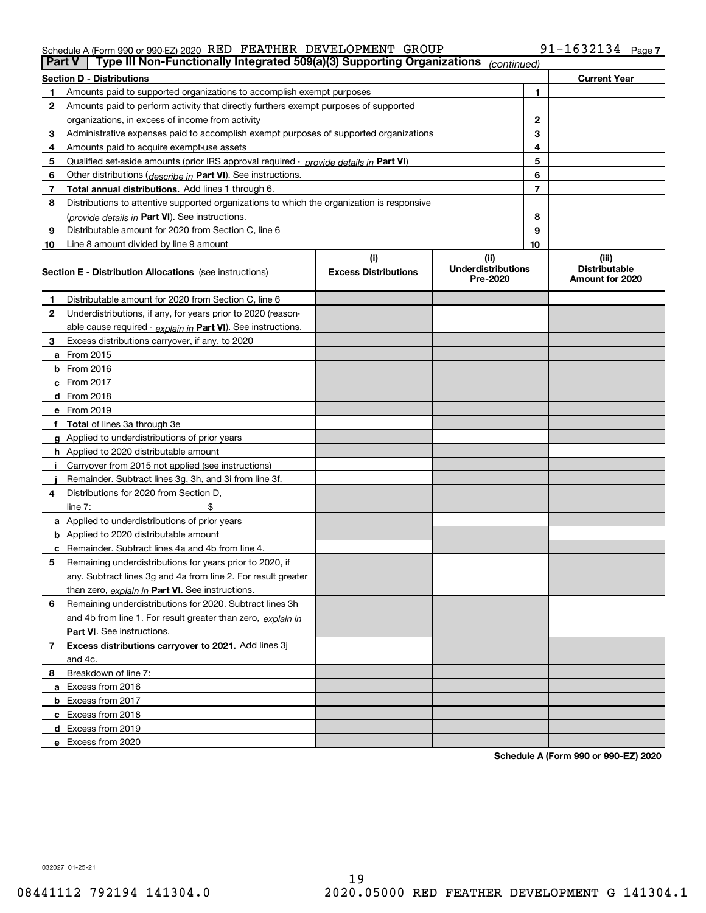#### Schedule A (Form 990 or 990-EZ) 2020  $\,$  RED  $\,$  FEATHER  $\,$  DEVELOPMENT  $\,$  GROUP  $\,$   $\,$  91  $-1632134$   $\,$  Page

|    | Type III Non-Functionally Integrated 509(a)(3) Supporting Organizations<br>Part V<br>(continued) |                             |                                       |                |                                         |
|----|--------------------------------------------------------------------------------------------------|-----------------------------|---------------------------------------|----------------|-----------------------------------------|
|    | <b>Section D - Distributions</b>                                                                 |                             |                                       |                | <b>Current Year</b>                     |
|    | Amounts paid to supported organizations to accomplish exempt purposes                            |                             |                                       | 1              |                                         |
| 2  | Amounts paid to perform activity that directly furthers exempt purposes of supported             |                             |                                       |                |                                         |
|    | organizations, in excess of income from activity                                                 |                             | $\mathbf{2}$                          |                |                                         |
| 3  | Administrative expenses paid to accomplish exempt purposes of supported organizations            |                             |                                       | 3              |                                         |
| 4  | Amounts paid to acquire exempt-use assets                                                        |                             |                                       | 4              |                                         |
| 5  | Qualified set aside amounts (prior IRS approval required - provide details in Part VI)           |                             |                                       | 5              |                                         |
| 6  | Other distributions ( <i>describe in</i> Part VI). See instructions.                             |                             |                                       | 6              |                                         |
| 7  | Total annual distributions. Add lines 1 through 6.                                               |                             |                                       | $\overline{7}$ |                                         |
| 8  | Distributions to attentive supported organizations to which the organization is responsive       |                             |                                       |                |                                         |
|    | (provide details in Part VI). See instructions.                                                  |                             |                                       | 8              |                                         |
| 9  | Distributable amount for 2020 from Section C, line 6                                             |                             |                                       | 9              |                                         |
| 10 | Line 8 amount divided by line 9 amount                                                           |                             |                                       | 10             |                                         |
|    |                                                                                                  | (i)                         | (ii)                                  |                | (iii)                                   |
|    | <b>Section E - Distribution Allocations</b> (see instructions)                                   | <b>Excess Distributions</b> | <b>Underdistributions</b><br>Pre-2020 |                | <b>Distributable</b><br>Amount for 2020 |
| 1  | Distributable amount for 2020 from Section C, line 6                                             |                             |                                       |                |                                         |
| 2  | Underdistributions, if any, for years prior to 2020 (reason-                                     |                             |                                       |                |                                         |
|    | able cause required - explain in Part VI). See instructions.                                     |                             |                                       |                |                                         |
| 3  | Excess distributions carryover, if any, to 2020                                                  |                             |                                       |                |                                         |
|    | a From 2015                                                                                      |                             |                                       |                |                                         |
|    | $b$ From 2016                                                                                    |                             |                                       |                |                                         |
|    | $c$ From 2017                                                                                    |                             |                                       |                |                                         |
|    | <b>d</b> From 2018                                                                               |                             |                                       |                |                                         |
|    | e From 2019                                                                                      |                             |                                       |                |                                         |
|    | f Total of lines 3a through 3e                                                                   |                             |                                       |                |                                         |
|    | g Applied to underdistributions of prior years                                                   |                             |                                       |                |                                         |
|    | <b>h</b> Applied to 2020 distributable amount                                                    |                             |                                       |                |                                         |
|    | Carryover from 2015 not applied (see instructions)                                               |                             |                                       |                |                                         |
|    | Remainder. Subtract lines 3g, 3h, and 3i from line 3f.                                           |                             |                                       |                |                                         |
| 4  | Distributions for 2020 from Section D.                                                           |                             |                                       |                |                                         |
|    | line $7:$                                                                                        |                             |                                       |                |                                         |
|    | a Applied to underdistributions of prior years                                                   |                             |                                       |                |                                         |
|    | <b>b</b> Applied to 2020 distributable amount                                                    |                             |                                       |                |                                         |
|    | c Remainder. Subtract lines 4a and 4b from line 4.                                               |                             |                                       |                |                                         |
| 5  | Remaining underdistributions for years prior to 2020, if                                         |                             |                                       |                |                                         |
|    | any. Subtract lines 3g and 4a from line 2. For result greater                                    |                             |                                       |                |                                         |
|    | than zero, explain in Part VI. See instructions.                                                 |                             |                                       |                |                                         |
| 6  | Remaining underdistributions for 2020. Subtract lines 3h                                         |                             |                                       |                |                                         |
|    | and 4b from line 1. For result greater than zero, explain in                                     |                             |                                       |                |                                         |
|    | <b>Part VI.</b> See instructions.                                                                |                             |                                       |                |                                         |
| 7  | Excess distributions carryover to 2021. Add lines 3j                                             |                             |                                       |                |                                         |
|    | and 4c.                                                                                          |                             |                                       |                |                                         |
| 8  | Breakdown of line 7:                                                                             |                             |                                       |                |                                         |
|    | a Excess from 2016                                                                               |                             |                                       |                |                                         |
|    | <b>b</b> Excess from 2017                                                                        |                             |                                       |                |                                         |
|    | c Excess from 2018                                                                               |                             |                                       |                |                                         |
|    | d Excess from 2019                                                                               |                             |                                       |                |                                         |
|    | e Excess from 2020                                                                               |                             |                                       |                |                                         |

**Schedule A (Form 990 or 990-EZ) 2020**

032027 01-25-21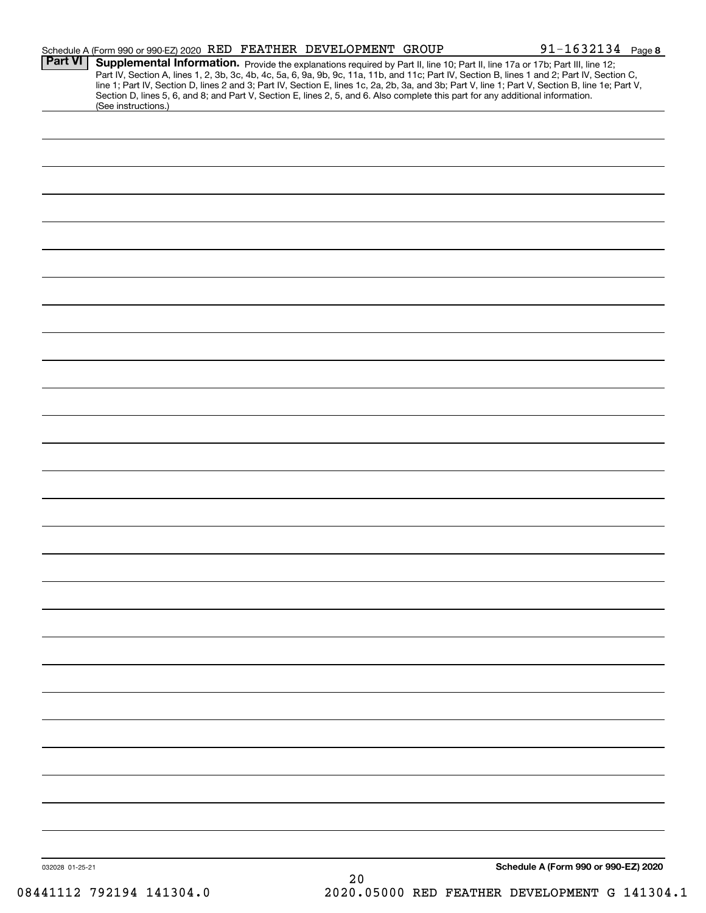| <b>Part VI</b>  | Schedule A (Form 990 or 990-EZ) 2020 RED FEATHER DEVELOPMENT GROUP<br>Supplemental Information. Provide the explanations required by Part II, line 10; Part II, line 17a or 17b; Part III, line 12; |    | $91 - 1632134$ Page 8                                                                                                                                                                                                                                                                            |
|-----------------|-----------------------------------------------------------------------------------------------------------------------------------------------------------------------------------------------------|----|--------------------------------------------------------------------------------------------------------------------------------------------------------------------------------------------------------------------------------------------------------------------------------------------------|
|                 | Section D, lines 5, 6, and 8; and Part V, Section E, lines 2, 5, and 6. Also complete this part for any additional information.<br>(See instructions.)                                              |    | Part IV, Section A, lines 1, 2, 3b, 3c, 4b, 4c, 5a, 6, 9a, 9b, 9c, 11a, 11b, and 11c; Part IV, Section B, lines 1 and 2; Part IV, Section C,<br>line 1; Part IV, Section D, lines 2 and 3; Part IV, Section E, lines 1c, 2a, 2b, 3a, and 3b; Part V, line 1; Part V, Section B, line 1e; Part V, |
|                 |                                                                                                                                                                                                     |    |                                                                                                                                                                                                                                                                                                  |
|                 |                                                                                                                                                                                                     |    |                                                                                                                                                                                                                                                                                                  |
|                 |                                                                                                                                                                                                     |    |                                                                                                                                                                                                                                                                                                  |
|                 |                                                                                                                                                                                                     |    |                                                                                                                                                                                                                                                                                                  |
|                 |                                                                                                                                                                                                     |    |                                                                                                                                                                                                                                                                                                  |
|                 |                                                                                                                                                                                                     |    |                                                                                                                                                                                                                                                                                                  |
|                 |                                                                                                                                                                                                     |    |                                                                                                                                                                                                                                                                                                  |
|                 |                                                                                                                                                                                                     |    |                                                                                                                                                                                                                                                                                                  |
|                 |                                                                                                                                                                                                     |    |                                                                                                                                                                                                                                                                                                  |
|                 |                                                                                                                                                                                                     |    |                                                                                                                                                                                                                                                                                                  |
|                 |                                                                                                                                                                                                     |    |                                                                                                                                                                                                                                                                                                  |
|                 |                                                                                                                                                                                                     |    |                                                                                                                                                                                                                                                                                                  |
|                 |                                                                                                                                                                                                     |    |                                                                                                                                                                                                                                                                                                  |
|                 |                                                                                                                                                                                                     |    |                                                                                                                                                                                                                                                                                                  |
|                 |                                                                                                                                                                                                     |    |                                                                                                                                                                                                                                                                                                  |
|                 |                                                                                                                                                                                                     |    |                                                                                                                                                                                                                                                                                                  |
|                 |                                                                                                                                                                                                     |    |                                                                                                                                                                                                                                                                                                  |
|                 |                                                                                                                                                                                                     |    |                                                                                                                                                                                                                                                                                                  |
|                 |                                                                                                                                                                                                     |    |                                                                                                                                                                                                                                                                                                  |
|                 |                                                                                                                                                                                                     |    |                                                                                                                                                                                                                                                                                                  |
|                 |                                                                                                                                                                                                     |    |                                                                                                                                                                                                                                                                                                  |
|                 |                                                                                                                                                                                                     |    |                                                                                                                                                                                                                                                                                                  |
|                 |                                                                                                                                                                                                     |    |                                                                                                                                                                                                                                                                                                  |
|                 |                                                                                                                                                                                                     |    |                                                                                                                                                                                                                                                                                                  |
|                 |                                                                                                                                                                                                     |    |                                                                                                                                                                                                                                                                                                  |
|                 |                                                                                                                                                                                                     |    |                                                                                                                                                                                                                                                                                                  |
|                 |                                                                                                                                                                                                     |    |                                                                                                                                                                                                                                                                                                  |
|                 |                                                                                                                                                                                                     |    |                                                                                                                                                                                                                                                                                                  |
|                 |                                                                                                                                                                                                     |    |                                                                                                                                                                                                                                                                                                  |
| 032028 01-25-21 |                                                                                                                                                                                                     | 20 | Schedule A (Form 990 or 990-EZ) 2020                                                                                                                                                                                                                                                             |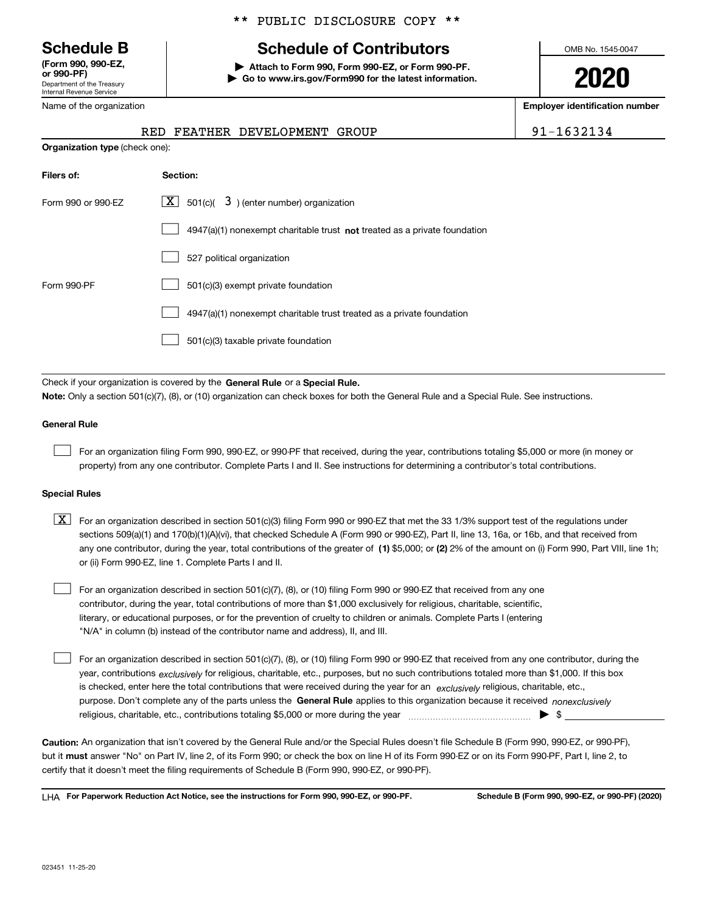Department of the Treasury Internal Revenue Service **(Form 990, 990-EZ, or 990-PF)**

Name of the organization

### \*\* PUBLIC DISCLOSURE COPY \*\*

# **Schedule B Schedule of Contributors**

**| Attach to Form 990, Form 990-EZ, or Form 990-PF. | Go to www.irs.gov/Form990 for the latest information.** OMB No. 1545-0047

**2020**

**Employer identification number**

| $91 - 163$ |
|------------|

|                                | RED FEATHER DEVELOPMENT GROUP | 91-1632134 |
|--------------------------------|-------------------------------|------------|
| Organization type (check one): |                               |            |

| Filers of:         | Section:                                                                  |
|--------------------|---------------------------------------------------------------------------|
| Form 990 or 990-EZ | $\lfloor x \rfloor$ 501(c)( 3) (enter number) organization                |
|                    | 4947(a)(1) nonexempt charitable trust not treated as a private foundation |
|                    | 527 political organization                                                |
| Form 990-PF        | 501(c)(3) exempt private foundation                                       |
|                    | 4947(a)(1) nonexempt charitable trust treated as a private foundation     |
|                    | 501(c)(3) taxable private foundation                                      |

Check if your organization is covered by the **General Rule** or a **Special Rule. Note:**  Only a section 501(c)(7), (8), or (10) organization can check boxes for both the General Rule and a Special Rule. See instructions.

#### **General Rule**

 $\mathcal{L}^{\text{max}}$ 

For an organization filing Form 990, 990-EZ, or 990-PF that received, during the year, contributions totaling \$5,000 or more (in money or property) from any one contributor. Complete Parts I and II. See instructions for determining a contributor's total contributions.

#### **Special Rules**

any one contributor, during the year, total contributions of the greater of  $\,$  (1) \$5,000; or **(2)** 2% of the amount on (i) Form 990, Part VIII, line 1h;  $\boxed{\textbf{X}}$  For an organization described in section 501(c)(3) filing Form 990 or 990-EZ that met the 33 1/3% support test of the regulations under sections 509(a)(1) and 170(b)(1)(A)(vi), that checked Schedule A (Form 990 or 990-EZ), Part II, line 13, 16a, or 16b, and that received from or (ii) Form 990-EZ, line 1. Complete Parts I and II.

For an organization described in section 501(c)(7), (8), or (10) filing Form 990 or 990-EZ that received from any one contributor, during the year, total contributions of more than \$1,000 exclusively for religious, charitable, scientific, literary, or educational purposes, or for the prevention of cruelty to children or animals. Complete Parts I (entering "N/A" in column (b) instead of the contributor name and address), II, and III.  $\mathcal{L}^{\text{max}}$ 

purpose. Don't complete any of the parts unless the **General Rule** applies to this organization because it received *nonexclusively* year, contributions <sub>exclusively</sub> for religious, charitable, etc., purposes, but no such contributions totaled more than \$1,000. If this box is checked, enter here the total contributions that were received during the year for an  $\;$ exclusively religious, charitable, etc., For an organization described in section 501(c)(7), (8), or (10) filing Form 990 or 990-EZ that received from any one contributor, during the religious, charitable, etc., contributions totaling \$5,000 or more during the year  $\Box$ — $\Box$   $\Box$  $\mathcal{L}^{\text{max}}$ 

**Caution:**  An organization that isn't covered by the General Rule and/or the Special Rules doesn't file Schedule B (Form 990, 990-EZ, or 990-PF),  **must** but it answer "No" on Part IV, line 2, of its Form 990; or check the box on line H of its Form 990-EZ or on its Form 990-PF, Part I, line 2, to certify that it doesn't meet the filing requirements of Schedule B (Form 990, 990-EZ, or 990-PF).

**For Paperwork Reduction Act Notice, see the instructions for Form 990, 990-EZ, or 990-PF. Schedule B (Form 990, 990-EZ, or 990-PF) (2020)** LHA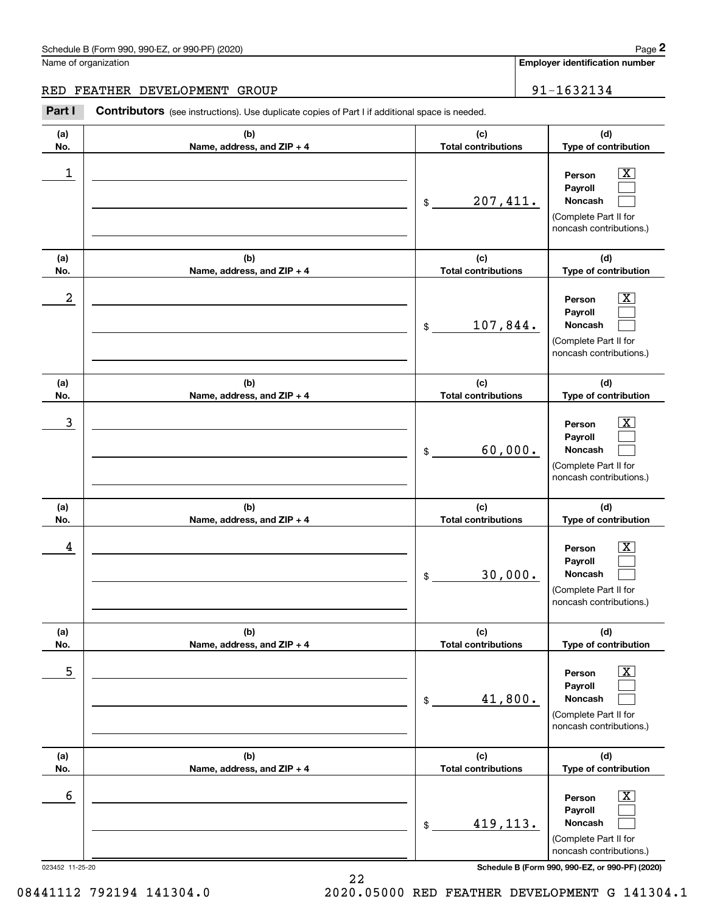**Employer identification number**

## RED FEATHER DEVELOPMENT GROUP | 91-1632134

Chedule B (Form 990, 990-EZ, or 990-PF) (2020)<br>
lame of organization<br> **2Part I Contributors** (see instructions). Use duplicate copies of Part I if additional space is needed.<br> **2Part I Contributors** (see instructions).

| (a)        | (b)                                 | (c)                               | (d)                                                                                                         |
|------------|-------------------------------------|-----------------------------------|-------------------------------------------------------------------------------------------------------------|
| No.        | Name, address, and ZIP + 4          | <b>Total contributions</b>        | Type of contribution                                                                                        |
| 1          |                                     | 207,411.<br>\$                    | $\overline{\mathbf{X}}$<br>Person<br>Payroll<br>Noncash<br>(Complete Part II for<br>noncash contributions.) |
| (a)<br>No. | (b)<br>Name, address, and ZIP + 4   | (c)<br><b>Total contributions</b> | (d)<br>Type of contribution                                                                                 |
| 2          |                                     | 107,844.<br>\$                    | X<br>Person<br>Payroll<br>Noncash<br>(Complete Part II for<br>noncash contributions.)                       |
| (a)<br>No. | (b)<br>Name, address, and ZIP + 4   | (c)<br><b>Total contributions</b> | (d)<br>Type of contribution                                                                                 |
| 3          |                                     | 60,000.<br>\$                     | X<br>Person<br>Payroll<br>Noncash<br>(Complete Part II for<br>noncash contributions.)                       |
| (a)<br>No. | (b)<br>Name, address, and ZIP + 4   | (c)<br><b>Total contributions</b> | (d)<br>Type of contribution                                                                                 |
| 4          |                                     | 30,000.<br>\$                     | X<br>Person<br>Payroll<br>Noncash<br>(Complete Part II for<br>noncash contributions.)                       |
| (a)<br>No. | (b)<br>Name, address, and $ZIP + 4$ | (c)<br><b>Total contributions</b> | (d)<br>Type of contribution                                                                                 |
| 5          |                                     | 41,800.<br>\$                     | $\boxed{\text{X}}$<br>Person<br>Payroll<br>Noncash<br>(Complete Part II for<br>noncash contributions.)      |
| (a)<br>No. | (b)<br>Name, address, and ZIP + 4   | (c)<br><b>Total contributions</b> | (d)<br>Type of contribution                                                                                 |
| 6          |                                     | 419,113.<br>\$                    | $\boxed{\text{X}}$<br>Person<br>Payroll<br>Noncash<br>(Complete Part II for<br>noncash contributions.)      |

023452 11-25-20 **Schedule B (Form 990, 990-EZ, or 990-PF) (2020)**

22

08441112 792194 141304.0 2020.05000 RED FEATHER DEVELOPMENT G 141304.1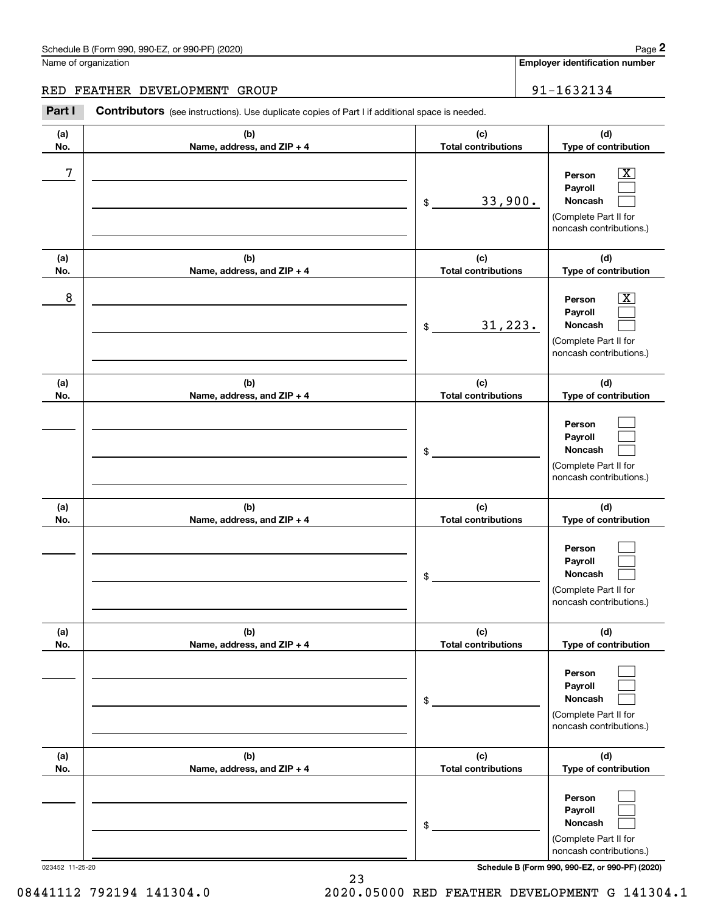**Employer identification number**

## RED FEATHER DEVELOPMENT GROUP | 91-1632134

Chedule B (Form 990, 990-EZ, or 990-PF) (2020)<br>
lame of organization<br> **2Part I Contributors** (see instructions). Use duplicate copies of Part I if additional space is needed.<br> **2Part I Contributors** (see instructions).

| (a)        | (b)                                 | (c)                               | (d)                                                                                   |
|------------|-------------------------------------|-----------------------------------|---------------------------------------------------------------------------------------|
| No.        | Name, address, and ZIP + 4          | <b>Total contributions</b>        | Type of contribution                                                                  |
| 7          |                                     | 33,900.<br>\$                     | x<br>Person<br>Payroll<br>Noncash<br>(Complete Part II for<br>noncash contributions.) |
| (a)<br>No. | (b)<br>Name, address, and ZIP + 4   | (c)<br><b>Total contributions</b> | (d)<br>Type of contribution                                                           |
| 8          |                                     | 31, 223.<br>\$                    | Person<br>x<br>Payroll<br>Noncash<br>(Complete Part II for<br>noncash contributions.) |
| (a)<br>No. | (b)<br>Name, address, and ZIP + 4   | (c)<br><b>Total contributions</b> | (d)<br>Type of contribution                                                           |
|            |                                     | \$                                | Person<br>Payroll<br>Noncash<br>(Complete Part II for<br>noncash contributions.)      |
| (a)<br>No. | (b)<br>Name, address, and ZIP + 4   | (c)<br><b>Total contributions</b> | (d)<br>Type of contribution                                                           |
|            |                                     | \$                                | Person<br>Payroll<br>Noncash<br>(Complete Part II for<br>noncash contributions.)      |
| (a)<br>No. | (b)<br>Name, address, and $ZIP + 4$ | (c)<br>Total contributions        | (d)<br>Type of contribution                                                           |
|            |                                     | \$                                | Person<br>Payroll<br>Noncash<br>(Complete Part II for<br>noncash contributions.)      |
| (a)<br>No. | (b)<br>Name, address, and ZIP + 4   | (c)<br><b>Total contributions</b> | (d)<br>Type of contribution                                                           |
|            |                                     | \$                                | Person<br>Payroll<br>Noncash<br>(Complete Part II for<br>noncash contributions.)      |

023452 11-25-20 **Schedule B (Form 990, 990-EZ, or 990-PF) (2020)**

08441112 792194 141304.0 2020.05000 RED FEATHER DEVELOPMENT G 141304.1

23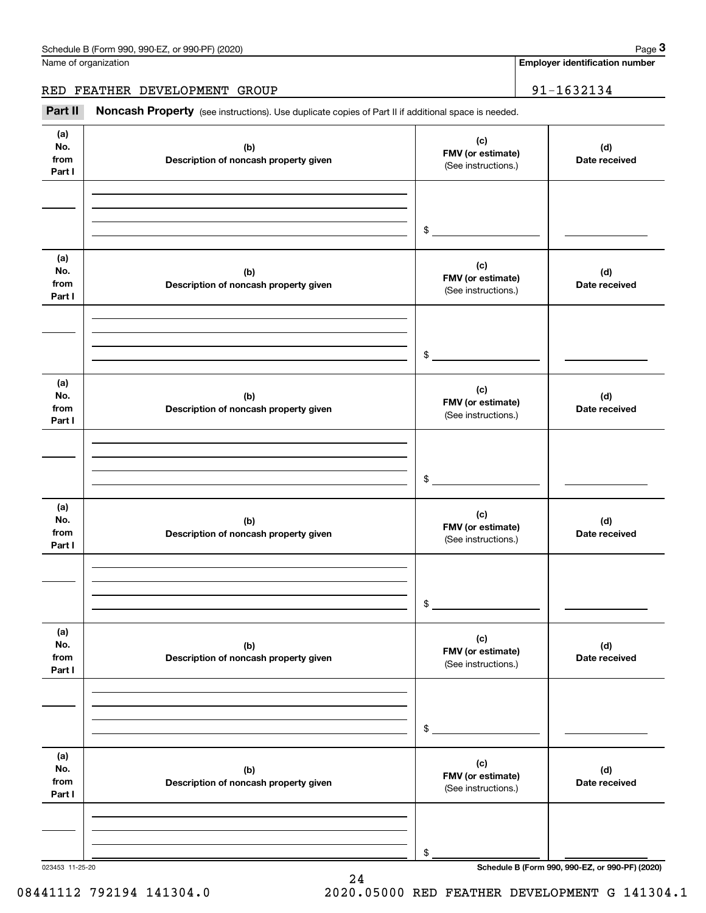**Employer identification number**

RED FEATHER DEVELOPMENT GROUP | 91-1632134

Chedule B (Form 990, 990-EZ, or 990-PF) (2020)<br> **2Part II is additional space is needed.**<br> **2Part II is Additional space is needed.**<br> **Part II Noncash Property** (see instructions). Use duplicate copies of Part II if additi

| (a)<br>No.<br>from<br>Part I | (b)<br>Description of noncash property given | (c)<br>FMV (or estimate)<br>(See instructions.) | (d)<br>Date received                            |
|------------------------------|----------------------------------------------|-------------------------------------------------|-------------------------------------------------|
|                              |                                              | $\sim$                                          |                                                 |
| (a)<br>No.<br>from<br>Part I | (b)<br>Description of noncash property given | (c)<br>FMV (or estimate)<br>(See instructions.) | (d)<br>Date received                            |
|                              |                                              | $\sim$                                          |                                                 |
| (a)<br>No.<br>from<br>Part I | (b)<br>Description of noncash property given | (c)<br>FMV (or estimate)<br>(See instructions.) | (d)<br>Date received                            |
|                              |                                              | $\sim$                                          |                                                 |
| (a)<br>No.<br>from<br>Part I | (b)<br>Description of noncash property given | (c)<br>FMV (or estimate)<br>(See instructions.) | (d)<br>Date received                            |
|                              |                                              | \$                                              |                                                 |
| (a)<br>No.<br>from<br>Part I | (b)<br>Description of noncash property given | (c)<br>FMV (or estimate)<br>(See instructions.) | (d)<br>Date received                            |
|                              |                                              | \$                                              |                                                 |
| (a)<br>No.<br>from<br>Part I | (b)<br>Description of noncash property given | (c)<br>FMV (or estimate)<br>(See instructions.) | (d)<br>Date received                            |
|                              |                                              | \$                                              |                                                 |
| 023453 11-25-20              |                                              |                                                 | Schedule B (Form 990, 990-EZ, or 990-PF) (2020) |

24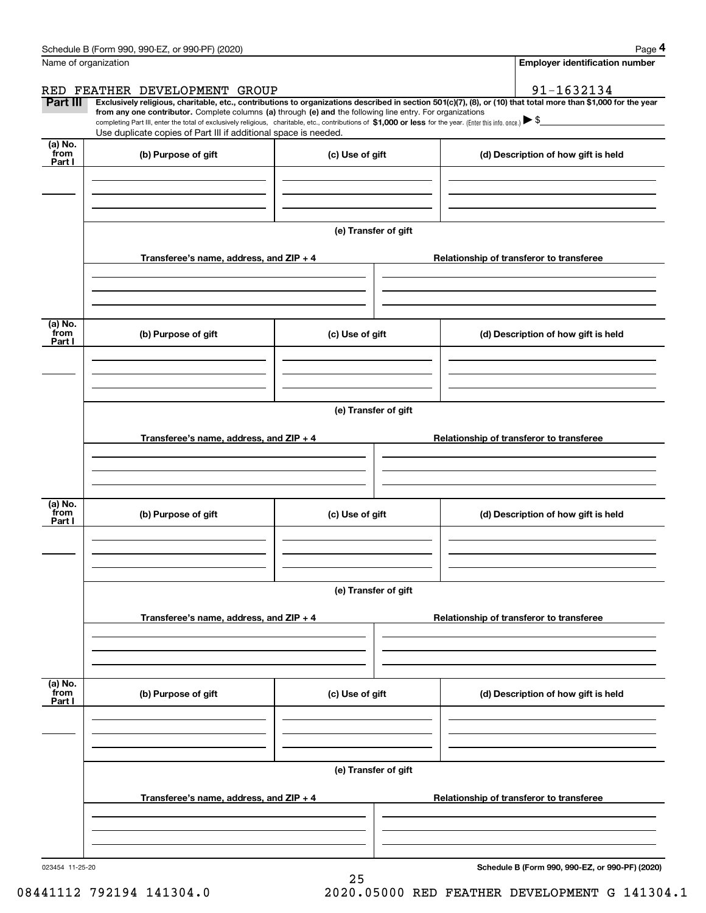|                           | Schedule B (Form 990, 990-EZ, or 990-PF) (2020)                                                                                                                               |                                                        | Page 4                                                                                                                                                                                                                                                                                                                                              |  |  |  |
|---------------------------|-------------------------------------------------------------------------------------------------------------------------------------------------------------------------------|--------------------------------------------------------|-----------------------------------------------------------------------------------------------------------------------------------------------------------------------------------------------------------------------------------------------------------------------------------------------------------------------------------------------------|--|--|--|
|                           | Name of organization                                                                                                                                                          |                                                        | <b>Employer identification number</b>                                                                                                                                                                                                                                                                                                               |  |  |  |
|                           | RED FEATHER DEVELOPMENT GROUP                                                                                                                                                 |                                                        | 91-1632134                                                                                                                                                                                                                                                                                                                                          |  |  |  |
| Part III                  | from any one contributor. Complete columns (a) through (e) and the following line entry. For organizations<br>Use duplicate copies of Part III if additional space is needed. |                                                        | Exclusively religious, charitable, etc., contributions to organizations described in section 501(c)(7), (8), or (10) that total more than \$1,000 for the year<br>completing Part III, enter the total of exclusively religious, charitable, etc., contributions of \$1,000 or less for the year. (Enter this info. once.) $\blacktriangleright$ \$ |  |  |  |
| (a) No.<br>from<br>Part I | (b) Purpose of gift                                                                                                                                                           | (c) Use of gift                                        | (d) Description of how gift is held                                                                                                                                                                                                                                                                                                                 |  |  |  |
|                           |                                                                                                                                                                               |                                                        |                                                                                                                                                                                                                                                                                                                                                     |  |  |  |
|                           |                                                                                                                                                                               | (e) Transfer of gift                                   |                                                                                                                                                                                                                                                                                                                                                     |  |  |  |
|                           | Transferee's name, address, and $ZIP + 4$                                                                                                                                     |                                                        | Relationship of transferor to transferee                                                                                                                                                                                                                                                                                                            |  |  |  |
|                           |                                                                                                                                                                               |                                                        |                                                                                                                                                                                                                                                                                                                                                     |  |  |  |
| (a) No.<br>from<br>Part I | (b) Purpose of gift                                                                                                                                                           | (c) Use of gift<br>(d) Description of how gift is held |                                                                                                                                                                                                                                                                                                                                                     |  |  |  |
|                           |                                                                                                                                                                               |                                                        |                                                                                                                                                                                                                                                                                                                                                     |  |  |  |
|                           | (e) Transfer of gift                                                                                                                                                          |                                                        |                                                                                                                                                                                                                                                                                                                                                     |  |  |  |
|                           | Transferee's name, address, and $ZIP + 4$                                                                                                                                     |                                                        | Relationship of transferor to transferee                                                                                                                                                                                                                                                                                                            |  |  |  |
| (a) No.<br>from           | (b) Purpose of gift                                                                                                                                                           | (c) Use of gift                                        | (d) Description of how gift is held                                                                                                                                                                                                                                                                                                                 |  |  |  |
| Part I                    |                                                                                                                                                                               |                                                        |                                                                                                                                                                                                                                                                                                                                                     |  |  |  |
|                           |                                                                                                                                                                               | (e) Transfer of gift                                   |                                                                                                                                                                                                                                                                                                                                                     |  |  |  |
|                           | Transferee's name, address, and ZIP + 4                                                                                                                                       |                                                        | Relationship of transferor to transferee                                                                                                                                                                                                                                                                                                            |  |  |  |
|                           |                                                                                                                                                                               |                                                        |                                                                                                                                                                                                                                                                                                                                                     |  |  |  |
| (a) No.<br>from<br>Part I | (b) Purpose of gift                                                                                                                                                           | (c) Use of gift                                        | (d) Description of how gift is held                                                                                                                                                                                                                                                                                                                 |  |  |  |
|                           |                                                                                                                                                                               |                                                        |                                                                                                                                                                                                                                                                                                                                                     |  |  |  |
|                           |                                                                                                                                                                               | (e) Transfer of gift                                   |                                                                                                                                                                                                                                                                                                                                                     |  |  |  |
|                           | Transferee's name, address, and ZIP + 4                                                                                                                                       |                                                        | Relationship of transferor to transferee                                                                                                                                                                                                                                                                                                            |  |  |  |
|                           |                                                                                                                                                                               |                                                        |                                                                                                                                                                                                                                                                                                                                                     |  |  |  |

25

023454 11-25-20

**Schedule B (Form 990, 990-EZ, or 990-PF) (2020)**

08441112 792194 141304.0 2020.05000 RED FEATHER DEVELOPMENT G 141304.1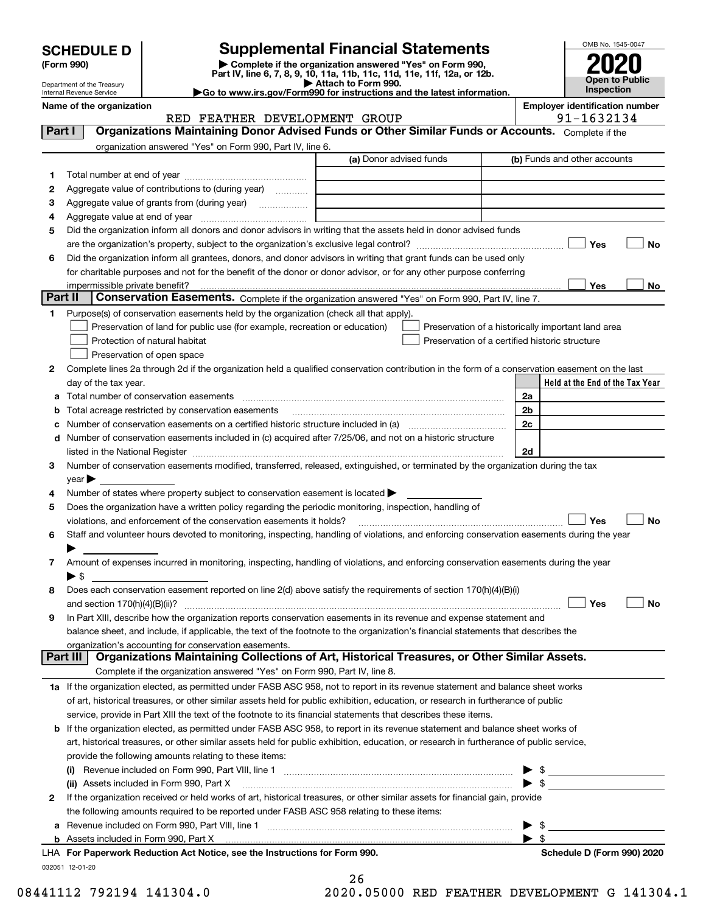| <b>SCHEDULE D</b> |  |
|-------------------|--|
|-------------------|--|

# **SCHEDULE D Supplemental Financial Statements**

(Form 990)<br>
Pepartment of the Treasury<br>
Department of the Treasury<br>
Department of the Treasury<br>
Department of the Treasury<br> **Co to www.irs.gov/Form990 for instructions and the latest information.**<br> **Co to www.irs.gov/Form9** 



Department of the Treasury Internal Revenue Service

|         | Name of the organization                                                                                                                       |                         |                                                    |                          | <b>Employer identification number</b> |            |           |
|---------|------------------------------------------------------------------------------------------------------------------------------------------------|-------------------------|----------------------------------------------------|--------------------------|---------------------------------------|------------|-----------|
|         | RED FEATHER DEVELOPMENT GROUP<br>Organizations Maintaining Donor Advised Funds or Other Similar Funds or Accounts. Complete if the             |                         |                                                    |                          |                                       | 91-1632134 |           |
| Part I  |                                                                                                                                                |                         |                                                    |                          |                                       |            |           |
|         | organization answered "Yes" on Form 990, Part IV, line 6.                                                                                      | (a) Donor advised funds |                                                    |                          | (b) Funds and other accounts          |            |           |
|         |                                                                                                                                                |                         |                                                    |                          |                                       |            |           |
| 1       |                                                                                                                                                |                         |                                                    |                          |                                       |            |           |
| 2       | Aggregate value of contributions to (during year)                                                                                              |                         |                                                    |                          |                                       |            |           |
| 3       | Aggregate value of grants from (during year)                                                                                                   |                         |                                                    |                          |                                       |            |           |
| 4       |                                                                                                                                                |                         |                                                    |                          |                                       |            |           |
| 5       | Did the organization inform all donors and donor advisors in writing that the assets held in donor advised funds                               |                         |                                                    |                          |                                       |            |           |
|         |                                                                                                                                                |                         |                                                    |                          |                                       | Yes        | No        |
| 6       | Did the organization inform all grantees, donors, and donor advisors in writing that grant funds can be used only                              |                         |                                                    |                          |                                       |            |           |
|         | for charitable purposes and not for the benefit of the donor or donor advisor, or for any other purpose conferring                             |                         |                                                    |                          |                                       |            |           |
| Part II | impermissible private benefit?<br>Conservation Easements. Complete if the organization answered "Yes" on Form 990, Part IV, line 7.            |                         |                                                    |                          |                                       | Yes        | No        |
| 1       | Purpose(s) of conservation easements held by the organization (check all that apply).                                                          |                         |                                                    |                          |                                       |            |           |
|         | Preservation of land for public use (for example, recreation or education)                                                                     |                         | Preservation of a historically important land area |                          |                                       |            |           |
|         | Protection of natural habitat                                                                                                                  |                         | Preservation of a certified historic structure     |                          |                                       |            |           |
|         | Preservation of open space                                                                                                                     |                         |                                                    |                          |                                       |            |           |
| 2       | Complete lines 2a through 2d if the organization held a qualified conservation contribution in the form of a conservation easement on the last |                         |                                                    |                          |                                       |            |           |
|         | day of the tax year.                                                                                                                           |                         |                                                    |                          | Held at the End of the Tax Year       |            |           |
| а       | Total number of conservation easements                                                                                                         |                         |                                                    | 2a                       |                                       |            |           |
| b       | Total acreage restricted by conservation easements                                                                                             |                         |                                                    | 2b                       |                                       |            |           |
| с       |                                                                                                                                                |                         |                                                    | 2c                       |                                       |            |           |
| d       | Number of conservation easements included in (c) acquired after 7/25/06, and not on a historic structure                                       |                         |                                                    |                          |                                       |            |           |
|         |                                                                                                                                                |                         |                                                    | 2d                       |                                       |            |           |
| 3       | Number of conservation easements modified, transferred, released, extinguished, or terminated by the organization during the tax               |                         |                                                    |                          |                                       |            |           |
|         | $year \blacktriangleright$                                                                                                                     |                         |                                                    |                          |                                       |            |           |
| 4       | Number of states where property subject to conservation easement is located >                                                                  |                         |                                                    |                          |                                       |            |           |
| 5       | Does the organization have a written policy regarding the periodic monitoring, inspection, handling of                                         |                         |                                                    |                          |                                       |            |           |
|         | violations, and enforcement of the conservation easements it holds?                                                                            |                         |                                                    |                          |                                       | Yes        | <b>No</b> |
| 6       | Staff and volunteer hours devoted to monitoring, inspecting, handling of violations, and enforcing conservation easements during the year      |                         |                                                    |                          |                                       |            |           |
|         |                                                                                                                                                |                         |                                                    |                          |                                       |            |           |
| 7       | Amount of expenses incurred in monitoring, inspecting, handling of violations, and enforcing conservation easements during the year            |                         |                                                    |                          |                                       |            |           |
|         | ► \$                                                                                                                                           |                         |                                                    |                          |                                       |            |           |
| 8       | Does each conservation easement reported on line 2(d) above satisfy the requirements of section 170(h)(4)(B)(i)                                |                         |                                                    |                          |                                       |            |           |
|         |                                                                                                                                                |                         |                                                    |                          |                                       | Yes        | No        |
|         | In Part XIII, describe how the organization reports conservation easements in its revenue and expense statement and                            |                         |                                                    |                          |                                       |            |           |
|         | balance sheet, and include, if applicable, the text of the footnote to the organization's financial statements that describes the              |                         |                                                    |                          |                                       |            |           |
|         | organization's accounting for conservation easements.                                                                                          |                         |                                                    |                          |                                       |            |           |
|         | Organizations Maintaining Collections of Art, Historical Treasures, or Other Similar Assets.<br>Part III                                       |                         |                                                    |                          |                                       |            |           |
|         | Complete if the organization answered "Yes" on Form 990, Part IV, line 8.                                                                      |                         |                                                    |                          |                                       |            |           |
|         | 1a If the organization elected, as permitted under FASB ASC 958, not to report in its revenue statement and balance sheet works                |                         |                                                    |                          |                                       |            |           |
|         | of art, historical treasures, or other similar assets held for public exhibition, education, or research in furtherance of public              |                         |                                                    |                          |                                       |            |           |
|         | service, provide in Part XIII the text of the footnote to its financial statements that describes these items.                                 |                         |                                                    |                          |                                       |            |           |
|         | <b>b</b> If the organization elected, as permitted under FASB ASC 958, to report in its revenue statement and balance sheet works of           |                         |                                                    |                          |                                       |            |           |
|         | art, historical treasures, or other similar assets held for public exhibition, education, or research in furtherance of public service,        |                         |                                                    |                          |                                       |            |           |
|         | provide the following amounts relating to these items:                                                                                         |                         |                                                    |                          |                                       |            |           |
|         |                                                                                                                                                |                         |                                                    |                          | \$                                    |            |           |
|         | (ii) Assets included in Form 990, Part X                                                                                                       |                         |                                                    | $\blacktriangleright$ \$ |                                       |            |           |
| 2       | If the organization received or held works of art, historical treasures, or other similar assets for financial gain, provide                   |                         |                                                    |                          |                                       |            |           |
|         | the following amounts required to be reported under FASB ASC 958 relating to these items:                                                      |                         |                                                    |                          |                                       |            |           |
| a       |                                                                                                                                                |                         |                                                    | $\blacktriangleright$ s  | - \$                                  |            |           |
|         | <b>b</b> Assets included in Form 990, Part X<br>LHA For Paperwork Reduction Act Notice, see the Instructions for Form 990.                     |                         |                                                    |                          | Schedule D (Form 990) 2020            |            |           |
|         | 032051 12-01-20                                                                                                                                |                         |                                                    |                          |                                       |            |           |
|         |                                                                                                                                                | 26                      |                                                    |                          |                                       |            |           |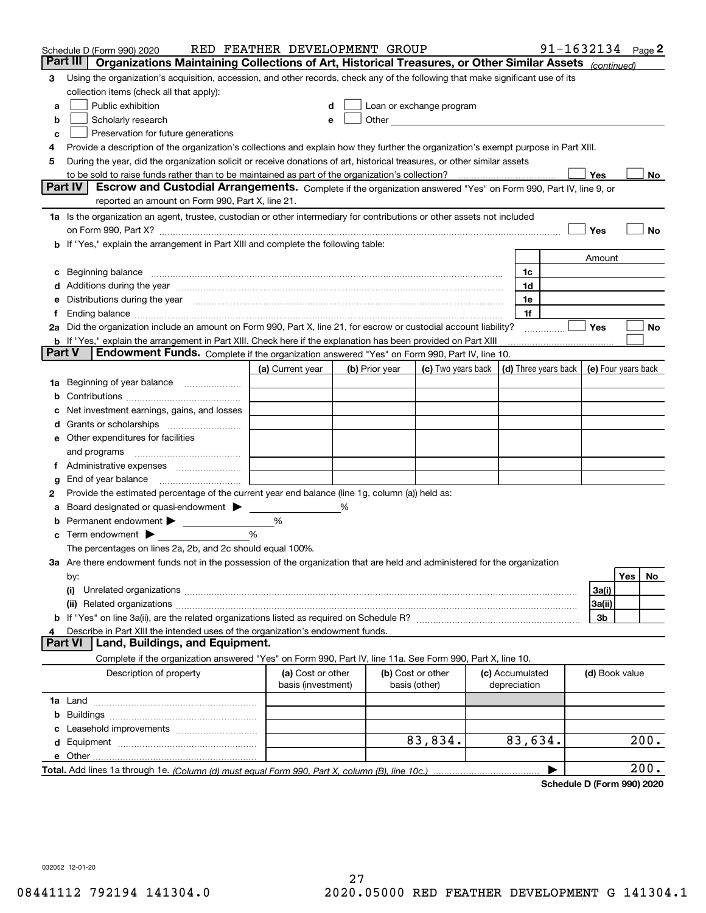|        | Schedule D (Form 990) 2020                                                                                                                                                                                                     | RED FEATHER DEVELOPMENT GROUP |   |                                                      |                    |                      | 91-1632134 Page 2 |                     |     |      |
|--------|--------------------------------------------------------------------------------------------------------------------------------------------------------------------------------------------------------------------------------|-------------------------------|---|------------------------------------------------------|--------------------|----------------------|-------------------|---------------------|-----|------|
|        | Part III<br>Organizations Maintaining Collections of Art, Historical Treasures, or Other Similar Assets (continued)                                                                                                            |                               |   |                                                      |                    |                      |                   |                     |     |      |
| 3      | Using the organization's acquisition, accession, and other records, check any of the following that make significant use of its                                                                                                |                               |   |                                                      |                    |                      |                   |                     |     |      |
|        | collection items (check all that apply):                                                                                                                                                                                       |                               |   |                                                      |                    |                      |                   |                     |     |      |
| a      | Public exhibition                                                                                                                                                                                                              | d                             |   | Loan or exchange program                             |                    |                      |                   |                     |     |      |
| b      | Scholarly research                                                                                                                                                                                                             | е                             |   | Other <b>Committee Committee Committee Committee</b> |                    |                      |                   |                     |     |      |
| c      | Preservation for future generations                                                                                                                                                                                            |                               |   |                                                      |                    |                      |                   |                     |     |      |
| 4      | Provide a description of the organization's collections and explain how they further the organization's exempt purpose in Part XIII.                                                                                           |                               |   |                                                      |                    |                      |                   |                     |     |      |
| 5      | During the year, did the organization solicit or receive donations of art, historical treasures, or other similar assets                                                                                                       |                               |   |                                                      |                    |                      |                   |                     |     |      |
|        | to be sold to raise funds rather than to be maintained as part of the organization's collection?                                                                                                                               |                               |   |                                                      |                    |                      |                   | Yes                 |     | No   |
|        | <b>Part IV</b><br>Escrow and Custodial Arrangements. Complete if the organization answered "Yes" on Form 990, Part IV, line 9, or                                                                                              |                               |   |                                                      |                    |                      |                   |                     |     |      |
|        | reported an amount on Form 990, Part X, line 21.                                                                                                                                                                               |                               |   |                                                      |                    |                      |                   |                     |     |      |
|        | 1a Is the organization an agent, trustee, custodian or other intermediary for contributions or other assets not included                                                                                                       |                               |   |                                                      |                    |                      |                   |                     |     |      |
|        | on Form 990, Part X? [11] matter and the contract of the contract of the contract of the contract of the contract of the contract of the contract of the contract of the contract of the contract of the contract of the contr |                               |   |                                                      |                    |                      |                   | Yes                 |     | No   |
|        | If "Yes," explain the arrangement in Part XIII and complete the following table:                                                                                                                                               |                               |   |                                                      |                    |                      |                   |                     |     |      |
|        |                                                                                                                                                                                                                                |                               |   |                                                      |                    |                      |                   | Amount              |     |      |
| c      | Beginning balance                                                                                                                                                                                                              |                               |   |                                                      |                    | 1c                   |                   |                     |     |      |
| d      | Additions during the year manufactured and an annual contract of the year manufactured and a set of the year manufactured and a set of the year manufactured and a set of the year manufactured and a set of the set of the se |                               |   |                                                      |                    | 1d                   |                   |                     |     |      |
| е      | Distributions during the year measurement contains and all the state of the state of the state of the state of                                                                                                                 |                               |   |                                                      |                    | 1e                   |                   |                     |     |      |
|        | Ending balance manufactured and contact the contract of the contract of the contract of the contract of the contract of the contract of the contract of the contract of the contract of the contract of the contract of the co |                               |   |                                                      |                    | 1f                   |                   |                     |     |      |
|        | 2a Did the organization include an amount on Form 990, Part X, line 21, for escrow or custodial account liability?                                                                                                             |                               |   |                                                      |                    |                      |                   | Yes                 |     | No   |
|        | <b>b</b> If "Yes," explain the arrangement in Part XIII. Check here if the explanation has been provided on Part XIII                                                                                                          |                               |   |                                                      |                    |                      |                   |                     |     |      |
| Part V | Endowment Funds. Complete if the organization answered "Yes" on Form 990, Part IV, line 10.                                                                                                                                    |                               |   |                                                      |                    |                      |                   |                     |     |      |
|        |                                                                                                                                                                                                                                | (a) Current year              |   | (b) Prior year                                       | (c) Two years back | (d) Three years back |                   | (e) Four years back |     |      |
| 1a     | Beginning of year balance                                                                                                                                                                                                      |                               |   |                                                      |                    |                      |                   |                     |     |      |
| b      |                                                                                                                                                                                                                                |                               |   |                                                      |                    |                      |                   |                     |     |      |
|        | Net investment earnings, gains, and losses                                                                                                                                                                                     |                               |   |                                                      |                    |                      |                   |                     |     |      |
| a      |                                                                                                                                                                                                                                |                               |   |                                                      |                    |                      |                   |                     |     |      |
| е      | Other expenditures for facilities                                                                                                                                                                                              |                               |   |                                                      |                    |                      |                   |                     |     |      |
|        | and programs                                                                                                                                                                                                                   |                               |   |                                                      |                    |                      |                   |                     |     |      |
| Ť.     | Administrative expenses                                                                                                                                                                                                        |                               |   |                                                      |                    |                      |                   |                     |     |      |
| g      | End of year balance                                                                                                                                                                                                            |                               |   |                                                      |                    |                      |                   |                     |     |      |
| 2      | Provide the estimated percentage of the current year end balance (line 1g, column (a)) held as:                                                                                                                                |                               |   |                                                      |                    |                      |                   |                     |     |      |
|        | Board designated or quasi-endowment > ____                                                                                                                                                                                     |                               | % |                                                      |                    |                      |                   |                     |     |      |
| b      | Permanent endowment > _______________                                                                                                                                                                                          | %                             |   |                                                      |                    |                      |                   |                     |     |      |
| c      | Term endowment $\blacktriangleright$                                                                                                                                                                                           | %                             |   |                                                      |                    |                      |                   |                     |     |      |
|        | The percentages on lines 2a, 2b, and 2c should equal 100%.<br>3a Are there endowment funds not in the possession of the organization that are held and administered for the organization                                       |                               |   |                                                      |                    |                      |                   |                     |     |      |
|        |                                                                                                                                                                                                                                |                               |   |                                                      |                    |                      |                   |                     | Yes | No   |
|        | by:<br>(i)                                                                                                                                                                                                                     |                               |   |                                                      |                    |                      |                   | 3a(i)               |     |      |
|        |                                                                                                                                                                                                                                |                               |   |                                                      |                    |                      |                   | 3a(ii)              |     |      |
|        |                                                                                                                                                                                                                                |                               |   |                                                      |                    |                      |                   | 3b                  |     |      |
| 4      | Describe in Part XIII the intended uses of the organization's endowment funds.                                                                                                                                                 |                               |   |                                                      |                    |                      |                   |                     |     |      |
|        | Land, Buildings, and Equipment.<br><b>Part VI</b>                                                                                                                                                                              |                               |   |                                                      |                    |                      |                   |                     |     |      |
|        | Complete if the organization answered "Yes" on Form 990, Part IV, line 11a. See Form 990, Part X, line 10.                                                                                                                     |                               |   |                                                      |                    |                      |                   |                     |     |      |
|        | Description of property                                                                                                                                                                                                        | (a) Cost or other             |   | (b) Cost or other                                    |                    | (c) Accumulated      |                   | (d) Book value      |     |      |
|        |                                                                                                                                                                                                                                | basis (investment)            |   | basis (other)                                        |                    | depreciation         |                   |                     |     |      |
|        |                                                                                                                                                                                                                                |                               |   |                                                      |                    |                      |                   |                     |     |      |
| b      |                                                                                                                                                                                                                                |                               |   |                                                      |                    |                      |                   |                     |     |      |
|        |                                                                                                                                                                                                                                |                               |   |                                                      |                    |                      |                   |                     |     |      |
| d      |                                                                                                                                                                                                                                |                               |   |                                                      | 83,834.            | 83,634.              |                   |                     |     | 200. |
|        | e Other                                                                                                                                                                                                                        |                               |   |                                                      |                    |                      |                   |                     |     |      |
|        |                                                                                                                                                                                                                                |                               |   |                                                      |                    |                      |                   |                     |     | 200. |
|        |                                                                                                                                                                                                                                |                               |   |                                                      |                    |                      |                   |                     |     |      |

**Schedule D (Form 990) 2020**

032052 12-01-20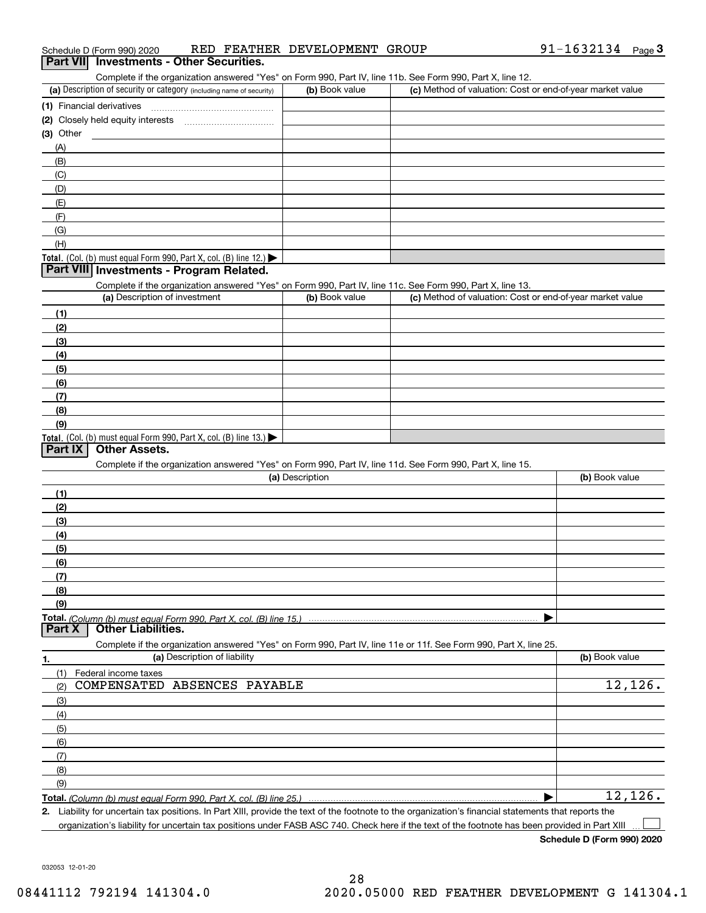| 91-1632134 $_{Page}$<br>RED FEATHER DEVELOPMENT GROUP<br>Schedule D (Form 990) 2020 |  |  |
|-------------------------------------------------------------------------------------|--|--|
|-------------------------------------------------------------------------------------|--|--|

### (a) Description of security or category (including name of security)  $\vert$  (b) Book value  $\vert$  (c) **(1)** Financial derivatives ~~~~~~~~~~~~~~~**(2)** Closely held equity interests **(3)**OtherComplete if the organization answered "Yes" on Form 990, Part IV, line 11b. See Form 990, Part X, line 12.  $(b)$  Book value  $\vert$  (c) Method of valuation: Cost or end-of-year market value (A)(B)(C)(D)(E)(F)(G)**3Part VII Investments - Other Securities.**

# Total. (Col. (b) must equal Form 990, Part X, col. (B) line 12.)

## **Part VIII Investments - Program Related.**

Complete if the organization answered "Yes" on Form 990, Part IV, line 11c. See Form 990, Part X, line 13.

| (a) Description of investment                                       | (b) Book value | (c) Method of valuation: Cost or end-of-year market value |
|---------------------------------------------------------------------|----------------|-----------------------------------------------------------|
| (1)                                                                 |                |                                                           |
| (2)                                                                 |                |                                                           |
| $\frac{1}{2}$                                                       |                |                                                           |
| (4)                                                                 |                |                                                           |
| $\left(5\right)$                                                    |                |                                                           |
| (6)                                                                 |                |                                                           |
| (7)                                                                 |                |                                                           |
| (8)                                                                 |                |                                                           |
| (9)                                                                 |                |                                                           |
| Total. (Col. (b) must equal Form 990, Part X, col. (B) line $13.$ ) |                |                                                           |

### **Part IX Other Assets.**

(H)

Complete if the organization answered "Yes" on Form 990, Part IV, line 11d. See Form 990, Part X, line 15.

| (a) Description                                                                                                                       | (b) Book value |
|---------------------------------------------------------------------------------------------------------------------------------------|----------------|
| (1)                                                                                                                                   |                |
| (2)                                                                                                                                   |                |
| (3)                                                                                                                                   |                |
| (4)                                                                                                                                   |                |
| (5)                                                                                                                                   |                |
| (6)                                                                                                                                   |                |
| (7)                                                                                                                                   |                |
| (8)                                                                                                                                   |                |
| (9)                                                                                                                                   |                |
|                                                                                                                                       |                |
| Total. (Column (b) must equal Form 990, Part X, col. (B) line 15.) ………………………………………………………………………………………<br>  Part X   Other Liabilities. |                |

**1.(a)** Description of liability **Book value** Book value Book value Book value Book value **Total.**  *(Column (b) must equal Form 990, Part X, col. (B) line 25.)* Complete if the organization answered "Yes" on Form 990, Part IV, line 11e or 11f. See Form 990, Part X, line 25. (1)(2)(3)(4)(5)(6)(7)(8)(9)Federal income taxes  $\blacktriangleright$ COMPENSATED ABSENCES PAYABLE 12,126. 12,126.

**2.**Liability for uncertain tax positions. In Part XIII, provide the text of the footnote to the organization's financial statements that reports the organization's liability for uncertain tax positions under FASB ASC 740. Check here if the text of the footnote has been provided in Part XIII  $\mathcal{L}^{\text{max}}$ 

**Schedule D (Form 990) 2020**

032053 12-01-20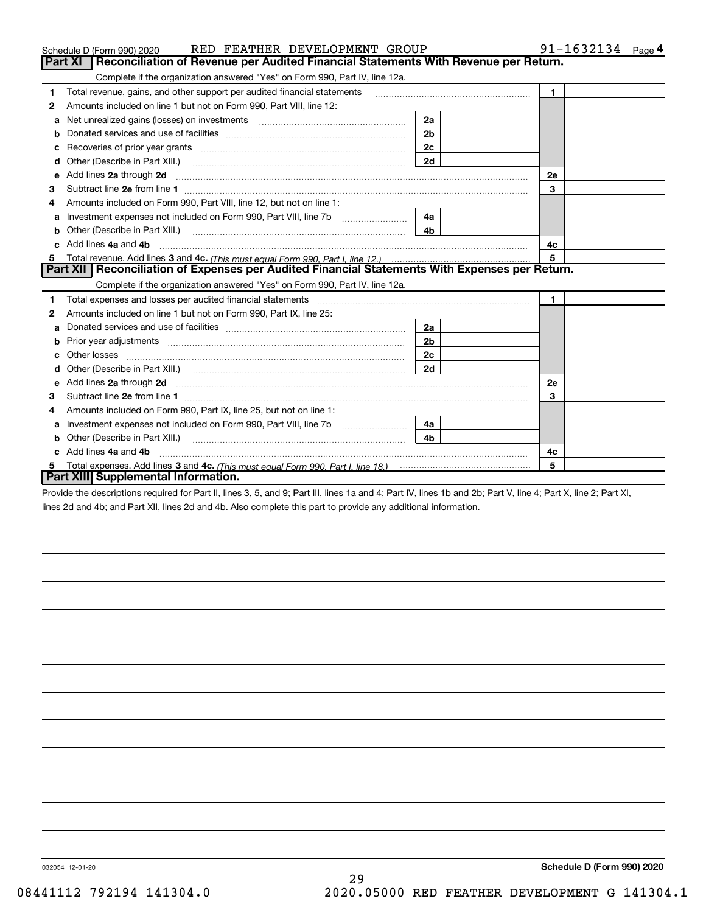|    | RED FEATHER DEVELOPMENT GROUP<br>Schedule D (Form 990) 2020                                                                                                                                                                          |                | $91 - 1632134$ Page 4 |
|----|--------------------------------------------------------------------------------------------------------------------------------------------------------------------------------------------------------------------------------------|----------------|-----------------------|
|    | Reconciliation of Revenue per Audited Financial Statements With Revenue per Return.<br><b>Part XI</b>                                                                                                                                |                |                       |
|    | Complete if the organization answered "Yes" on Form 990, Part IV, line 12a.                                                                                                                                                          |                |                       |
| 1  | Total revenue, gains, and other support per audited financial statements                                                                                                                                                             |                | $\mathbf{1}$          |
| 2  | Amounts included on line 1 but not on Form 990, Part VIII, line 12:                                                                                                                                                                  |                |                       |
| a  |                                                                                                                                                                                                                                      | 2a             |                       |
| b  |                                                                                                                                                                                                                                      | 2 <sub>b</sub> |                       |
| с  | Recoveries of prior year grants [11,111] [12,112] Recoveries of prior year grants                                                                                                                                                    | 2c             |                       |
| d  | Other (Describe in Part XIII.)                                                                                                                                                                                                       | 2d             |                       |
| е  | Add lines 2a through 2d <b>continuum contract and all contract and all contract and all contract and all contract and all contract and all contract and all contract and all contract and all contract and all contract and all </b> |                | <b>2e</b>             |
| з  |                                                                                                                                                                                                                                      |                | 3                     |
|    | Amounts included on Form 990, Part VIII, line 12, but not on line 1:                                                                                                                                                                 |                |                       |
| a  |                                                                                                                                                                                                                                      | 4a             |                       |
| b  | Other (Describe in Part XIII.) <b>Construction Contract Construction</b> Chern Construction Construction Construction                                                                                                                | 4 <sub>b</sub> |                       |
| C. | Add lines 4a and 4b                                                                                                                                                                                                                  |                | 4с                    |
| 5  |                                                                                                                                                                                                                                      |                | 5                     |
|    | Part XII   Reconciliation of Expenses per Audited Financial Statements With Expenses per Return.                                                                                                                                     |                |                       |
|    | Complete if the organization answered "Yes" on Form 990, Part IV, line 12a.                                                                                                                                                          |                |                       |
| 1  | Total expenses and losses per audited financial statements [11] [12] contain an intervention and the statements [13] [13] and the statements [13] [13] and the statements [13] and the statements and the statements and the s       |                | $\blacksquare$        |
| 2  | Amounts included on line 1 but not on Form 990, Part IX, line 25:                                                                                                                                                                    |                |                       |
| a  |                                                                                                                                                                                                                                      | 2a             |                       |
| b  |                                                                                                                                                                                                                                      | 2b             |                       |
| c  |                                                                                                                                                                                                                                      | 2c             |                       |
| d  | Other (Describe in Part XIII.) (2000) (2000) (2000) (2000) (2000) (2000) (2000) (2000) (2000) (2000) (2000) (2000) (2000) (2000) (2000) (2000) (2000) (2000) (2000) (2000) (2000) (2000) (2000) (2000) (2000) (2000) (2000) (2       | 2d             |                       |
| e  | Add lines 2a through 2d <b>contained a contained a contained a contained a</b> contained a contained a contact the set                                                                                                               |                | <b>2e</b>             |
| 3  |                                                                                                                                                                                                                                      |                | 3                     |
| 4  | Amounts included on Form 990, Part IX, line 25, but not on line 1:                                                                                                                                                                   |                |                       |
| a  | Investment expenses not included on Form 990, Part VIII, line 7b                                                                                                                                                                     | 4a             |                       |
| b  | Other (Describe in Part XIII.)                                                                                                                                                                                                       | 4h             |                       |
| c. | Add lines 4a and 4b                                                                                                                                                                                                                  |                | 4c                    |
|    |                                                                                                                                                                                                                                      |                | 5                     |
|    | Part XIII Supplemental Information.                                                                                                                                                                                                  |                |                       |

Provide the descriptions required for Part II, lines 3, 5, and 9; Part III, lines 1a and 4; Part IV, lines 1b and 2b; Part V, line 4; Part X, line 2; Part XI, lines 2d and 4b; and Part XII, lines 2d and 4b. Also complete this part to provide any additional information.

032054 12-01-20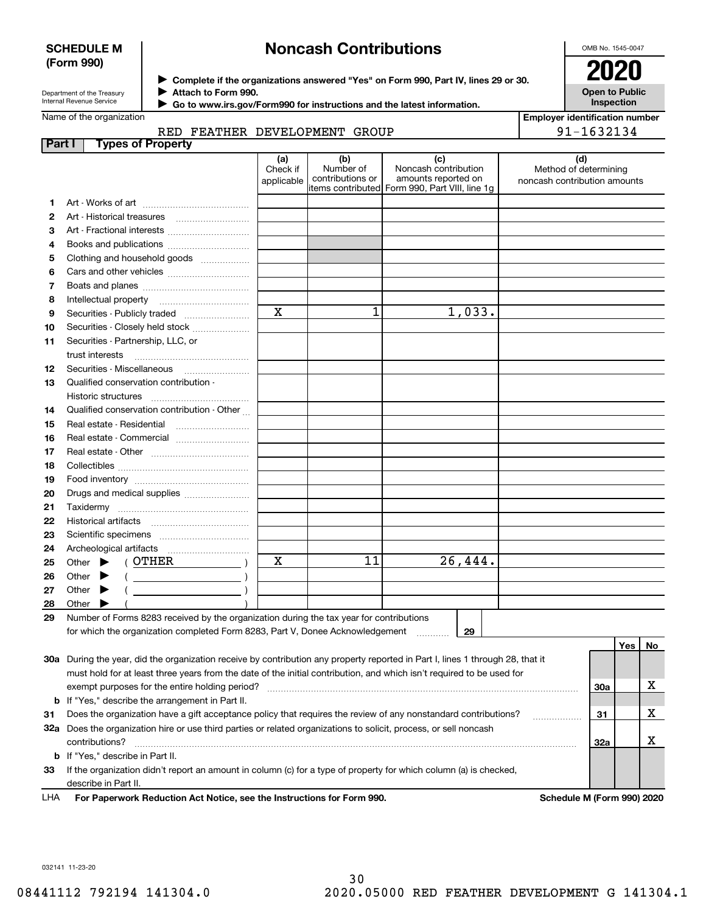### **SCHEDULE M (Form 990)**

# **Noncash Contributions**

OMB No. 1545-0047

**Open to Public Inspection**

**Employer identification number**

91-1632134

Department of the Treasury Internal Revenue Service

**Complete if the organizations answered "Yes" on Form 990, Part IV, lines 29 or 30.** <sup>J</sup>**2020 Attach to Form 990.** J

 **Go to www.irs.gov/Form990 for instructions and the latest information.** J

### Name of the organization

| Part I | <b>Types of Property</b>                                                                                                       |                               |                                      |                                                                                                      |                                                              |            |    |
|--------|--------------------------------------------------------------------------------------------------------------------------------|-------------------------------|--------------------------------------|------------------------------------------------------------------------------------------------------|--------------------------------------------------------------|------------|----|
|        |                                                                                                                                | (a)<br>Check if<br>applicable | (b)<br>Number of<br>contributions or | (c)<br>Noncash contribution<br>amounts reported on<br>items contributed Form 990, Part VIII, line 1g | (d)<br>Method of determining<br>noncash contribution amounts |            |    |
| 1.     |                                                                                                                                |                               |                                      |                                                                                                      |                                                              |            |    |
| 2      |                                                                                                                                |                               |                                      |                                                                                                      |                                                              |            |    |
| з      | Art - Fractional interests                                                                                                     |                               |                                      |                                                                                                      |                                                              |            |    |
| 4      | Books and publications                                                                                                         |                               |                                      |                                                                                                      |                                                              |            |    |
| 5      | Clothing and household goods                                                                                                   |                               |                                      |                                                                                                      |                                                              |            |    |
| 6      |                                                                                                                                |                               |                                      |                                                                                                      |                                                              |            |    |
| 7      |                                                                                                                                |                               |                                      |                                                                                                      |                                                              |            |    |
| 8      | Intellectual property                                                                                                          |                               |                                      |                                                                                                      |                                                              |            |    |
| 9      | Securities - Publicly traded                                                                                                   | $\mathbf x$                   | 1                                    | 1,033.                                                                                               |                                                              |            |    |
| 10     | Securities - Closely held stock                                                                                                |                               |                                      |                                                                                                      |                                                              |            |    |
| 11     | Securities - Partnership, LLC, or                                                                                              |                               |                                      |                                                                                                      |                                                              |            |    |
|        | trust interests                                                                                                                |                               |                                      |                                                                                                      |                                                              |            |    |
| 12     | Securities - Miscellaneous                                                                                                     |                               |                                      |                                                                                                      |                                                              |            |    |
| 13     | Qualified conservation contribution -                                                                                          |                               |                                      |                                                                                                      |                                                              |            |    |
|        | Historic structures                                                                                                            |                               |                                      |                                                                                                      |                                                              |            |    |
| 14     | Qualified conservation contribution - Other                                                                                    |                               |                                      |                                                                                                      |                                                              |            |    |
| 15     | Real estate - Residential                                                                                                      |                               |                                      |                                                                                                      |                                                              |            |    |
| 16     | Real estate - Commercial                                                                                                       |                               |                                      |                                                                                                      |                                                              |            |    |
| 17     |                                                                                                                                |                               |                                      |                                                                                                      |                                                              |            |    |
| 18     |                                                                                                                                |                               |                                      |                                                                                                      |                                                              |            |    |
| 19     |                                                                                                                                |                               |                                      |                                                                                                      |                                                              |            |    |
| 20     | Drugs and medical supplies                                                                                                     |                               |                                      |                                                                                                      |                                                              |            |    |
| 21     | Taxidermy                                                                                                                      |                               |                                      |                                                                                                      |                                                              |            |    |
| 22     |                                                                                                                                |                               |                                      |                                                                                                      |                                                              |            |    |
| 23     |                                                                                                                                |                               |                                      |                                                                                                      |                                                              |            |    |
| 24     |                                                                                                                                |                               |                                      |                                                                                                      |                                                              |            |    |
| 25     | ( OTHER<br>Other $\blacktriangleright$                                                                                         | х                             | 11                                   | 26,444.                                                                                              |                                                              |            |    |
| 26     | Other                                                                                                                          |                               |                                      |                                                                                                      |                                                              |            |    |
| 27     | Other $\blacktriangleright$                                                                                                    |                               |                                      |                                                                                                      |                                                              |            |    |
| 28     | Other $\blacktriangleright$                                                                                                    |                               |                                      |                                                                                                      |                                                              |            |    |
| 29     | Number of Forms 8283 received by the organization during the tax year for contributions                                        |                               |                                      |                                                                                                      |                                                              |            |    |
|        | for which the organization completed Form 8283, Part V, Donee Acknowledgement                                                  |                               |                                      | 29                                                                                                   |                                                              |            |    |
|        |                                                                                                                                |                               |                                      |                                                                                                      |                                                              | Yes        | No |
|        | 30a During the year, did the organization receive by contribution any property reported in Part I, lines 1 through 28, that it |                               |                                      |                                                                                                      |                                                              |            |    |
|        | must hold for at least three years from the date of the initial contribution, and which isn't required to be used for          |                               |                                      |                                                                                                      |                                                              |            |    |
|        | exempt purposes for the entire holding period?                                                                                 |                               |                                      |                                                                                                      |                                                              | <b>30a</b> | х  |
|        | <b>b</b> If "Yes," describe the arrangement in Part II.                                                                        |                               |                                      |                                                                                                      |                                                              |            |    |
| 31     | Does the organization have a gift acceptance policy that requires the review of any nonstandard contributions?                 |                               |                                      |                                                                                                      |                                                              | 31         | х  |
|        | 32a Does the organization hire or use third parties or related organizations to solicit, process, or sell noncash              |                               |                                      |                                                                                                      |                                                              |            |    |
|        | contributions?                                                                                                                 |                               |                                      |                                                                                                      |                                                              | 32a        | х  |
|        | <b>b</b> If "Yes," describe in Part II.                                                                                        |                               |                                      |                                                                                                      |                                                              |            |    |
| 33     | If the organization didn't report an amount in column (c) for a type of property for which column (a) is checked,              |                               |                                      |                                                                                                      |                                                              |            |    |
|        | describe in Part II.                                                                                                           |                               |                                      |                                                                                                      |                                                              |            |    |

**For Paperwork Reduction Act Notice, see the Instructions for Form 990. Schedule M (Form 990) 2020** LHA

032141 11-23-20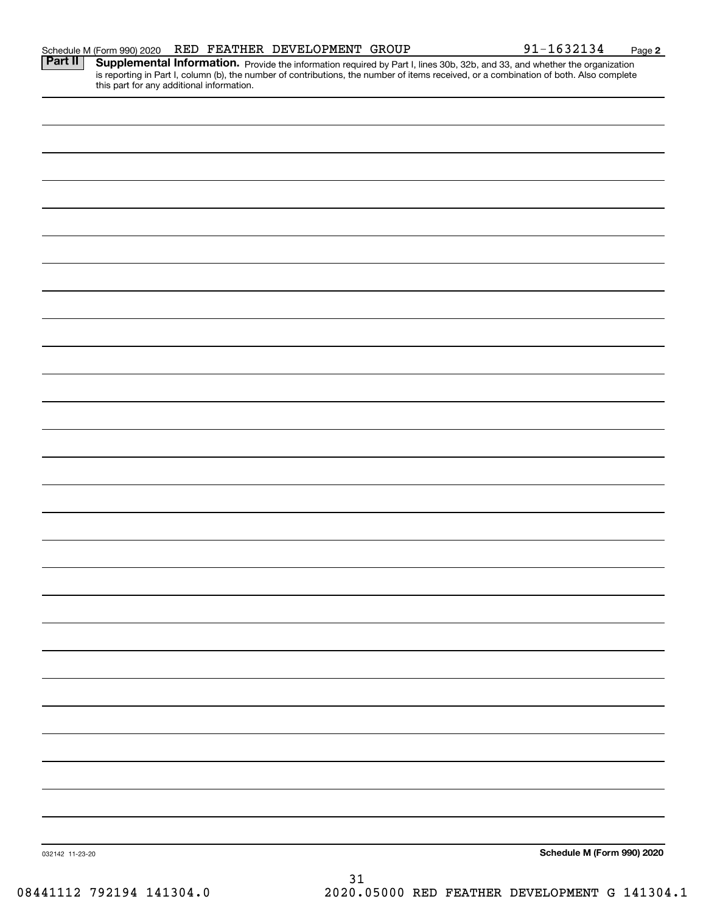| is reporting in Part I, column (b), the number of contributions, the number of items received, or a combination of both. Also complete<br>this part for any additional information. |    |                            |
|-------------------------------------------------------------------------------------------------------------------------------------------------------------------------------------|----|----------------------------|
|                                                                                                                                                                                     |    |                            |
|                                                                                                                                                                                     |    |                            |
|                                                                                                                                                                                     |    |                            |
|                                                                                                                                                                                     |    |                            |
|                                                                                                                                                                                     |    |                            |
|                                                                                                                                                                                     |    |                            |
|                                                                                                                                                                                     |    |                            |
|                                                                                                                                                                                     |    |                            |
|                                                                                                                                                                                     |    |                            |
|                                                                                                                                                                                     |    |                            |
|                                                                                                                                                                                     |    |                            |
|                                                                                                                                                                                     |    |                            |
|                                                                                                                                                                                     |    |                            |
|                                                                                                                                                                                     |    |                            |
|                                                                                                                                                                                     |    |                            |
|                                                                                                                                                                                     |    |                            |
|                                                                                                                                                                                     |    |                            |
|                                                                                                                                                                                     |    |                            |
|                                                                                                                                                                                     |    |                            |
|                                                                                                                                                                                     |    |                            |
|                                                                                                                                                                                     |    |                            |
|                                                                                                                                                                                     |    |                            |
|                                                                                                                                                                                     |    |                            |
|                                                                                                                                                                                     |    |                            |
|                                                                                                                                                                                     |    |                            |
| 032142 11-23-20                                                                                                                                                                     |    | Schedule M (Form 990) 2020 |
|                                                                                                                                                                                     | 31 |                            |

Schedule M (Form 990) 2020 RED FEATHER DEVELOPMENT GROUP 9 $1\text{--}1632134$   $_\text{Page}$ Part II | Supplemental Information. Provide the information required by Part I, lines 30b, 32b, and 33, and whether the organization

**2**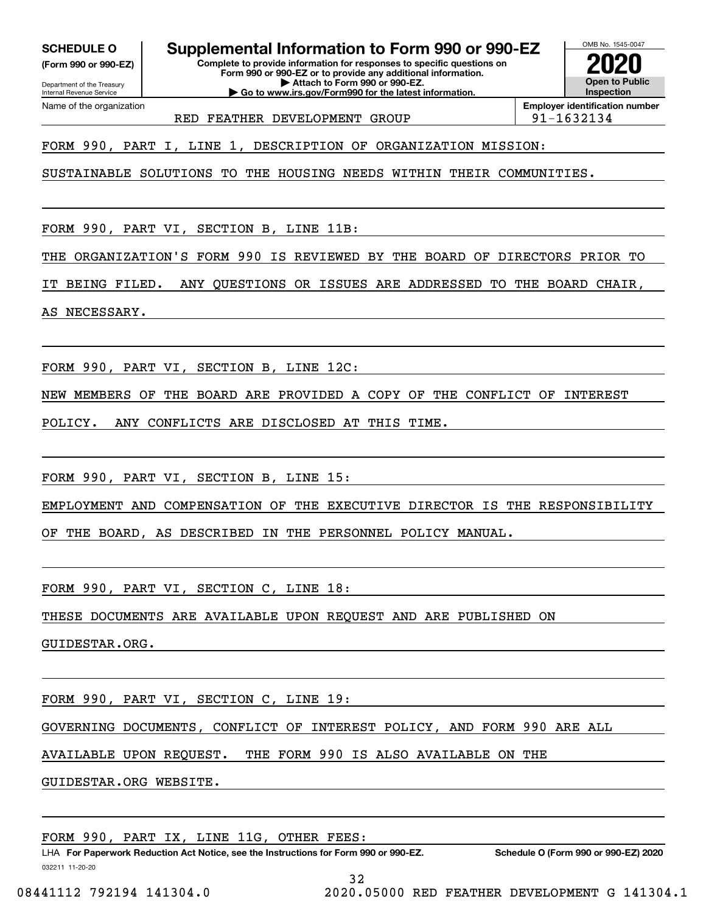**(Form 990 or 990-EZ)**

Department of the Treasury Internal Revenue Service Name of the organization

**SCHEDULE O Supplemental Information to Form 990 or 990-EZ**

**Complete to provide information for responses to specific questions on Form 990 or 990-EZ or to provide any additional information. | Attach to Form 990 or 990-EZ. | Go to www.irs.gov/Form990 for the latest information.**



RED FEATHER DEVELOPMENT GROUP  $|91-1632134$ 

**Employer identification number**

FORM 990, PART I, LINE 1, DESCRIPTION OF ORGANIZATION MISSION:

SUSTAINABLE SOLUTIONS TO THE HOUSING NEEDS WITHIN THEIR COMMUNITIES.

FORM 990, PART VI, SECTION B, LINE 11B:

THE ORGANIZATION'S FORM 990 IS REVIEWED BY THE BOARD OF DIRECTORS PRIOR TO

IT BEING FILED. ANY QUESTIONS OR ISSUES ARE ADDRESSED TO THE BOARD CHAIR,

AS NECESSARY.

FORM 990, PART VI, SECTION B, LINE 12C:

NEW MEMBERS OF THE BOARD ARE PROVIDED A COPY OF THE CONFLICT OF INTEREST

POLICY. ANY CONFLICTS ARE DISCLOSED AT THIS TIME.

FORM 990, PART VI, SECTION B, LINE 15:

EMPLOYMENT AND COMPENSATION OF THE EXECUTIVE DIRECTOR IS THE RESPONSIBILITY

OF THE BOARD, AS DESCRIBED IN THE PERSONNEL POLICY MANUAL.

FORM 990, PART VI, SECTION C, LINE 18:

THESE DOCUMENTS ARE AVAILABLE UPON REQUEST AND ARE PUBLISHED ON

GUIDESTAR.ORG.

FORM 990, PART VI, SECTION C, LINE 19:

GOVERNING DOCUMENTS, CONFLICT OF INTEREST POLICY, AND FORM 990 ARE ALL

AVAILABLE UPON REQUEST. THE FORM 990 IS ALSO AVAILABLE ON THE

GUIDESTAR.ORG WEBSITE.

FORM 990, PART IX, LINE 11G, OTHER FEES:

032211 11-20-20 LHA For Paperwork Reduction Act Notice, see the Instructions for Form 990 or 990-EZ. Schedule O (Form 990 or 990-EZ) 2020 32